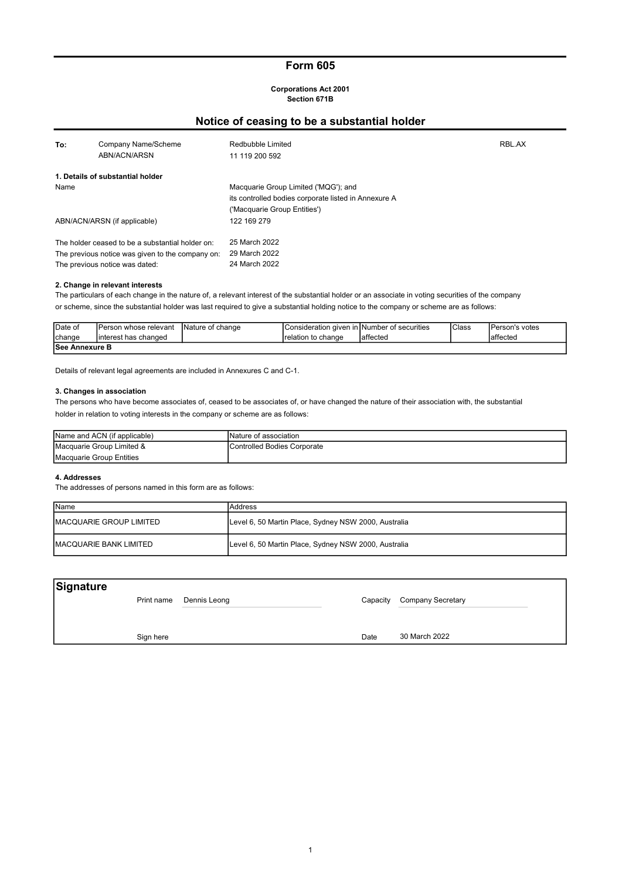## Form 605

#### Corporations Act 2001 Section 671B

# Notice of ceasing to be a substantial holder

| To:                            | Company Name/Scheme<br>ABN/ACN/ARSN              | Redbubble Limited<br>11 119 200 592                  | RBL.AX |
|--------------------------------|--------------------------------------------------|------------------------------------------------------|--------|
|                                | 1. Details of substantial holder                 |                                                      |        |
| Name                           |                                                  | Macquarie Group Limited ('MQG'); and                 |        |
|                                |                                                  | its controlled bodies corporate listed in Annexure A |        |
|                                |                                                  | ('Macquarie Group Entities')                         |        |
|                                | ABN/ACN/ARSN (if applicable)                     | 122 169 279                                          |        |
|                                | The holder ceased to be a substantial holder on: | 25 March 2022                                        |        |
|                                | The previous notice was given to the company on: | 29 March 2022                                        |        |
| The previous notice was dated: |                                                  | 24 March 2022                                        |        |

#### 2. Change in relevant interests

The particulars of each change in the nature of, a relevant interest of the substantial holder or an associate in voting securities of the company or scheme, since the substantial holder was last required to give a substantial holding notice to the company or scheme are as follows:

| <b>IDate of</b>        | <b>IPerson whose relevant</b> | Nature of change | Consideration given in INumber of securities |           | <b>Class</b> | Person's votes |
|------------------------|-------------------------------|------------------|----------------------------------------------|-----------|--------------|----------------|
| <b>change</b>          | Iinterest has changed         |                  | relation to change                           | Iaffected |              | laffecteo      |
| <b>ISee Annexure B</b> |                               |                  |                                              |           |              |                |

Details of relevant legal agreements are included in Annexures C and C-1.

#### 3. Changes in association

The persons who have become associates of, ceased to be associates of, or have changed the nature of their association with, the substantial holder in relation to voting interests in the company or scheme are as follows:

| Name and ACN (if applicable) | INature of association       |
|------------------------------|------------------------------|
| Macquarie Group Limited &    | IControlled Bodies Corporate |
| Macquarie Group Entities     |                              |

#### 4. Addresses

The addresses of persons named in this form are as follows:

| <b>I</b> Name            | lAddress                                             |
|--------------------------|------------------------------------------------------|
| IMACQUARIE GROUP LIMITED | Level 6, 50 Martin Place, Sydney NSW 2000, Australia |
| IMACQUARIE BANK LIMITED  | Level 6, 50 Martin Place, Sydney NSW 2000, Australia |

| Signature |            |              |      |                            |
|-----------|------------|--------------|------|----------------------------|
|           | Print name | Dennis Leong |      | Capacity Company Secretary |
|           |            |              |      |                            |
|           |            |              | Date | 30 March 2022              |
|           | Sign here  |              |      |                            |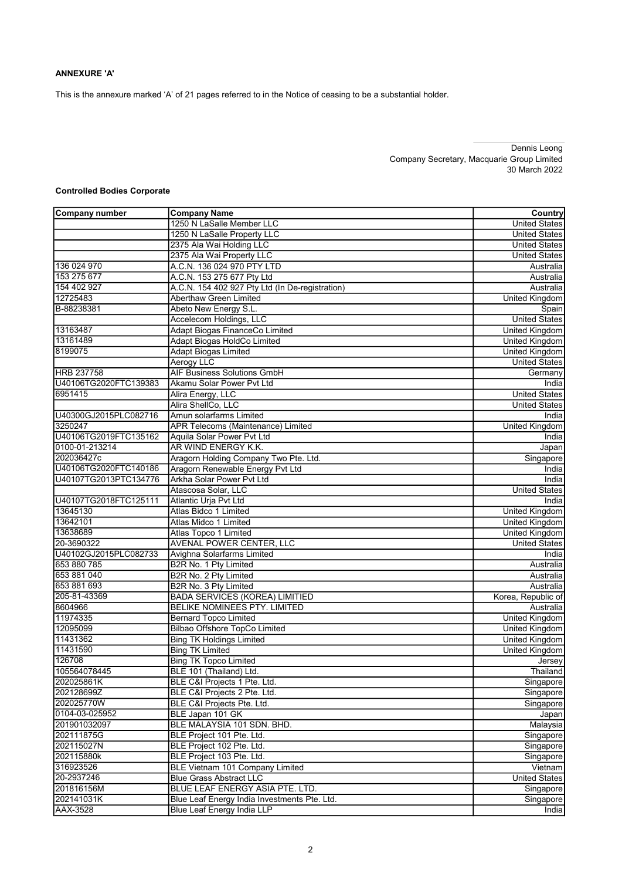### ANNEXURE 'A'

This is the annexure marked 'A' of 21 pages referred to in the Notice of ceasing to be a substantial holder.

Dennis Leong Company Secretary, Macquarie Group Limited 30 March 2022

### Controlled Bodies Corporate

| Company number        | <b>Company Name</b>                             | Country               |
|-----------------------|-------------------------------------------------|-----------------------|
|                       | 1250 N LaSalle Member LLC                       | <b>United States</b>  |
|                       | 1250 N LaSalle Property LLC                     | <b>United States</b>  |
|                       | 2375 Ala Wai Holding LLC                        | <b>United States</b>  |
|                       | 2375 Ala Wai Property LLC                       | <b>United States</b>  |
| 136 024 970           | A.C.N. 136 024 970 PTY LTD                      | Australia             |
| 153 275 677           | A.C.N. 153 275 677 Pty Ltd                      | Australia             |
| 154 402 927           | A.C.N. 154 402 927 Pty Ltd (In De-registration) | Australia             |
| 12725483              | Aberthaw Green Limited                          | <b>United Kingdom</b> |
| B-88238381            | Abeto New Energy S.L.                           | Spain                 |
|                       | Accelecom Holdings, LLC                         | <b>United States</b>  |
| 13163487              | Adapt Biogas FinanceCo Limited                  | <b>United Kingdom</b> |
| 13161489              | Adapt Biogas HoldCo Limited                     | <b>United Kingdom</b> |
| 8199075               | <b>Adapt Biogas Limited</b>                     | <b>United Kingdom</b> |
|                       | Aerogy LLC                                      | <b>United States</b>  |
| <b>HRB 237758</b>     | <b>AIF Business Solutions GmbH</b>              | Germany               |
| U40106TG2020FTC139383 | Akamu Solar Power Pvt Ltd                       | India                 |
| 6951415               | Alira Energy, LLC                               | <b>United States</b>  |
|                       | Alira ShellCo, LLC                              | <b>United States</b>  |
| U40300GJ2015PLC082716 | Amun solarfarms Limited                         | India                 |
| 3250247               | APR Telecoms (Maintenance) Limited              | <b>United Kingdom</b> |
| U40106TG2019FTC135162 | Aguila Solar Power Pyt Ltd                      | India                 |
| 0100-01-213214        | AR WIND ENERGY K.K.                             | Japan                 |
| 202036427c            | Aragorn Holding Company Two Pte. Ltd.           | Singapore             |
| U40106TG2020FTC140186 | Aragorn Renewable Energy Pvt Ltd                | India                 |
| U40107TG2013PTC134776 | Arkha Solar Power Pyt Ltd                       | India                 |
|                       | Atascosa Solar, LLC                             | <b>United States</b>  |
| U40107TG2018FTC125111 | Atlantic Urja Pvt Ltd                           | India                 |
| 13645130              | Atlas Bidco 1 Limited                           | <b>United Kingdom</b> |
| 13642101              | Atlas Midco 1 Limited                           | <b>United Kingdom</b> |
| 13638689              | Atlas Topco 1 Limited                           | United Kingdom        |
| 20-3690322            | AVENAL POWER CENTER, LLC                        | <b>United States</b>  |
| U40102GJ2015PLC082733 | Avighna Solarfarms Limited                      | India                 |
| 653 880 785           | B2R No. 1 Pty Limited                           | Australia             |
| 653 881 040           | B2R No. 2 Pty Limited                           | Australia             |
| 653 881 693           | B2R No. 3 Pty Limited                           | Australia             |
| 205-81-43369          | <b>BADA SERVICES (KOREA) LIMITIED</b>           | Korea, Republic of    |
| 8604966               | BELIKE NOMINEES PTY. LIMITED                    | Australia             |
| 11974335              | <b>Bernard Topco Limited</b>                    | <b>United Kingdom</b> |
| 12095099              | Bilbao Offshore TopCo Limited                   | <b>United Kingdom</b> |
| 11431362              | <b>Bing TK Holdings Limited</b>                 | <b>United Kingdom</b> |
| 11431590              | <b>Bing TK Limited</b>                          | United Kingdom        |
| 126708                | <b>Bing TK Topco Limited</b>                    | Jersey                |
| 105564078445          | BLE 101 (Thailand) Ltd.                         | Thailand              |
| 202025861K            | BLE C&I Projects 1 Pte. Ltd.                    | Singapore             |
| 202128699Z            | BLE C&I Projects 2 Pte. Ltd.                    | Singapore             |
| 202025770W            | BLE C&I Projects Pte. Ltd.                      | Singapore             |
| 0104-03-025952        | BLE Japan 101 GK                                | Japan                 |
| 201901032097          | BLE MALAYSIA 101 SDN. BHD.                      | Malaysia              |
| 202111875G            | BLE Project 101 Pte. Ltd.                       | Singapore             |
| 202115027N            | BLE Project 102 Pte. Ltd.                       | Singapore             |
| 202115880k            | BLE Project 103 Pte. Ltd.                       | Singapore             |
| 316923526             | BLE Vietnam 101 Company Limited                 | Vietnam               |
| 20-2937246            | <b>Blue Grass Abstract LLC</b>                  | <b>United States</b>  |
| 201816156M            | BLUE LEAF ENERGY ASIA PTE. LTD.                 | Singapore             |
| 202141031K            | Blue Leaf Energy India Investments Pte. Ltd.    | Singapore             |
| <b>AAX-3528</b>       | Blue Leaf Energy India LLP                      | <b>India</b>          |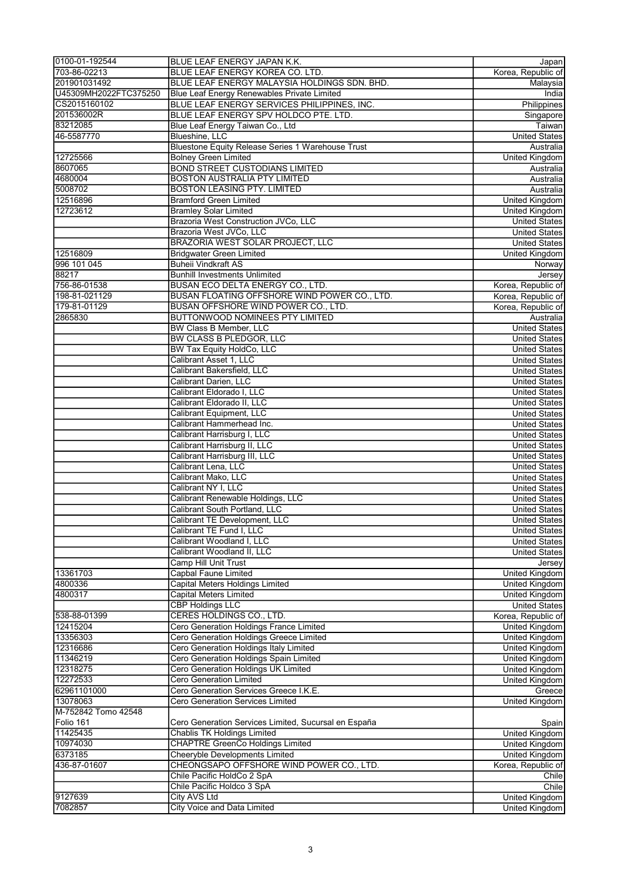| 0100-01-192544        | BLUE LEAF ENERGY JAPAN K.K.                              | Japan                 |
|-----------------------|----------------------------------------------------------|-----------------------|
| 703-86-02213          | BLUE LEAF ENERGY KOREA CO. LTD.                          | Korea, Republic of    |
| 201901031492          | BLUE LEAF ENERGY MALAYSIA HOLDINGS SDN. BHD.             | Malaysia              |
| U45309MH2022FTC375250 | Blue Leaf Energy Renewables Private Limited              | India                 |
| CS2015160102          | BLUE LEAF ENERGY SERVICES PHILIPPINES, INC.              | Philippines           |
| 201536002R            | BLUE LEAF ENERGY SPV HOLDCO PTE. LTD.                    | Singapore             |
| 83212085              | Blue Leaf Energy Taiwan Co., Ltd                         | Taiwan                |
| 46-5587770            | Blueshine, LLC                                           | <b>United States</b>  |
|                       | <b>Bluestone Equity Release Series 1 Warehouse Trust</b> | Australia             |
| 12725566              | <b>Bolney Green Limited</b>                              | United Kingdom        |
| 8607065               | <b>BOND STREET CUSTODIANS LIMITED</b>                    | Australia             |
| 4680004               | <b>BOSTON AUSTRALIA PTY LIMITED</b>                      | Australia             |
| 5008702               | <b>BOSTON LEASING PTY. LIMITED</b>                       | Australia             |
| 12516896              | <b>Bramford Green Limited</b>                            | <b>United Kingdom</b> |
| 12723612              | <b>Bramley Solar Limited</b>                             | <b>United Kingdom</b> |
|                       | Brazoria West Construction JVCo, LLC                     | <b>United States</b>  |
|                       | Brazoria West JVCo, LLC                                  | <b>United States</b>  |
|                       | <b>BRAZORIA WEST SOLAR PROJECT, LLC</b>                  | <b>United States</b>  |
| 12516809              | <b>Bridgwater Green Limited</b>                          | United Kingdom        |
| 996 101 045           | <b>Buheii Vindkraft AS</b>                               | Norway                |
| 88217                 | <b>Bunhill Investments Unlimited</b>                     | Jersey                |
| 756-86-01538          | <b>BUSAN ECO DELTA ENERGY CO., LTD.</b>                  | Korea, Republic of    |
| 198-81-021129         | BUSAN FLOATING OFFSHORE WIND POWER CO., LTD.             | Korea, Republic of    |
| 179-81-01129          | <b>BUSAN OFFSHORE WIND POWER CO., LTD.</b>               | Korea, Republic of    |
| 2865830               | BUTTONWOOD NOMINEES PTY LIMITED                          | Australia             |
|                       | BW Class B Member, LLC                                   | <b>United States</b>  |
|                       | <b>BW CLASS B PLEDGOR, LLC</b>                           | <b>United States</b>  |
|                       | BW Tax Equity HoldCo, LLC                                | <b>United States</b>  |
|                       | Calibrant Asset 1, LLC                                   | <b>United States</b>  |
|                       | Calibrant Bakersfield, LLC                               | <b>United States</b>  |
|                       | <b>Calibrant Darien, LLC</b>                             | <b>United States</b>  |
|                       | Calibrant Eldorado I, LLC                                | <b>United States</b>  |
|                       | Calibrant Eldorado II, LLC                               | <b>United States</b>  |
|                       | <b>Calibrant Equipment, LLC</b>                          | <b>United States</b>  |
|                       | Calibrant Hammerhead Inc.                                | <b>United States</b>  |
|                       | Calibrant Harrisburg I, LLC                              | <b>United States</b>  |
|                       | Calibrant Harrisburg II, LLC                             | <b>United States</b>  |
|                       | Calibrant Harrisburg III, LLC                            | <b>United States</b>  |
|                       | Calibrant Lena, LLC                                      | <b>United States</b>  |
|                       | Calibrant Mako, LLC                                      | <b>United States</b>  |
|                       | Calibrant NY I, LLC                                      | <b>United States</b>  |
|                       | Calibrant Renewable Holdings, LLC                        | <b>United States</b>  |
|                       | Calibrant South Portland, LLC                            | <b>United States</b>  |
|                       | Calibrant TE Development, LLC                            | United States         |
|                       | Calibrant TE Fund I, LLC                                 | <b>United States</b>  |
|                       | Calibrant Woodland I. LLC                                | <b>United States</b>  |
|                       | Calibrant Woodland II. LLC                               | <b>United States</b>  |
|                       | Camp Hill Unit Trust                                     | Jersey                |
| 13361703              | <b>Capbal Faune Limited</b>                              | <b>United Kingdom</b> |
| 4800336               | Capital Meters Holdings Limited                          | <b>United Kingdom</b> |
| 4800317               | Capital Meters Limited                                   | <b>United Kingdom</b> |
|                       | <b>CBP Holdings LLC</b>                                  | <b>United States</b>  |
| 538-88-01399          | CERES HOLDINGS CO., LTD.                                 | Korea, Republic of    |
| 12415204              | Cero Generation Holdings France Limited                  | United Kingdom        |
| 13356303              | Cero Generation Holdings Greece Limited                  | <b>United Kingdom</b> |
| 12316686              | Cero Generation Holdings Italy Limited                   | <b>United Kingdom</b> |
| 11346219              | Cero Generation Holdings Spain Limited                   | <b>United Kingdom</b> |
| 12318275              | Cero Generation Holdings UK Limited                      | United Kingdom        |
| 12272533              | <b>Cero Generation Limited</b>                           | <b>United Kingdom</b> |
| 62961101000           | Cero Generation Services Greece I.K.E.                   | Greece                |
| 13078063              | <b>Cero Generation Services Limited</b>                  | <b>United Kingdom</b> |
| M-752842 Tomo 42548   |                                                          |                       |
| Folio 161             | Cero Generation Services Limited, Sucursal en España     | Spain                 |
| 11425435              | <b>Chablis TK Holdings Limited</b>                       | <b>United Kingdom</b> |
| 10974030              | <b>CHAPTRE GreenCo Holdings Limited</b>                  | <b>United Kingdom</b> |
| 6373185               | Cheeryble Developments Limited                           | <b>United Kingdom</b> |
| 436-87-01607          | CHEONGSAPO OFFSHORE WIND POWER CO., LTD.                 | Korea, Republic of    |
|                       | Chile Pacific HoldCo 2 SpA                               | Chile                 |
|                       | Chile Pacific Holdco 3 SpA                               | Chile                 |
| 9127639               | City AVS Ltd                                             | United Kingdom        |
| 7082857               | <b>City Voice and Data Limited</b>                       | United Kingdom        |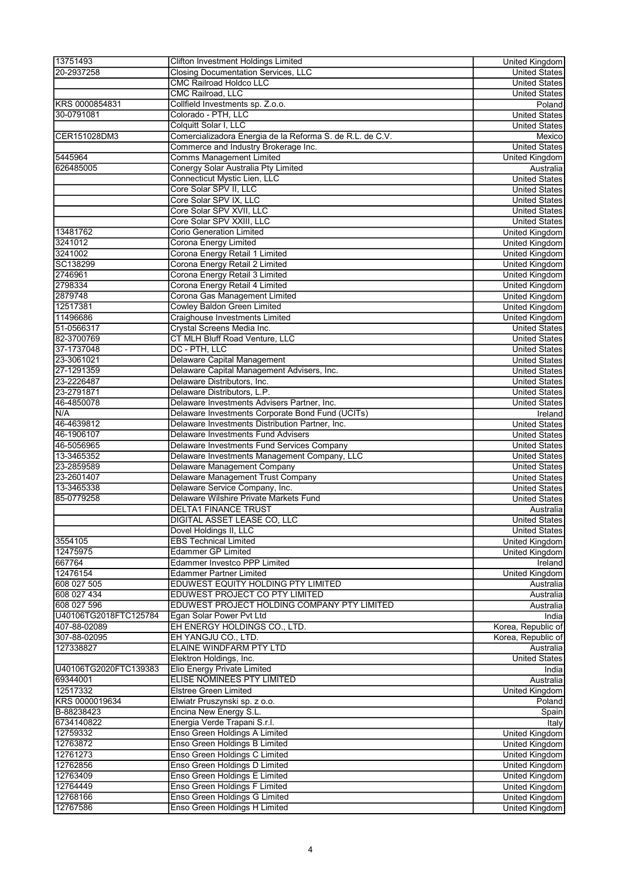| 13751493              | <b>Clifton Investment Holdings Limited</b>                           | United Kingdom        |
|-----------------------|----------------------------------------------------------------------|-----------------------|
| 20-2937258            | <b>Closing Documentation Services, LLC</b>                           | <b>United States</b>  |
|                       | <b>CMC Railroad Holdco LLC</b>                                       | <b>United States</b>  |
|                       | <b>CMC Railroad, LLC</b>                                             | <b>United States</b>  |
| KRS 0000854831        | Collfield Investments sp. Z.o.o.                                     | Poland                |
| 30-0791081            | Colorado - PTH, LLC                                                  | <b>United States</b>  |
|                       | Colquitt Solar I, LLC                                                | <b>United States</b>  |
| CER151028DM3          | Comercializadora Energia de la Reforma S. de R.L. de C.V.            | Mexico                |
|                       | Commerce and Industry Brokerage Inc.                                 | <b>United States</b>  |
| 5445964               | <b>Comms Management Limited</b>                                      | <b>United Kingdom</b> |
| 626485005             | Conergy Solar Australia Pty Limited                                  | Australia             |
|                       | Connecticut Mystic Lien, LLC                                         | <b>United States</b>  |
|                       | Core Solar SPV II, LLC                                               | <b>United States</b>  |
|                       | Core Solar SPV IX, LLC                                               |                       |
|                       |                                                                      | <b>United States</b>  |
|                       | Core Solar SPV XVII, LLC                                             | <b>United States</b>  |
|                       | Core Solar SPV XXIII, LLC                                            | <b>United States</b>  |
| 13481762              | Corio Generation Limited                                             | <b>United Kingdom</b> |
| 3241012               | Corona Energy Limited                                                | United Kingdom        |
| 3241002               | Corona Energy Retail 1 Limited                                       | <b>United Kingdom</b> |
| SC138299              | Corona Energy Retail 2 Limited                                       | <b>United Kingdom</b> |
| 2746961               | Corona Energy Retail 3 Limited                                       | United Kingdom        |
| 2798334               | Corona Energy Retail 4 Limited                                       | <b>United Kingdom</b> |
| 2879748               | Corona Gas Management Limited                                        | <b>United Kingdom</b> |
| 12517381              | <b>Cowley Baldon Green Limited</b>                                   | <b>United Kingdom</b> |
| 11496686              | Craighouse Investments Limited                                       | United Kingdom        |
| 51-0566317            | Crystal Screens Media Inc.                                           | <b>United States</b>  |
| 82-3700769            | CT MLH Bluff Road Venture, LLC                                       | <b>United States</b>  |
| 37-1737048            | DC - PTH, LLC                                                        | <b>United States</b>  |
| 23-3061021            | <b>Delaware Capital Management</b>                                   | <b>United States</b>  |
| 27-1291359            | Delaware Capital Management Advisers, Inc.                           | <b>United States</b>  |
| 23-2226487            | Delaware Distributors, Inc.                                          |                       |
|                       |                                                                      | <b>United States</b>  |
| 23-2791871            | Delaware Distributors, L.P.                                          | <b>United States</b>  |
| 46-4850078            | Delaware Investments Advisers Partner, Inc.                          | <b>United States</b>  |
| N/A                   | Delaware Investments Corporate Bond Fund (UCITs)                     | Ireland               |
| 46-4639812            | Delaware Investments Distribution Partner, Inc.                      | <b>United States</b>  |
| 46-1906107            | <b>Delaware Investments Fund Advisers</b>                            | <b>United States</b>  |
| 46-5056965            | Delaware Investments Fund Services Company                           | <b>United States</b>  |
| 13-3465352            | Delaware Investments Management Company, LLC                         | <b>United States</b>  |
| 23-2859589            | Delaware Management Company                                          | <b>United States</b>  |
| 23-2601407            | Delaware Management Trust Company                                    | <b>United States</b>  |
| 13-3465338            | Delaware Service Company, Inc.                                       | <b>United States</b>  |
| 85-0779258            | Delaware Wilshire Private Markets Fund                               | <b>United States</b>  |
|                       | <b>DELTA1 FINANCE TRUST</b>                                          | Australia             |
|                       | DIGITAL ASSET LEASE CO, LLC                                          | <b>United States</b>  |
|                       | Dovel Holdings II, LLC                                               | <b>United States</b>  |
| 3554105               | <b>EBS Technical Limited</b>                                         | <b>United Kingdom</b> |
| 12475975              | Edammer GP Limited                                                   | <b>United Kingdom</b> |
| 667764                | <b>Edammer Investco PPP Limited</b>                                  | Ireland               |
| 12476154              |                                                                      | <b>United Kingdom</b> |
|                       | <b>Edammer Partner Limited</b><br>EDUWEST EQUITY HOLDING PTY LIMITED |                       |
| 608 027 505           |                                                                      | Australia             |
| 608 027 434           | EDUWEST PROJECT CO PTY LIMITED                                       | Australia             |
| 608 027 596           | EDUWEST PROJECT HOLDING COMPANY PTY LIMITED                          | Australia             |
| U40106TG2018FTC125784 | Egan Solar Power Pvt Ltd                                             | India                 |
| 407-88-02089          | EH ENERGY HOLDINGS CO., LTD.                                         | Korea, Republic of    |
| 307-88-02095          | EH YANGJU CO., LTD.                                                  | Korea, Republic of    |
| 127338827             | ELAINE WINDFARM PTY LTD                                              | Australia             |
|                       | Elektron Holdings, Inc.                                              | <b>United States</b>  |
| U40106TG2020FTC139383 | Elio Energy Private Limited                                          | India                 |
| 69344001              | ELISE NOMINEES PTY LIMITED                                           | Australia             |
| 12517332              | <b>Elstree Green Limited</b>                                         | United Kingdom        |
| KRS 0000019634        | Elwiatr Pruszynski sp. z o.o.                                        | Poland                |
| B-88238423            | Encina New Energy S.L.                                               | Spain                 |
| 6734140822            | Energia Verde Trapani S.r.l.                                         | Italy                 |
| 12759332              | Enso Green Holdings A Limited                                        | <b>United Kingdom</b> |
| 12763872              | Enso Green Holdings B Limited                                        | <b>United Kingdom</b> |
| 12761273              | Enso Green Holdings C Limited                                        | United Kingdom        |
| 12762856              | Enso Green Holdings D Limited                                        | <b>United Kingdom</b> |
|                       |                                                                      |                       |
| 12763409              | Enso Green Holdings E Limited                                        | <b>United Kingdom</b> |
| 12764449              | Enso Green Holdings F Limited                                        | <b>United Kingdom</b> |
| 12768166              | Enso Green Holdings G Limited                                        | <b>United Kingdom</b> |
| 12767586              | Enso Green Holdings H Limited                                        | United Kingdom        |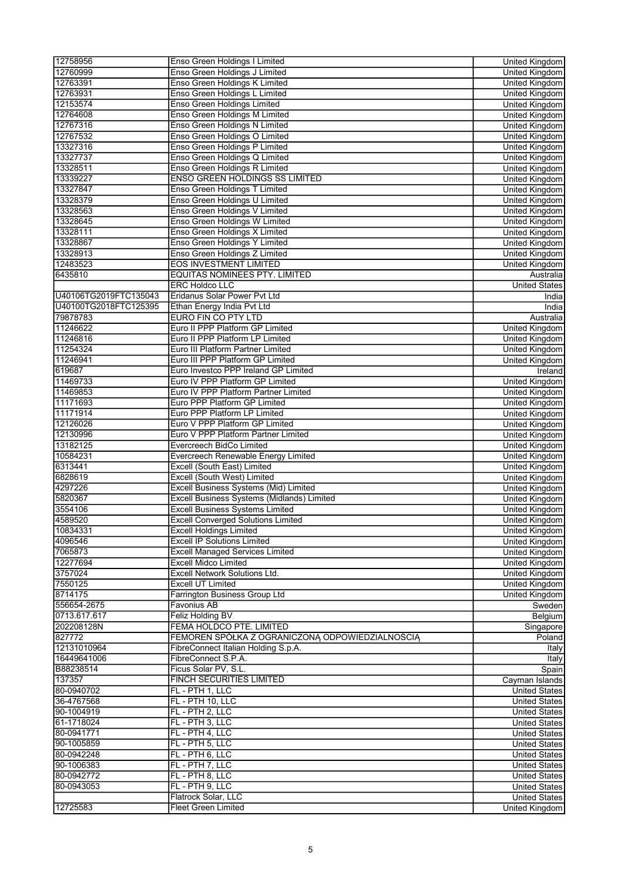| 12758956              | Enso Green Holdings I Limited                   | United Kingdom        |
|-----------------------|-------------------------------------------------|-----------------------|
| 12760999              | Enso Green Holdings J Limited                   | <b>United Kingdom</b> |
| 12763391              | Enso Green Holdings K Limited                   | <b>United Kingdom</b> |
| 12763931              | Enso Green Holdings L Limited                   | United Kingdom        |
| 12153574              | Enso Green Holdings Limited                     | <b>United Kingdom</b> |
| 12764608              | Enso Green Holdings M Limited                   | <b>United Kingdom</b> |
| 12767316              | <b>Enso Green Holdings N Limited</b>            | <b>United Kingdom</b> |
| 12767532              | Enso Green Holdings O Limited                   | United Kingdom        |
| 13327316              | Enso Green Holdings P Limited                   | United Kingdom        |
| 13327737              | Enso Green Holdings Q Limited                   | United Kingdom        |
| 13328511              | Enso Green Holdings R Limited                   | <b>United Kingdom</b> |
| 13339227              | <b>ENSO GREEN HOLDINGS SS LIMITED</b>           | <b>United Kingdom</b> |
| 13327847              | Enso Green Holdings T Limited                   | <b>United Kingdom</b> |
| 13328379              | Enso Green Holdings U Limited                   | <b>United Kingdom</b> |
| 13328563              | Enso Green Holdings V Limited                   | United Kingdom        |
| 13328645              | Enso Green Holdings W Limited                   | <b>United Kingdom</b> |
| 13328111              | Enso Green Holdings X Limited                   | <b>United Kingdom</b> |
| 13328867              | Enso Green Holdings Y Limited                   | <b>United Kingdom</b> |
| 13328913              | Enso Green Holdings Z Limited                   | <b>United Kingdom</b> |
| 12483523              | <b>EOS INVESTMENT LIMITED</b>                   | <b>United Kingdom</b> |
| 6435810               | <b>EQUITAS NOMINEES PTY. LIMITED</b>            | Australia             |
|                       | <b>ERC Holdco LLC</b>                           | <b>United States</b>  |
| U40106TG2019FTC135043 | Eridanus Solar Power Pvt Ltd                    | India                 |
| U40100TG2018FTC125395 | Ethan Energy India Pvt Ltd                      | India                 |
| 79878783              | EURO FIN CO PTY LTD                             | Australia             |
| 11246622              | Euro II PPP Platform GP Limited                 | <b>United Kingdom</b> |
| 11246816              | Euro II PPP Platform LP Limited                 | <b>United Kingdom</b> |
| 11254324              | Euro III Platform Partner Limited               |                       |
| 11246941              | Euro III PPP Platform GP Limited                | United Kingdom        |
| 619687                |                                                 | United Kingdom        |
|                       | Euro Investco PPP Ireland GP Limited            | Ireland               |
| 11469733              | Euro IV PPP Platform GP Limited                 | <b>United Kingdom</b> |
| 11469853              | Euro IV PPP Platform Partner Limited            | <b>United Kingdom</b> |
| 11171693              | Euro PPP Platform GP Limited                    | <b>United Kingdom</b> |
| 11171914              | Euro PPP Platform LP Limited                    | <b>United Kingdom</b> |
| 12126026              | Euro V PPP Platform GP Limited                  | United Kingdom        |
| 12130996              | Euro V PPP Platform Partner Limited             | United Kingdom        |
| 13182125              | Evercreech BidCo Limited                        | <b>United Kingdom</b> |
| 10584231              | Evercreech Renewable Energy Limited             | <b>United Kingdom</b> |
| 6313441               | Excell (South East) Limited                     | United Kingdom        |
| 6828619               | Excell (South West) Limited                     | <b>United Kingdom</b> |
| 4297226               | Excell Business Systems (Mid) Limited           | <b>United Kingdom</b> |
| 5820367               | Excell Business Systems (Midlands) Limited      | <b>United Kingdom</b> |
| 3554106               | <b>Excell Business Systems Limited</b>          | <b>United Kingdom</b> |
| 4589520               | <b>Excell Converged Solutions Limited</b>       | United Kingdom        |
| 10834331              | <b>Excell Holdings Limited</b>                  | <b>United Kingdom</b> |
| 4096546               | <b>Excell IP Solutions Limited</b>              | United Kingdom        |
| 7065873               | <b>Excell Managed Services Limited</b>          | United Kingdom        |
| 12277694              | <b>Excell Midco Limited</b>                     | United Kingdom        |
| 3757024               | Excell Network Solutions Ltd.                   | <b>United Kingdom</b> |
| 7550125               | <b>Excell UT Limited</b>                        | <b>United Kingdom</b> |
| 8714175               | Farrington Business Group Ltd                   | United Kingdom        |
| 556654-2675           | Favonius AB                                     | Sweden                |
| 0713.617.617          | Feliz Holding BV                                | Belgium               |
| 202208128N            | FEMA HOLDCO PTE. LIMITED                        | Singapore             |
| 827772                | FEMOREN SPÓŁKA Z OGRANICZONĄ ODPOWIEDZIALNOŚCIĄ | Poland                |
| 12131010964           | FibreConnect Italian Holding S.p.A.             | Italy                 |
| 16449641006           | FibreConnect S.P.A.                             | <b>Italy</b>          |
| B88238514             | Ficus Solar PV, S.L.                            | Spain                 |
| 137357                | FINCH SECURITIES LIMITED                        | Cayman Islands        |
| 80-0940702            | FL - PTH 1, LLC                                 | <b>United States</b>  |
| 36-4767568            | FL - PTH 10, LLC                                | <b>United States</b>  |
| 90-1004919            | FL - PTH 2, LLC                                 | <b>United States</b>  |
| 61-1718024            | FL - PTH 3, LLC                                 | <b>United States</b>  |
| 80-0941771            | FL - PTH 4, LLC                                 | <b>United States</b>  |
| 90-1005859            | FL - PTH 5, LLC                                 | <b>United States</b>  |
| 80-0942248            | FL - PTH 6, LLC                                 | <b>United States</b>  |
| 90-1006383            | FL - PTH 7, LLC                                 | <b>United States</b>  |
| 80-0942772            | FL - PTH 8, LLC                                 | <b>United States</b>  |
| 80-0943053            | FL - PTH 9, LLC                                 | <b>United States</b>  |
|                       | Flatrock Solar, LLC                             | <b>United States</b>  |
|                       | <b>Fleet Green Limited</b>                      |                       |
| 12725583              |                                                 | United Kingdom        |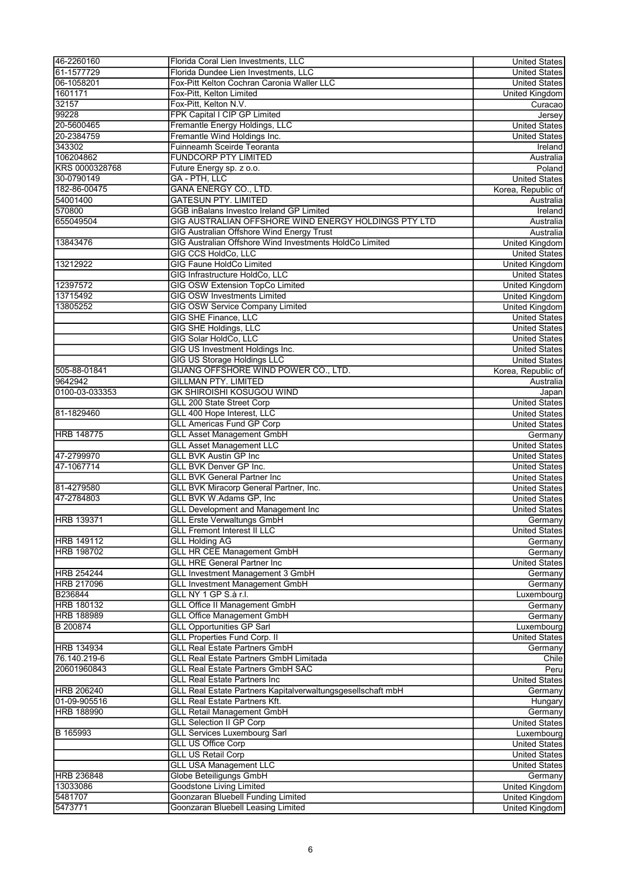| 46-2260160        | Florida Coral Lien Investments, LLC                         | <b>United States</b>  |
|-------------------|-------------------------------------------------------------|-----------------------|
| 61-1577729        | Florida Dundee Lien Investments, LLC                        | <b>United States</b>  |
| 06-1058201        | Fox-Pitt Kelton Cochran Caronia Waller LLC                  | <b>United States</b>  |
| 1601171           | Fox-Pitt, Kelton Limited                                    | United Kingdom        |
| 32157             | Fox-Pitt, Kelton N.V.                                       | Curacao               |
| 99228             | FPK Capital I CIP GP Limited                                | Jersey                |
| 20-5600465        | Fremantle Energy Holdings, LLC                              | <b>United States</b>  |
| 20-2384759        | Fremantle Wind Holdings Inc.                                | <b>United States</b>  |
| 343302            | Fuinneamh Sceirde Teoranta                                  | Ireland               |
| 106204862         | <b>FUNDCORP PTY LIMITED</b>                                 | Australia             |
| KRS 0000328768    | Future Energy sp. z o.o.                                    | Poland                |
| 30-0790149        | <b>GA - PTH. LLC</b>                                        | <b>United States</b>  |
| 182-86-00475      | <b>GANA ENERGY CO., LTD.</b>                                |                       |
| 54001400          | <b>GATESUN PTY. LIMITED</b>                                 | Korea, Republic of    |
|                   |                                                             | Australia             |
| 570800            | GGB inBalans Investco Ireland GP Limited                    | Ireland               |
| 655049504         | GIG AUSTRALIAN OFFSHORE WIND ENERGY HOLDINGS PTY LTD        | Australia             |
|                   | <b>GIG Australian Offshore Wind Energy Trust</b>            | Australia             |
| 13843476          | GIG Australian Offshore Wind Investments HoldCo Limited     | <b>United Kingdom</b> |
|                   | <b>GIG CCS HoldCo, LLC</b>                                  | <b>United States</b>  |
| 13212922          | <b>GIG Faune HoldCo Limited</b>                             | United Kingdom        |
|                   | GIG Infrastructure HoldCo, LLC                              | <b>United States</b>  |
| 12397572          | <b>GIG OSW Extension TopCo Limited</b>                      | United Kingdom        |
| 13715492          | <b>GIG OSW Investments Limited</b>                          | United Kingdom        |
| 13805252          | <b>GIG OSW Service Company Limited</b>                      | <b>United Kingdom</b> |
|                   | <b>GIG SHE Finance, LLC</b>                                 | <b>United States</b>  |
|                   | <b>GIG SHE Holdings, LLC</b>                                | <b>United States</b>  |
|                   | <b>GIG Solar HoldCo, LLC</b>                                | <b>United States</b>  |
|                   | GIG US Investment Holdings Inc.                             | <b>United States</b>  |
|                   | <b>GIG US Storage Holdings LLC</b>                          | <b>United States</b>  |
| 505-88-01841      | GIJANG OFFSHORE WIND POWER CO., LTD.                        | Korea, Republic of    |
| 9642942           | <b>GILLMAN PTY. LIMITED</b>                                 | Australia             |
| 0100-03-033353    | <b>GK SHIROISHI KOSUGOU WIND</b>                            |                       |
|                   |                                                             | Japan                 |
|                   | GLL 200 State Street Corp                                   | <b>United States</b>  |
| 81-1829460        | GLL 400 Hope Interest, LLC                                  | <b>United States</b>  |
|                   | <b>GLL Americas Fund GP Corp</b>                            | <b>United States</b>  |
| <b>HRB 148775</b> | <b>GLL Asset Management GmbH</b>                            | Germany               |
|                   | <b>GLL Asset Management LLC</b>                             | <b>United States</b>  |
| 47-2799970        | <b>GLL BVK Austin GP Inc</b>                                | <b>United States</b>  |
| 47-1067714        | GLL BVK Denver GP Inc.                                      | <b>United States</b>  |
|                   | <b>GLL BVK General Partner Inc</b>                          | <b>United States</b>  |
| 81-4279580        | GLL BVK Miracorp General Partner, Inc.                      | <b>United States</b>  |
| 47-2784803        | GLL BVK W.Adams GP, Inc                                     | <b>United States</b>  |
|                   | <b>GLL Development and Management Inc</b>                   | <b>United States</b>  |
| <b>HRB 139371</b> | <b>GLL Erste Verwaltungs GmbH</b>                           | Germany               |
|                   | <b>GLL Fremont Interest II LLC</b>                          | <b>United States</b>  |
| <b>HRB 149112</b> | <b>GLL Holding AG</b>                                       | Germany               |
| <b>HRB 198702</b> | <b>GLL HR CEE Management GmbH</b>                           | Germany               |
|                   | <b>GLL HRE General Partner Inc</b>                          | <b>United States</b>  |
| <b>HRB 254244</b> | <b>GLL Investment Management 3 GmbH</b>                     | Germany               |
|                   |                                                             |                       |
| <b>HRB 217096</b> | <b>GLL Investment Management GmbH</b>                       | Germany               |
| B236844           | GLL NY 1 GP S.à r.l.                                        | Luxembourg            |
| <b>HRB 180132</b> | <b>GLL Office II Management GmbH</b>                        | Germany               |
| <b>HRB 188989</b> | <b>GLL Office Management GmbH</b>                           | Germany               |
| B 200874          | <b>GLL Opportunities GP Sarl</b>                            | Luxembourg            |
|                   | <b>GLL Properties Fund Corp. II</b>                         | <b>United States</b>  |
| <b>HRB 134934</b> | <b>GLL Real Estate Partners GmbH</b>                        | Germany               |
| 76.140.219-6      | <b>GLL Real Estate Partners GmbH Limitada</b>               | Chile                 |
| 20601960843       | <b>GLL Real Estate Partners GmbH SAC</b>                    | Peru                  |
|                   | <b>GLL Real Estate Partners Inc</b>                         | <b>United States</b>  |
| <b>HRB 206240</b> | GLL Real Estate Partners Kapitalverwaltungsgesellschaft mbH | Germany               |
| 01-09-905516      | <b>GLL Real Estate Partners Kft.</b>                        | Hungary               |
| <b>HRB 188990</b> | <b>GLL Retail Management GmbH</b>                           | Germany               |
|                   | <b>GLL Selection II GP Corp</b>                             | <b>United States</b>  |
| B 165993          | <b>GLL Services Luxembourg Sarl</b>                         | Luxembourg            |
|                   | <b>GLL US Office Corp</b>                                   | <b>United States</b>  |
|                   | <b>GLL US Retail Corp</b>                                   | <b>United States</b>  |
|                   | <b>GLL USA Management LLC</b>                               | <b>United States</b>  |
|                   | Globe Beteiligungs GmbH                                     |                       |
| HRB 236848        | <b>Goodstone Living Limited</b>                             | Germany               |
| 13033086          |                                                             | <b>United Kingdom</b> |
| 5481707           | Goonzaran Bluebell Funding Limited                          | United Kingdom        |
| 5473771           | Goonzaran Bluebell Leasing Limited                          | United Kingdom        |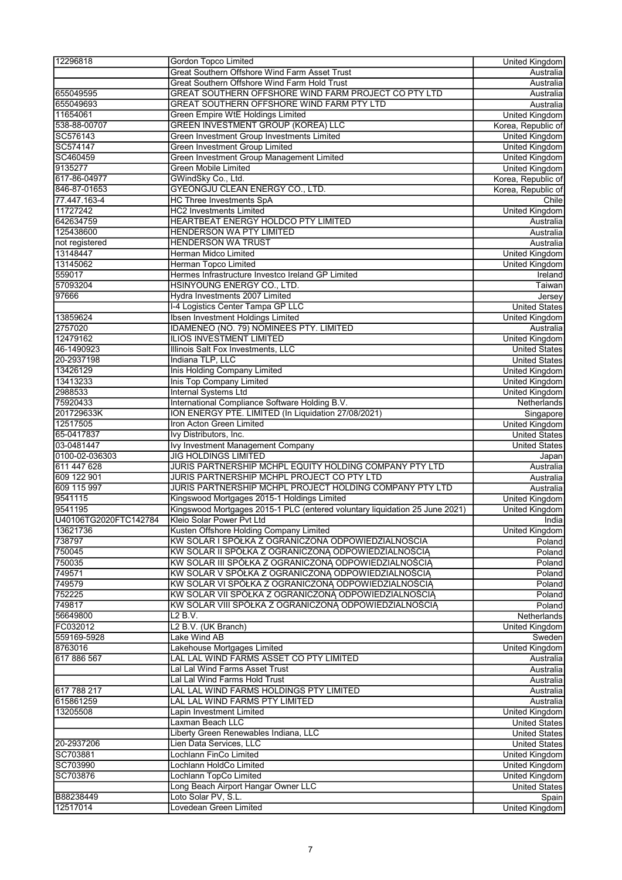| 12296818              | Gordon Topco Limited                                                        | United Kingdom        |
|-----------------------|-----------------------------------------------------------------------------|-----------------------|
|                       | Great Southern Offshore Wind Farm Asset Trust                               | Australia             |
|                       | Great Southern Offshore Wind Farm Hold Trust                                | Australia             |
| 655049595             | GREAT SOUTHERN OFFSHORE WIND FARM PROJECT CO PTY LTD                        | Australia             |
| 655049693             | GREAT SOUTHERN OFFSHORE WIND FARM PTY LTD                                   | Australia             |
| 11654061              | Green Empire WtE Holdings Limited                                           | <b>United Kingdom</b> |
| 538-88-00707          | <b>GREEN INVESTMENT GROUP (KOREA) LLC</b>                                   | Korea, Republic of    |
| SC576143              | Green Investment Group Investments Limited                                  | <b>United Kingdom</b> |
| SC574147              | Green Investment Group Limited                                              | United Kingdom        |
| SC460459              | Green Investment Group Management Limited                                   | <b>United Kingdom</b> |
| 9135277               | <b>Green Mobile Limited</b>                                                 | <b>United Kingdom</b> |
| 617-86-04977          | GWindSky Co., Ltd.                                                          | Korea, Republic of    |
| 846-87-01653          | <b>GYEONGJU CLEAN ENERGY CO., LTD.</b>                                      | Korea, Republic of    |
| 77.447.163-4          | <b>HC Three Investments SpA</b>                                             |                       |
| 11727242              | <b>HC2 Investments Limited</b>                                              | Chile                 |
|                       |                                                                             | <b>United Kingdom</b> |
| 642634759             | HEARTBEAT ENERGY HOLDCO PTY LIMITED                                         | Australia             |
| 125438600             | HENDERSON WA PTY LIMITED                                                    | Australia             |
| not registered        | <b>HENDERSON WA TRUST</b>                                                   | Australia             |
| 13148447              | <b>Herman Midco Limited</b>                                                 | <b>United Kingdom</b> |
| 13145062              | Herman Topco Limited                                                        | <b>United Kingdom</b> |
| 559017                | Hermes Infrastructure Investco Ireland GP Limited                           | Ireland               |
| 57093204              | HSINYOUNG ENERGY CO., LTD.                                                  | Taiwan                |
| 97666                 | Hydra Investments 2007 Limited                                              | Jersey                |
|                       | I-4 Logistics Center Tampa GP LLC                                           | <b>United States</b>  |
| 13859624              | Ibsen Investment Holdings Limited                                           | <b>United Kingdom</b> |
| 2757020               | IDAMENEO (NO. 79) NOMINEES PTY. LIMITED                                     | Australia             |
| 12479162              | <b>ILIOS INVESTMENT LIMITED</b>                                             | <b>United Kingdom</b> |
| 46-1490923            | Illinois Salt Fox Investments, LLC                                          | <b>United States</b>  |
| 20-2937198            | Indiana TLP, LLC                                                            | <b>United States</b>  |
| 13426129              | Inis Holding Company Limited                                                | <b>United Kingdom</b> |
| 13413233              | <b>Inis Top Company Limited</b>                                             | <b>United Kingdom</b> |
| 2988533               | <b>Internal Systems Ltd</b>                                                 | United Kingdom        |
| 75920433              | International Compliance Software Holding B.V.                              | Netherlands           |
| 201729633K            | ION ENERGY PTE. LIMITED (In Liquidation 27/08/2021)                         | Singapore             |
| 12517505              | Iron Acton Green Limited                                                    | <b>United Kingdom</b> |
| 65-0417837            | Ivy Distributors, Inc.                                                      | <b>United States</b>  |
| 03-0481447            | Ivy Investment Management Company                                           |                       |
|                       |                                                                             | <b>United States</b>  |
| 0100-02-036303        | <b>JIG HOLDINGS LIMITED</b>                                                 | Japan                 |
| 611 447 628           | JURIS PARTNERSHIP MCHPL EQUITY HOLDING COMPANY PTY LTD                      | Australia             |
| 609 122 901           | JURIS PARTNERSHIP MCHPL PROJECT CO PTY LTD                                  | Australia             |
| 609 115 997           | JURIS PARTNERSHIP MCHPL PROJECT HOLDING COMPANY PTY LTD                     | Australia             |
| 9541115               | Kingswood Mortgages 2015-1 Holdings Limited                                 | <b>United Kingdom</b> |
| 9541195               | Kingswood Mortgages 2015-1 PLC (entered voluntary liquidation 25 June 2021) | United Kingdom        |
| U40106TG2020FTC142784 | Kleio Solar Power Pvt Ltd                                                   | India                 |
| 13621736              | Kusten Offshore Holding Company Limited                                     | <b>United Kingdom</b> |
| 738797                | KW SOLAR I SPÓŁKA Z OGRANICZONA ODPOWIEDZIALNOSCIA                          | Poland                |
| 750045                | KW SOLAR II SPÓŁKA Z OGRANICZONĄ ODPOWIEDZIALNOŚCIĄ                         | Poland                |
| 750035                | KW SOLAR III SPÓŁKA Z OGRANICZONĄ ODPOWIEDZIALNOŚCIĄ                        | Poland                |
| 749571                | KW SOLAR V SPÓŁKA Z OGRANICZONĄ ODPOWIEDZIALNOŚCIĄ                          | Poland                |
| 749579                | KW SOLAR VI SPÓŁKA Z OGRANICZONĄ ODPOWIEDZIALNOŚCIĄ                         | Poland                |
| 752225                | KW SOLAR VII SPÓŁKA Z OGRANICZONĄ ODPOWIEDZIALNOŚCIĄ                        | Poland                |
| 749817                | KW SOLAR VIII SPÓŁKA Z OGRANICZONĄ ODPOWIEDZIALNOŚCIĄ                       | Poland                |
| 56649800              | L2B.V.                                                                      | Netherlands           |
| FC032012              | L2 B.V. (UK Branch)                                                         | <b>United Kingdom</b> |
| 559169-5928           | Lake Wind AB                                                                | Sweden                |
| 8763016               | Lakehouse Mortgages Limited                                                 | United Kingdom        |
| 617 886 567           | LAL LAL WIND FARMS ASSET CO PTY LIMITED                                     | Australia             |
|                       | Lal Lal Wind Farms Asset Trust                                              | Australia             |
|                       | Lal Lal Wind Farms Hold Trust                                               | Australia             |
| 617 788 217           | LAL LAL WIND FARMS HOLDINGS PTY LIMITED                                     | Australia             |
| 615861259             | LAL LAL WIND FARMS PTY LIMITED                                              | Australia             |
| 13205508              | Lapin Investment Limited                                                    | United Kingdom        |
|                       |                                                                             |                       |
|                       | Laxman Beach LLC<br>Liberty Green Renewables Indiana, LLC                   | <b>United States</b>  |
|                       |                                                                             | <b>United States</b>  |
| 20-2937206            | Lien Data Services, LLC                                                     | <b>United States</b>  |
| SC703881              | Lochlann FinCo Limited                                                      | <b>United Kingdom</b> |
| SC703990              | Lochlann HoldCo Limited                                                     | United Kingdom        |
| SC703876              | Lochlann TopCo Limited                                                      | <b>United Kingdom</b> |
|                       | Long Beach Airport Hangar Owner LLC                                         | <b>United States</b>  |
| B88238449             | Loto Solar PV, S.L.                                                         | Spain                 |
| 12517014              | Lovedean Green Limited                                                      | <b>United Kingdom</b> |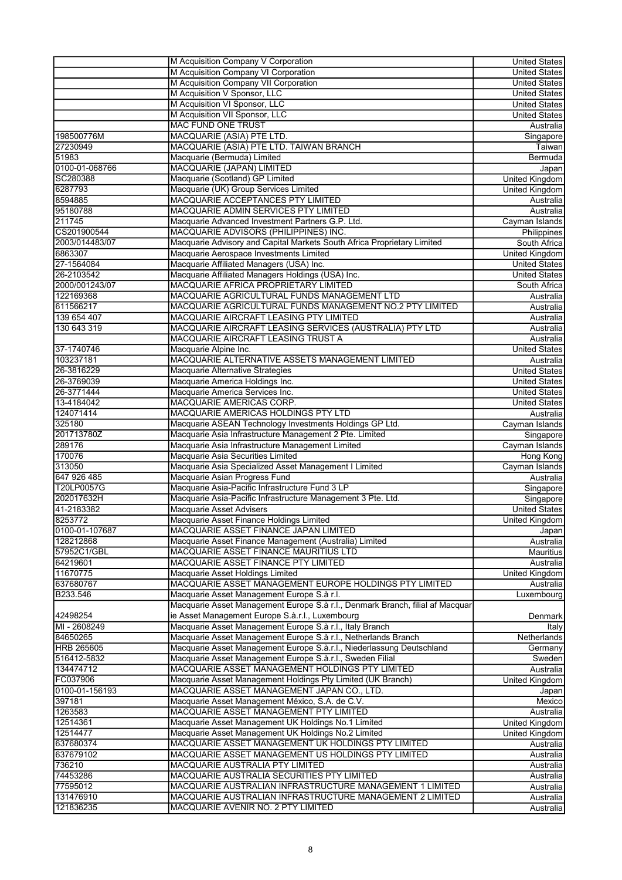|                   | M Acquisition Company V Corporation                                           | <b>United States</b>              |
|-------------------|-------------------------------------------------------------------------------|-----------------------------------|
|                   | M Acquisition Company VI Corporation                                          | <b>United States</b>              |
|                   | M Acquisition Company VII Corporation                                         | <b>United States</b>              |
|                   | M Acquisition V Sponsor, LLC                                                  | <b>United States</b>              |
|                   | M Acquisition VI Sponsor, LLC                                                 | <b>United States</b>              |
|                   | M Acquisition VII Sponsor, LLC                                                | <b>United States</b>              |
|                   | <b>MAC FUND ONE TRUST</b>                                                     | Australia                         |
| 198500776M        | MACQUARIE (ASIA) PTE LTD.                                                     |                                   |
| 27230949          | MACQUARIE (ASIA) PTE LTD. TAIWAN BRANCH                                       | Singapore                         |
| 51983             |                                                                               | Taiwan                            |
|                   | Macquarie (Bermuda) Limited                                                   | Bermuda                           |
| 0100-01-068766    | MACQUARIE (JAPAN) LIMITED                                                     | Japan                             |
| SC280388          | Macquarie (Scotland) GP Limited                                               | <b>United Kingdom</b>             |
| 6287793           | Macquarie (UK) Group Services Limited                                         | <b>United Kingdom</b>             |
| 8594885           | MACQUARIE ACCEPTANCES PTY LIMITED                                             | Australia                         |
| 95180788          | MACQUARIE ADMIN SERVICES PTY LIMITED                                          | Australia                         |
| 211745            | Macquarie Advanced Investment Partners G.P. Ltd.                              | Cayman Islands                    |
| CS201900544       | MACQUARIE ADVISORS (PHILIPPINES) INC.                                         | <b>Philippines</b>                |
| 2003/014483/07    | Macquarie Advisory and Capital Markets South Africa Proprietary Limited       | South Africa                      |
| 6863307           | Macquarie Aerospace Investments Limited                                       | United Kingdom                    |
| 27-1564084        | Macquarie Affiliated Managers (USA) Inc.                                      | <b>United States</b>              |
| 26-2103542        | Macquarie Affiliated Managers Holdings (USA) Inc.                             | <b>United States</b>              |
| 2000/001243/07    | MACQUARIE AFRICA PROPRIETARY LIMITED                                          | South Africa                      |
| 122169368         | MACQUARIE AGRICULTURAL FUNDS MANAGEMENT LTD                                   | Australia                         |
| 611566217         | MACQUARIE AGRICULTURAL FUNDS MANAGEMENT NO.2 PTY LIMITED                      | Australia                         |
| 139 654 407       | MACQUARIE AIRCRAFT LEASING PTY LIMITED                                        | Australia                         |
| 130 643 319       | MACQUARIE AIRCRAFT LEASING SERVICES (AUSTRALIA) PTY LTD                       | Australia                         |
|                   | MACQUARIE AIRCRAFT LEASING TRUST A                                            | Australia                         |
| 37-1740746        | Macquarie Alpine Inc.                                                         | <b>United States</b>              |
| 103237181         | MACQUARIE ALTERNATIVE ASSETS MANAGEMENT LIMITED                               | Australia                         |
| 26-3816229        | Macquarie Alternative Strategies                                              | <b>United States</b>              |
| 26-3769039        | Macquarie America Holdings Inc.                                               | <b>United States</b>              |
| 26-3771444        | Macquarie America Services Inc.                                               | <b>United States</b>              |
| 13-4184042        | MACQUARIE AMERICAS CORP.                                                      | <b>United States</b>              |
| 124071414         | MACQUARIE AMERICAS HOLDINGS PTY LTD                                           | Australia                         |
| 325180            | Macquarie ASEAN Technology Investments Holdings GP Ltd.                       | Cayman Islands                    |
| 201713780Z        | Macquarie Asia Infrastructure Management 2 Pte. Limited                       | Singapore                         |
| 289176            | Macquarie Asia Infrastructure Management Limited                              | Cayman Islands                    |
| 170076            | Macquarie Asia Securities Limited                                             | Hong Kong                         |
| 313050            | Macquarie Asia Specialized Asset Management I Limited                         | Cayman Islands                    |
| 647 926 485       | Macquarie Asian Progress Fund                                                 | Australia                         |
| T20LP0057G        | Macquarie Asia-Pacific Infrastructure Fund 3 LP                               |                                   |
| 202017632H        | Macquarie Asia-Pacific Infrastructure Management 3 Pte. Ltd.                  | Singapore                         |
| 41-2183382        |                                                                               | Singapore<br><b>United States</b> |
|                   | Macquarie Asset Advisers                                                      |                                   |
| 8253772           | Macquarie Asset Finance Holdings Limited                                      | United Kingdom                    |
| 0100-01-107687    | MACQUARIE ASSET FINANCE JAPAN LIMITED                                         | Japan                             |
| 128212868         | Macquarie Asset Finance Management (Australia) Limited                        | Australia                         |
| 57952C1/GBL       | MACQUARIE ASSET FINANCE MAURITIUS LTD                                         | Mauritius                         |
| 64219601          | MACQUARIE ASSET FINANCE PTY LIMITED                                           | Australia                         |
| 11670775          | Macquarie Asset Holdings Limited                                              | United Kingdom                    |
| 637680767         | MACQUARIE ASSET MANAGEMENT EUROPE HOLDINGS PTY LIMITED                        | Australia                         |
| B233.546          | Macquarie Asset Management Europe S.à r.l.                                    | Luxembourg                        |
|                   | Macquarie Asset Management Europe S.à r.l., Denmark Branch, filial af Macquar |                                   |
| 42498254          | ie Asset Management Europe S.à.r.l., Luxembourg                               | Denmark                           |
| MI - 2608249      | Macquarie Asset Management Europe S.à r.l., Italy Branch                      | Italy                             |
| 84650265          | Macquarie Asset Management Europe S.à r.l., Netherlands Branch                | Netherlands                       |
| <b>HRB 265605</b> | Macquarie Asset Management Europe S.à.r.l., Niederlassung Deutschland         | Germany                           |
| 516412-5832       | Macquarie Asset Management Europe S.à.r.l., Sweden Filial                     | Sweden                            |
| 134474712         | MACQUARIE ASSET MANAGEMENT HOLDINGS PTY LIMITED                               | Australia                         |
| FC037906          | Macquarie Asset Management Holdings Pty Limited (UK Branch)                   | United Kingdom                    |
| 0100-01-156193    | MACQUARIE ASSET MANAGEMENT JAPAN CO., LTD.                                    | Japan                             |
| 397181            | Macquarie Asset Management México, S.A. de C.V.                               | Mexico                            |
| 1263583           | MACQUARIE ASSET MANAGEMENT PTY LIMITED                                        | Australia                         |
| 12514361          | Macquarie Asset Management UK Holdings No.1 Limited                           | United Kingdom                    |
| 12514477          | Macquarie Asset Management UK Holdings No.2 Limited                           | United Kingdom                    |
| 637680374         | MACQUARIE ASSET MANAGEMENT UK HOLDINGS PTY LIMITED                            | Australia                         |
| 637679102         | MACQUARIE ASSET MANAGEMENT US HOLDINGS PTY LIMITED                            | Australia                         |
| 736210            | MACQUARIE AUSTRALIA PTY LIMITED                                               | Australia                         |
| 74453286          | MACQUARIE AUSTRALIA SECURITIES PTY LIMITED                                    | Australia                         |
| 77595012          | MACQUARIE AUSTRALIAN INFRASTRUCTURE MANAGEMENT 1 LIMITED                      | Australia                         |
| 131476910         | MACQUARIE AUSTRALIAN INFRASTRUCTURE MANAGEMENT 2 LIMITED                      | Australia                         |
| 121836235         | MACQUARIE AVENIR NO. 2 PTY LIMITED                                            | Australia                         |
|                   |                                                                               |                                   |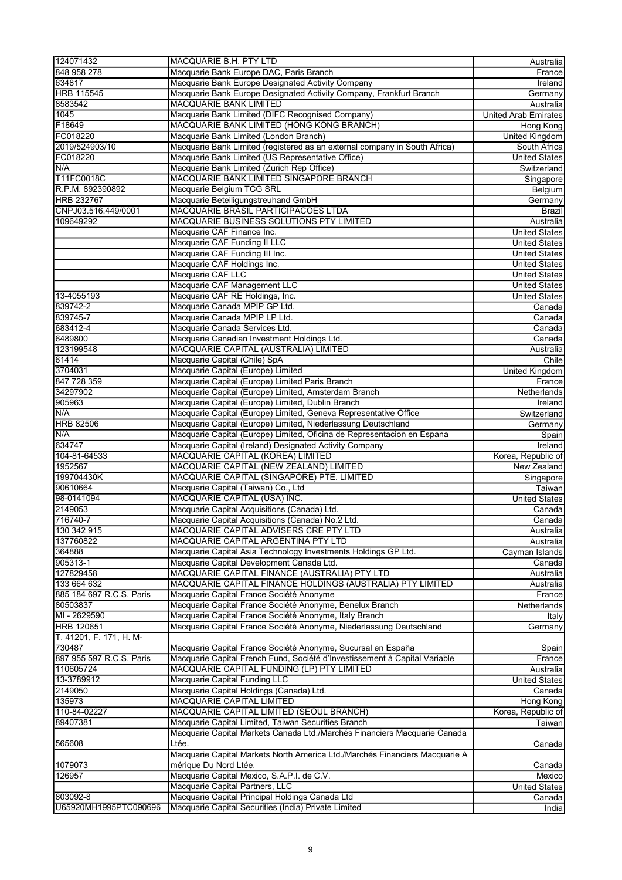| 124071432                | MACQUARIE B.H. PTY LTD                                                                                                                     | Australia                   |
|--------------------------|--------------------------------------------------------------------------------------------------------------------------------------------|-----------------------------|
| 848 958 278              | Macquarie Bank Europe DAC, Paris Branch                                                                                                    | France                      |
| 634817                   | Macquarie Bank Europe Designated Activity Company                                                                                          | Ireland                     |
| <b>HRB 115545</b>        | Macquarie Bank Europe Designated Activity Company, Frankfurt Branch                                                                        | Germany                     |
| 8583542                  | <b>MACQUARIE BANK LIMITED</b>                                                                                                              | Australia                   |
| 1045                     | Macquarie Bank Limited (DIFC Recognised Company)                                                                                           | <b>United Arab Emirates</b> |
| F18649                   | MACQUARIE BANK LIMITED (HONG KONG BRANCH)                                                                                                  |                             |
|                          |                                                                                                                                            | Hong Kong                   |
| FC018220                 | Macquarie Bank Limited (London Branch)                                                                                                     | United Kingdom              |
| 2019/524903/10           | Macquarie Bank Limited (registered as an external company in South Africa)                                                                 | South Africa                |
| FC018220                 | Macquarie Bank Limited (US Representative Office)                                                                                          | <b>United States</b>        |
| N/A                      | Macquarie Bank Limited (Zurich Rep Office)                                                                                                 | Switzerland                 |
| T11FC0018C               | MACQUARIE BANK LIMITED SINGAPORE BRANCH                                                                                                    | Singapore                   |
| R.P.M. 892390892         | Macquarie Belgium TCG SRL                                                                                                                  | Belgium                     |
| <b>HRB 232767</b>        | Macquarie Beteiligungstreuhand GmbH                                                                                                        | Germany                     |
| CNPJ03.516.449/0001      | MACQUARIE BRASIL PARTICIPACOES LTDA                                                                                                        | Brazil                      |
| 109649292                | MACQUARIE BUSINESS SOLUTIONS PTY LIMITED                                                                                                   | Australia                   |
|                          | Macquarie CAF Finance Inc.                                                                                                                 | <b>United States</b>        |
|                          | Macquarie CAF Funding II LLC                                                                                                               | <b>United States</b>        |
|                          | Macquarie CAF Funding III Inc.                                                                                                             | <b>United States</b>        |
|                          | Macquarie CAF Holdings Inc.                                                                                                                | <b>United States</b>        |
|                          | Macquarie CAF LLC                                                                                                                          | <b>United States</b>        |
|                          | Macquarie CAF Management LLC                                                                                                               | <b>United States</b>        |
| 13-4055193               | Macquarie CAF RE Holdings, Inc.                                                                                                            | <b>United States</b>        |
|                          |                                                                                                                                            |                             |
| 839742-2                 | Macquarie Canada MPIP GP Ltd.                                                                                                              | Canada                      |
| 839745-7                 | Macquarie Canada MPIP LP Ltd.                                                                                                              | Canada                      |
| 683412-4                 | Macquarie Canada Services Ltd.                                                                                                             | Canada                      |
| 6489800                  | Macquarie Canadian Investment Holdings Ltd.                                                                                                | Canada                      |
| 123199548                | MACQUARIE CAPITAL (AUSTRALIA) LIMITED                                                                                                      | Australia                   |
| 61414                    | Macquarie Capital (Chile) SpA                                                                                                              | Chile                       |
| 3704031                  | Macquarie Capital (Europe) Limited                                                                                                         | <b>United Kingdom</b>       |
| 847 728 359              | Macquarie Capital (Europe) Limited Paris Branch                                                                                            | France                      |
| 34297902                 | Macquarie Capital (Europe) Limited, Amsterdam Branch                                                                                       | Netherlands                 |
| 905963                   | Macquarie Capital (Europe) Limited, Dublin Branch                                                                                          | Ireland                     |
| N/A                      | Macquarie Capital (Europe) Limited, Geneva Representative Office                                                                           | Switzerland                 |
| <b>HRB 82506</b>         | Macquarie Capital (Europe) Limited, Niederlassung Deutschland                                                                              | Germany                     |
| N/A                      | Macquarie Capital (Europe) Limited, Oficina de Representacion en Espana                                                                    | Spain                       |
| 634747                   | Macquarie Capital (Ireland) Designated Activity Company                                                                                    | <b>Ireland</b>              |
| 104-81-64533             | MACQUARIE CAPITAL (KOREA) LIMITED                                                                                                          | Korea, Republic of          |
| 1952567                  | MACQUARIE CAPITAL (NEW ZEALAND) LIMITED                                                                                                    | New Zealand                 |
|                          |                                                                                                                                            |                             |
| 199704430K               | MACQUARIE CAPITAL (SINGAPORE) PTE. LIMITED                                                                                                 | Singapore                   |
| 90610664                 | Macquarie Capital (Taiwan) Co., Ltd                                                                                                        | Taiwan                      |
| 98-0141094               | MACQUARIE CAPITAL (USA) INC.                                                                                                               | <b>United States</b>        |
| 2149053                  | Macquarie Capital Acquisitions (Canada) Ltd.                                                                                               | Canada                      |
| 716740-7                 | Macquarie Capital Acquisitions (Canada) No.2 Ltd.                                                                                          | Canada                      |
| 130 342 915              | MACQUARIE CAPITAL ADVISERS CRE PTY LTD                                                                                                     | Australia                   |
| 137760822                | MACQUARIE CAPITAL ARGENTINA PTY LTD                                                                                                        | Australia                   |
| 364888                   | Macquarie Capital Asia Technology Investments Holdings GP Ltd.                                                                             | Cayman Islands              |
| 905313-1                 | Macquarie Capital Development Canada Ltd.                                                                                                  | Canada                      |
| 127829458                | MACQUARIE CAPITAL FINANCE (AUSTRALIA) PTY LTD                                                                                              | Australia                   |
| 133 664 632              | MACQUARIE CAPITAL FINANCE HOLDINGS (AUSTRALIA) PTY LIMITED                                                                                 | Australia                   |
| 885 184 697 R.C.S. Paris | Macquarie Capital France Société Anonyme                                                                                                   | France                      |
| 80503837                 | Macquarie Capital France Société Anonyme, Benelux Branch                                                                                   | Netherlands                 |
| MI - 2629590             | Macquarie Capital France Société Anonyme, Italy Branch                                                                                     | Italy                       |
| <b>HRB 120651</b>        | Macquarie Capital France Société Anonyme, Niederlassung Deutschland                                                                        | Germany                     |
| T. 41201, F. 171, H. M-  |                                                                                                                                            |                             |
| 730487                   |                                                                                                                                            |                             |
|                          | Macquarie Capital France Société Anonyme, Sucursal en España<br>Macquarie Capital French Fund, Société d'Investissement à Capital Variable | Spain                       |
| 897 955 597 R.C.S. Paris |                                                                                                                                            | France                      |
| 110605724                | MACQUARIE CAPITAL FUNDING (LP) PTY LIMITED                                                                                                 | Australia                   |
| 13-3789912               | Macquarie Capital Funding LLC                                                                                                              | <b>United States</b>        |
| 2149050                  | Macquarie Capital Holdings (Canada) Ltd.                                                                                                   | Canada                      |
| 135973                   | MACQUARIE CAPITAL LIMITED                                                                                                                  | Hong Kong                   |
| 110-84-02227             | MACQUARIE CAPITAL LIMITED (SEOUL BRANCH)                                                                                                   | Korea, Republic of          |
| 89407381                 | Macquarie Capital Limited, Taiwan Securities Branch                                                                                        | Taiwan∣                     |
|                          | Macquarie Capital Markets Canada Ltd./Marchés Financiers Macquarie Canada                                                                  |                             |
| 565608                   | Ltée.                                                                                                                                      | Canada                      |
|                          | Macquarie Capital Markets North America Ltd./Marchés Financiers Macquarie A                                                                |                             |
| 1079073                  | mérique Du Nord Ltée.                                                                                                                      | Canada                      |
| 126957                   | Macquarie Capital Mexico, S.A.P.I. de C.V.                                                                                                 | Mexico                      |
|                          | Macquarie Capital Partners, LLC                                                                                                            | United States               |
| 803092-8                 | Macquarie Capital Principal Holdings Canada Ltd                                                                                            | Canada                      |
| U65920MH1995PTC090696    | Macquarie Capital Securities (India) Private Limited                                                                                       | India                       |
|                          |                                                                                                                                            |                             |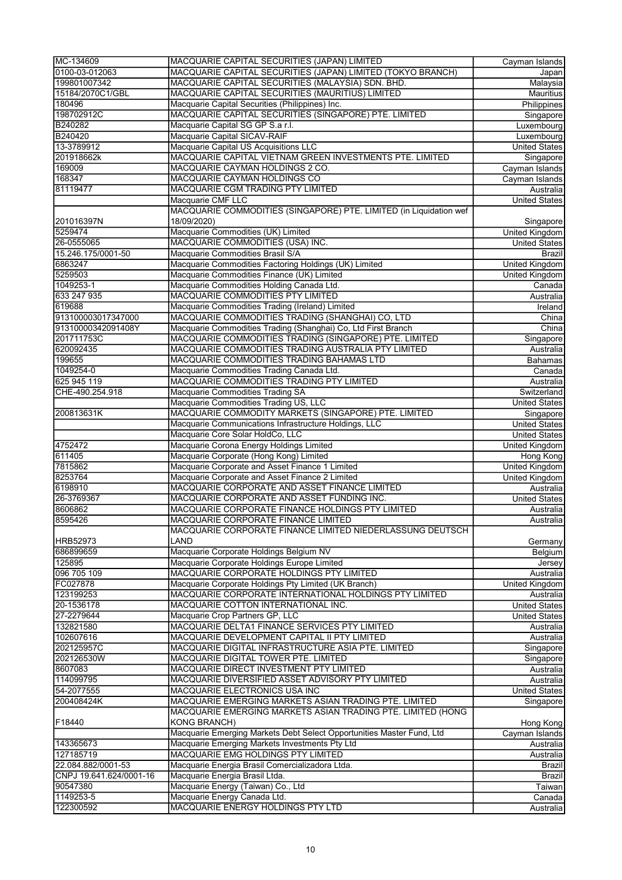| MC-134609               | MACQUARIE CAPITAL SECURITIES (JAPAN) LIMITED                          | Cayman Islands        |
|-------------------------|-----------------------------------------------------------------------|-----------------------|
| 0100-03-012063          | MACQUARIE CAPITAL SECURITIES (JAPAN) LIMITED (TOKYO BRANCH)           | Japan                 |
| 199801007342            | MACQUARIE CAPITAL SECURITIES (MALAYSIA) SDN. BHD.                     | Malaysia              |
| 15184/2070C1/GBL        | MACQUARIE CAPITAL SECURITIES (MAURITIUS) LIMITED                      | <b>Mauritius</b>      |
| 180496                  | Macquarie Capital Securities (Philippines) Inc.                       | Philippines           |
| 198702912C              | MACQUARIE CAPITAL SECURITIES (SINGAPORE) PTE. LIMITED                 | Singapore             |
| B240282                 | Macquarie Capital SG GP S.a r.l.                                      |                       |
|                         |                                                                       | Luxembourg            |
| B240420                 | Macquarie Capital SICAV-RAIF                                          | Luxembourg            |
| 13-3789912              | Macquarie Capital US Acquisitions LLC                                 | <b>United States</b>  |
| 201918662k              | MACQUARIE CAPITAL VIETNAM GREEN INVESTMENTS PTE. LIMITED              | Singapore             |
| 169009                  | MACQUARIE CAYMAN HOLDINGS 2 CO.                                       | Cayman Islands        |
| 168347                  | MACQUARIE CAYMAN HOLDINGS CO                                          | Cayman Islands        |
| 81119477                | MACQUARIE CGM TRADING PTY LIMITED                                     | Australia             |
|                         | Macquarie CMF LLC                                                     | <b>United States</b>  |
|                         | MACQUARIE COMMODITIES (SINGAPORE) PTE. LIMITED (in Liquidation wef    |                       |
| 201016397N              | 18/09/2020)                                                           | Singapore             |
| 5259474                 | Macquarie Commodities (UK) Limited                                    | <b>United Kingdom</b> |
| 26-0555065              | MACQUARIE COMMODITIES (USA) INC.                                      | <b>United States</b>  |
| 15.246.175/0001-50      | Macquarie Commodities Brasil S/A                                      | Brazil                |
| 6863247                 | Macquarie Commodities Factoring Holdings (UK) Limited                 | <b>United Kingdom</b> |
| 5259503                 | Macquarie Commodities Finance (UK) Limited                            | United Kingdom        |
| 1049253-1               | Macquarie Commodities Holding Canada Ltd.                             | Canada                |
| 633 247 935             | MACQUARIE COMMODITIES PTY LIMITED                                     | Australia             |
| 619688                  | Macquarie Commodities Trading (Ireland) Limited                       |                       |
|                         |                                                                       | Ireland               |
| 913100003017347000      | MACQUARIE COMMODITIES TRADING (SHANGHAI) CO, LTD                      | China                 |
| 91310000342091408Y      | Macquarie Commodities Trading (Shanghai) Co, Ltd First Branch         | China                 |
| 201711753C              | MACQUARIE COMMODITIES TRADING (SINGAPORE) PTE. LIMITED                | Singapore             |
| 620092435               | MACQUARIE COMMODITIES TRADING AUSTRALIA PTY LIMITED                   | Australia             |
| 199655                  | MACQUARIE COMMODITIES TRADING BAHAMAS LTD                             | <b>Bahamas</b>        |
| 1049254-0               | Macquarie Commodities Trading Canada Ltd.                             | Canada                |
| 625 945 119             | MACQUARIE COMMODITIES TRADING PTY LIMITED                             | Australia             |
| CHE-490.254.918         | Macquarie Commodities Trading SA                                      | Switzerland           |
|                         | Macquarie Commodities Trading US, LLC                                 | <b>United States</b>  |
| 200813631K              | MACQUARIE COMMODITY MARKETS (SINGAPORE) PTE. LIMITED                  | Singapore             |
|                         | Macquarie Communications Infrastructure Holdings, LLC                 | <b>United States</b>  |
|                         | Macquarie Core Solar HoldCo, LLC                                      | <b>United States</b>  |
| 4752472                 | Macquarie Corona Energy Holdings Limited                              | United Kingdom        |
| 611405                  | Macquarie Corporate (Hong Kong) Limited                               | Hong Kong             |
| 7815862                 | Macquarie Corporate and Asset Finance 1 Limited                       | <b>United Kingdom</b> |
| 8253764                 | Macquarie Corporate and Asset Finance 2 Limited                       | <b>United Kingdom</b> |
| 6198910                 | MACQUARIE CORPORATE AND ASSET FINANCE LIMITED                         | Australia             |
|                         |                                                                       |                       |
| 26-3769367              | MACQUARIE CORPORATE AND ASSET FUNDING INC.                            | <b>United States</b>  |
| 8606862                 | MACQUARIE CORPORATE FINANCE HOLDINGS PTY LIMITED                      | Australia             |
| 8595426                 | MACQUARIE CORPORATE FINANCE LIMITED                                   | Australia             |
|                         | MACQUARIE CORPORATE FINANCE LIMITED NIEDERLASSUNG DEUTSCH             |                       |
| <b>HRB52973</b>         | LAND                                                                  | Germany               |
| 686899659               | Macquarie Corporate Holdings Belgium NV                               | Belgium               |
| 125895                  | Macquarie Corporate Holdings Europe Limited                           | Jersey                |
| 096 705 109             | MACQUARIE CORPORATE HOLDINGS PTY LIMITED                              | Australia             |
| FC027878                | Macquarie Corporate Holdings Pty Limited (UK Branch)                  | <b>United Kingdom</b> |
| 123199253               | MACQUARIE CORPORATE INTERNATIONAL HOLDINGS PTY LIMITED                | Australia             |
| 20-1536178              | MACQUARIE COTTON INTERNATIONAL INC.                                   | <b>United States</b>  |
| 27-2279644              | Macquarie Crop Partners GP, LLC                                       | <b>United States</b>  |
| 132821580               | MACQUARIE DELTA1 FINANCE SERVICES PTY LIMITED                         | Australia             |
| 102607616               | MACQUARIE DEVELOPMENT CAPITAL II PTY LIMITED                          | Australia             |
| 202125957C              | MACQUARIE DIGITAL INFRASTRUCTURE ASIA PTE. LIMITED                    | Singapore             |
| 202126530W              | MACQUARIE DIGITAL TOWER PTE. LIMITED                                  | Singapore             |
| 8607083                 | MACQUARIE DIRECT INVESTMENT PTY LIMITED                               | Australia             |
| 114099795               | MACQUARIE DIVERSIFIED ASSET ADVISORY PTY LIMITED                      | Australia             |
| 54-2077555              | MACQUARIE ELECTRONICS USA INC                                         | <b>United States</b>  |
|                         |                                                                       |                       |
| 200408424K              | MACQUARIE EMERGING MARKETS ASIAN TRADING PTE. LIMITED                 | Singapore             |
|                         | MACQUARIE EMERGING MARKETS ASIAN TRADING PTE. LIMITED (HONG           |                       |
| F18440                  | <b>KONG BRANCH)</b>                                                   | Hong Kong             |
|                         | Macquarie Emerging Markets Debt Select Opportunities Master Fund, Ltd | Cayman Islands        |
| 143365673               | Macquarie Emerging Markets Investments Pty Ltd                        | Australia             |
| 127185719               | MACQUARIE EMG HOLDINGS PTY LIMITED                                    | Australia             |
| 22.084.882/0001-53      | Macquarie Energia Brasil Comercializadora Ltda.                       | Brazil                |
| CNPJ 19.641.624/0001-16 | Macquarie Energia Brasil Ltda.                                        | Brazil                |
| 90547380                | Macquarie Energy (Taiwan) Co., Ltd                                    | Taiwan                |
| 1149253-5               | Macquarie Energy Canada Ltd.                                          | Canada                |
| 122300592               | MACQUARIE ENERGY HOLDINGS PTY LTD                                     | Australia             |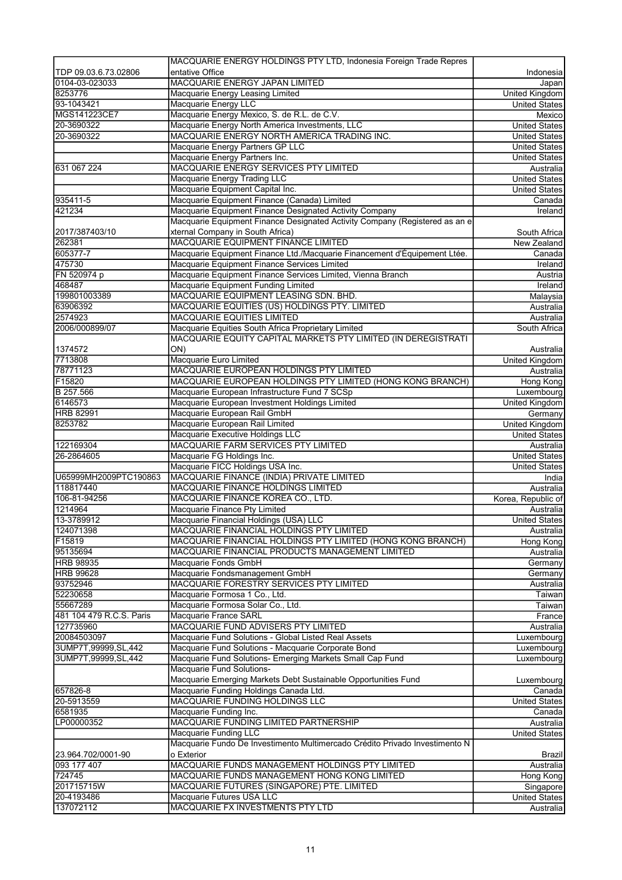|                                   | MACQUARIE ENERGY HOLDINGS PTY LTD, Indonesia Foreign Trade Repres                                    |                                              |
|-----------------------------------|------------------------------------------------------------------------------------------------------|----------------------------------------------|
| TDP 09.03.6.73.02806              | entative Office                                                                                      | Indonesia                                    |
| 0104-03-023033                    | MACQUARIE ENERGY JAPAN LIMITED                                                                       | Japan                                        |
| 8253776                           | Macquarie Energy Leasing Limited                                                                     | <b>United Kingdom</b>                        |
| 93-1043421                        | Macquarie Energy LLC                                                                                 | <b>United States</b>                         |
| MGS141223CE7                      | Macquarie Energy Mexico, S. de R.L. de C.V.                                                          | Mexico                                       |
| 20-3690322                        | Macquarie Energy North America Investments, LLC                                                      | <b>United States</b>                         |
| 20-3690322                        | MACQUARIE ENERGY NORTH AMERICA TRADING INC.<br>Macquarie Energy Partners GP LLC                      | <b>United States</b><br><b>United States</b> |
|                                   | Macquarie Energy Partners Inc.                                                                       | <b>United States</b>                         |
| 631 067 224                       | MACQUARIE ENERGY SERVICES PTY LIMITED                                                                | Australia                                    |
|                                   | Macquarie Energy Trading LLC                                                                         | <b>United States</b>                         |
|                                   | Macquarie Equipment Capital Inc.                                                                     | <b>United States</b>                         |
| 935411-5                          | Macquarie Equipment Finance (Canada) Limited                                                         | Canada                                       |
| 421234                            | Macquarie Equipment Finance Designated Activity Company                                              | Ireland                                      |
|                                   | Macquarie Equipment Finance Designated Activity Company (Registered as an e                          |                                              |
| 2017/387403/10                    | xternal Company in South Africa)                                                                     | South Africa                                 |
| 262381                            | MACQUARIE EQUIPMENT FINANCE LIMITED                                                                  | New Zealand                                  |
| 605377-7                          | Macquarie Equipment Finance Ltd./Macquarie Financement d'Équipement Ltée.                            | Canada                                       |
| 475730                            | Macquarie Equipment Finance Services Limited                                                         | Ireland                                      |
| FN 520974 p                       | Macquarie Equipment Finance Services Limited, Vienna Branch                                          | Austria                                      |
| 468487                            | Macquarie Equipment Funding Limited                                                                  | Ireland                                      |
| 199801003389                      | MACQUARIE EQUIPMENT LEASING SDN. BHD.                                                                | Malaysia                                     |
| 63906392                          | MACQUARIE EQUITIES (US) HOLDINGS PTY. LIMITED                                                        | Australia                                    |
| 2574923                           | <b>MACQUARIE EQUITIES LIMITED</b>                                                                    | Australia                                    |
| 2006/000899/07                    | Macquarie Equities South Africa Proprietary Limited                                                  | South Africa                                 |
|                                   | MACQUARIE EQUITY CAPITAL MARKETS PTY LIMITED (IN DEREGISTRATI                                        |                                              |
| 1374572                           | ON)                                                                                                  | Australia                                    |
| 7713808                           | Macquarie Euro Limited                                                                               | United Kingdom                               |
| 78771123                          | MACQUARIE EUROPEAN HOLDINGS PTY LIMITED                                                              | Australia                                    |
| F15820                            | MACQUARIE EUROPEAN HOLDINGS PTY LIMITED (HONG KONG BRANCH)                                           | Hong Kong                                    |
| B 257.566                         | Macquarie European Infrastructure Fund 7 SCSp                                                        | Luxembourg                                   |
| 6146573                           | Macquarie European Investment Holdings Limited                                                       | United Kingdom                               |
| <b>HRB 82991</b>                  | Macquarie European Rail GmbH                                                                         | Germany                                      |
| 8253782                           | Macquarie European Rail Limited                                                                      | <b>United Kingdom</b>                        |
|                                   | Macquarie Executive Holdings LLC                                                                     | <b>United States</b>                         |
| 122169304                         | MACQUARIE FARM SERVICES PTY LIMITED                                                                  | Australia                                    |
| 26-2864605                        | Macquarie FG Holdings Inc.                                                                           | <b>United States</b>                         |
|                                   | Macquarie FICC Holdings USA Inc.                                                                     | <b>United States</b>                         |
| U65999MH2009PTC190863             | MACQUARIE FINANCE (INDIA) PRIVATE LIMITED                                                            | India                                        |
| 118817440                         | MACQUARIE FINANCE HOLDINGS LIMITED                                                                   | Australia                                    |
| 106-81-94256                      | MACQUARIE FINANCE KOREA CO., LTD.                                                                    | Korea, Republic of                           |
| 1214964                           | Macquarie Finance Pty Limited                                                                        | Australia                                    |
| 13-3789912                        | Macquarie Financial Holdings (USA) LLC                                                               | <b>United States</b>                         |
| 124071398                         | MACQUARIE FINANCIAL HOLDINGS PTY LIMITED                                                             | Australia                                    |
| F15819                            | MACQUARIE FINANCIAL HOLDINGS PTY LIMITED (HONG KONG BRANCH)                                          | Hong Kong                                    |
| 95135694                          | MACQUARIE FINANCIAL PRODUCTS MANAGEMENT LIMITED                                                      | Australia                                    |
| <b>HRB 98935</b>                  | Macquarie Fonds GmbH                                                                                 | Germany                                      |
| <b>HRB 99628</b>                  | Macquarie Fondsmanagement GmbH                                                                       | Germany                                      |
| 93752946                          | MACQUARIE FORESTRY SERVICES PTY LIMITED                                                              | Australia                                    |
| 52230658                          | Macquarie Formosa 1 Co., Ltd.                                                                        | Taiwan                                       |
| 55667289                          | Macquarie Formosa Solar Co., Ltd.                                                                    | Taiwan                                       |
| 481 104 479 R.C.S. Paris          | Macquarie France SARL                                                                                | France                                       |
| 127735960                         | MACQUARIE FUND ADVISERS PTY LIMITED                                                                  | Australia                                    |
| 20084503097                       | Macquarie Fund Solutions - Global Listed Real Assets                                                 | Luxembourg                                   |
| 3UMP7T,99999,SL,442               | Macquarie Fund Solutions - Macquarie Corporate Bond                                                  | Luxembourg                                   |
| 3UMP7T,99999,SL,442               | Macquarie Fund Solutions- Emerging Markets Small Cap Fund                                            | Luxembourg                                   |
|                                   | Macquarie Fund Solutions-                                                                            |                                              |
|                                   | Macquarie Emerging Markets Debt Sustainable Opportunities Fund                                       | Luxembourg                                   |
| 657826-8                          | Macquarie Funding Holdings Canada Ltd.                                                               |                                              |
| 20-5913559                        | MACQUARIE FUNDING HOLDINGS LLC                                                                       | Canada<br>United States                      |
| 6581935                           | Macquarie Funding Inc.                                                                               | Canada                                       |
|                                   | MACQUARIE FUNDING LIMITED PARTNERSHIP                                                                |                                              |
| LP00000352                        |                                                                                                      | Australia                                    |
|                                   | Macquarie Funding LLC<br>Macquarie Fundo De Investimento Multimercado Crédito Privado Investimento N | <b>United States</b>                         |
|                                   | o Exterior                                                                                           |                                              |
| 23.964.702/0001-90<br>093 177 407 | MACQUARIE FUNDS MANAGEMENT HOLDINGS PTY LIMITED                                                      | Brazil                                       |
| 724745                            | MACQUARIE FUNDS MANAGEMENT HONG KONG LIMITED                                                         | Australia                                    |
| 201715715W                        |                                                                                                      | Hong Kong                                    |
| 20-4193486                        | MACQUARIE FUTURES (SINGAPORE) PTE. LIMITED                                                           | Singapore                                    |
|                                   | Macquarie Futures USA LLC                                                                            | United States                                |
| 137072112                         | MACQUARIE FX INVESTMENTS PTY LTD                                                                     | Australia                                    |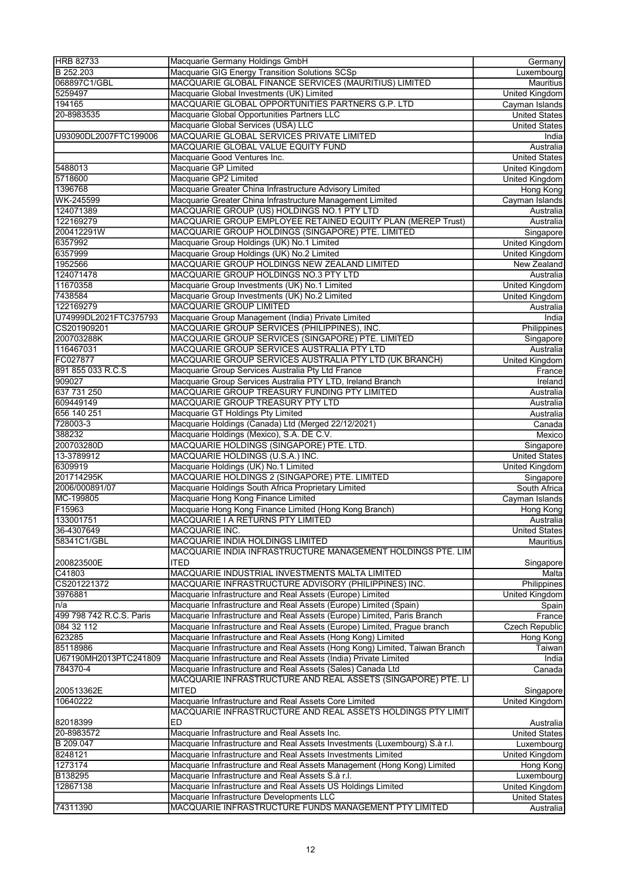| <b>HRB 82733</b>                   | Macquarie Germany Holdings GmbH                                             | Germany               |
|------------------------------------|-----------------------------------------------------------------------------|-----------------------|
| B 252.203                          | Macquarie GIG Energy Transition Solutions SCSp                              | Luxembourg            |
| 068897C1/GBL                       | MACQUARIE GLOBAL FINANCE SERVICES (MAURITIUS) LIMITED                       | <b>Mauritius</b>      |
|                                    |                                                                             |                       |
| 5259497                            | Macquarie Global Investments (UK) Limited                                   | United Kingdom        |
| 194165                             | MACQUARIE GLOBAL OPPORTUNITIES PARTNERS G.P. LTD                            | Cayman Islands        |
| 20-8983535                         | Macquarie Global Opportunities Partners LLC                                 | <b>United States</b>  |
|                                    | Macquarie Global Services (USA) LLC                                         | <b>United States</b>  |
| U93090DL2007FTC199006              | MACQUARIE GLOBAL SERVICES PRIVATE LIMITED                                   | India                 |
|                                    | MACQUARIE GLOBAL VALUE EQUITY FUND                                          | Australia             |
|                                    | Macquarie Good Ventures Inc.                                                | <b>United States</b>  |
|                                    |                                                                             |                       |
| 5488013                            | Macquarie GP Limited                                                        | <b>United Kingdom</b> |
| 5718600                            | Macquarie GP2 Limited                                                       | <b>United Kingdom</b> |
| 1396768                            | Macquarie Greater China Infrastructure Advisory Limited                     | Hong Kong             |
| WK-245599                          | Macquarie Greater China Infrastructure Management Limited                   | Cayman Islands        |
| 124071389                          | MACQUARIE GROUP (US) HOLDINGS NO.1 PTY LTD                                  | Australia             |
| 122169279                          | MACQUARIE GROUP EMPLOYEE RETAINED EQUITY PLAN (MEREP Trust)                 | Australia             |
| 200412291W                         | MACQUARIE GROUP HOLDINGS (SINGAPORE) PTE. LIMITED                           | Singapore             |
| 6357992                            | Macquarie Group Holdings (UK) No.1 Limited                                  | <b>United Kingdom</b> |
| 6357999                            | Macquarie Group Holdings (UK) No.2 Limited                                  | <b>United Kingdom</b> |
|                                    |                                                                             |                       |
| 1952566                            | MACQUARIE GROUP HOLDINGS NEW ZEALAND LIMITED                                | New Zealand           |
| 124071478                          | MACQUARIE GROUP HOLDINGS NO.3 PTY LTD                                       | Australia             |
| 11670358                           | Macquarie Group Investments (UK) No.1 Limited                               | <b>United Kingdom</b> |
| 7438584                            | Macquarie Group Investments (UK) No.2 Limited                               | <b>United Kingdom</b> |
| 122169279                          | <b>MACQUARIE GROUP LIMITED</b>                                              | Australia             |
| U74999DL2021FTC375793              | Macquarie Group Management (India) Private Limited                          | India                 |
| CS201909201                        | MACQUARIE GROUP SERVICES (PHILIPPINES), INC.                                | Philippines           |
| 200703288K                         | MACQUARIE GROUP SERVICES (SINGAPORE) PTE. LIMITED                           | Singapore             |
| 116467031                          | MACQUARIE GROUP SERVICES AUSTRALIA PTY LTD                                  | Australia             |
|                                    |                                                                             |                       |
| FC027877                           | MACQUARIE GROUP SERVICES AUSTRALIA PTY LTD (UK BRANCH)                      | United Kingdom        |
| 891 855 033 R.C.S                  | Macquarie Group Services Australia Pty Ltd France                           | France                |
| 909027                             | Macquarie Group Services Australia PTY LTD, Ireland Branch                  | Ireland               |
| 637 731 250                        | MACQUARIE GROUP TREASURY FUNDING PTY LIMITED                                | Australia             |
| 609449149                          | MACQUARIE GROUP TREASURY PTY LTD                                            | Australia             |
| 656 140 251                        | Macquarie GT Holdings Pty Limited                                           | Australia             |
| 728003-3                           | Macquarie Holdings (Canada) Ltd (Merged 22/12/2021)                         | Canada                |
| 388232                             | Macquarie Holdings (Mexico), S.A. DE C.V.                                   | Mexico                |
| 200703280D                         |                                                                             |                       |
|                                    | MACQUARIE HOLDINGS (SINGAPORE) PTE. LTD.                                    | Singapore             |
| 13-3789912                         | MACQUARIE HOLDINGS (U.S.A.) INC.                                            | <b>United States</b>  |
| 6309919                            | Macquarie Holdings (UK) No.1 Limited                                        | <b>United Kingdom</b> |
| 201714295K                         | MACQUARIE HOLDINGS 2 (SINGAPORE) PTE. LIMITED                               | Singapore             |
| 2006/000891/07                     | Macquarie Holdings South Africa Proprietary Limited                         | South Africa          |
| MC-199805                          | Macquarie Hong Kong Finance Limited                                         | Cayman Islands        |
| F15963                             | Macquarie Hong Kong Finance Limited (Hong Kong Branch)                      | Hong Kong             |
| 133001751                          | MACQUARIE I A RETURNS PTY LIMITED                                           | Australia             |
| 36-4307649                         | <b>MACQUARIE INC.</b>                                                       | <b>United States</b>  |
| 58341C1/GBL                        |                                                                             |                       |
|                                    | MACQUARIE INDIA HOLDINGS LIMITED                                            | Mauritius             |
|                                    | MACQUARIE INDIA INFRASTRUCTURE MANAGEMENT HOLDINGS PTE. LIM                 |                       |
| 200823500E                         | ITED                                                                        | Singapore             |
| C41803                             | MACQUARIE INDUSTRIAL INVESTMENTS MALTA LIMITED                              | Malta                 |
| CS201221372                        | MACQUARIE INFRASTRUCTURE ADVISORY (PHILIPPINES) INC.                        | Philippines           |
| 3976881                            | Macquarie Infrastructure and Real Assets (Europe) Limited                   | United Kingdom        |
| $\overline{\mathsf{n}/\mathsf{a}}$ | Macquarie Infrastructure and Real Assets (Europe) Limited (Spain)           | Spain                 |
| 499 798 742 R.C.S. Paris           | Macquarie Infrastructure and Real Assets (Europe) Limited, Paris Branch     | France                |
| 084 32 112                         | Macquarie Infrastructure and Real Assets (Europe) Limited, Prague branch    | Czech Republic        |
|                                    |                                                                             |                       |
| 623285                             | Macquarie Infrastructure and Real Assets (Hong Kong) Limited                | Hong Kong             |
| 85118986                           | Macquarie Infrastructure and Real Assets (Hong Kong) Limited, Taiwan Branch | Taiwan                |
| U67190MH2013PTC241809              | Macquarie Infrastructure and Real Assets (India) Private Limited            | India                 |
| 784370-4                           | Macquarie Infrastructure and Real Assets (Sales) Canada Ltd                 | Canada                |
|                                    | MACQUARIE INFRASTRUCTURE AND REAL ASSETS (SINGAPORE) PTE. LI                |                       |
| 200513362E                         | <b>MITED</b>                                                                | Singapore             |
| 10640222                           | Macquarie Infrastructure and Real Assets Core Limited                       | United Kingdom        |
|                                    | MACQUARIE INFRASTRUCTURE AND REAL ASSETS HOLDINGS PTY LIMIT                 |                       |
| 82018399                           | ED                                                                          | Australia             |
| 20-8983572                         | Macquarie Infrastructure and Real Assets Inc.                               | <b>United States</b>  |
|                                    |                                                                             |                       |
| B 209.047                          | Macquarie Infrastructure and Real Assets Investments (Luxembourg) S.à r.l.  | Luxembourg            |
| 8248121                            | Macquarie Infrastructure and Real Assets Investments Limited                | United Kingdom        |
| 1273174                            | Macquarie Infrastructure and Real Assets Management (Hong Kong) Limited     | Hong Kong             |
| B138295                            | Macquarie Infrastructure and Real Assets S.à r.l.                           | Luxembourg            |
| 12867138                           | Macquarie Infrastructure and Real Assets US Holdings Limited                | United Kingdom        |
|                                    | Macquarie Infrastructure Developments LLC                                   | United States         |
| 74311390                           | MACQUARIE INFRASTRUCTURE FUNDS MANAGEMENT PTY LIMITED                       | Australia             |
|                                    |                                                                             |                       |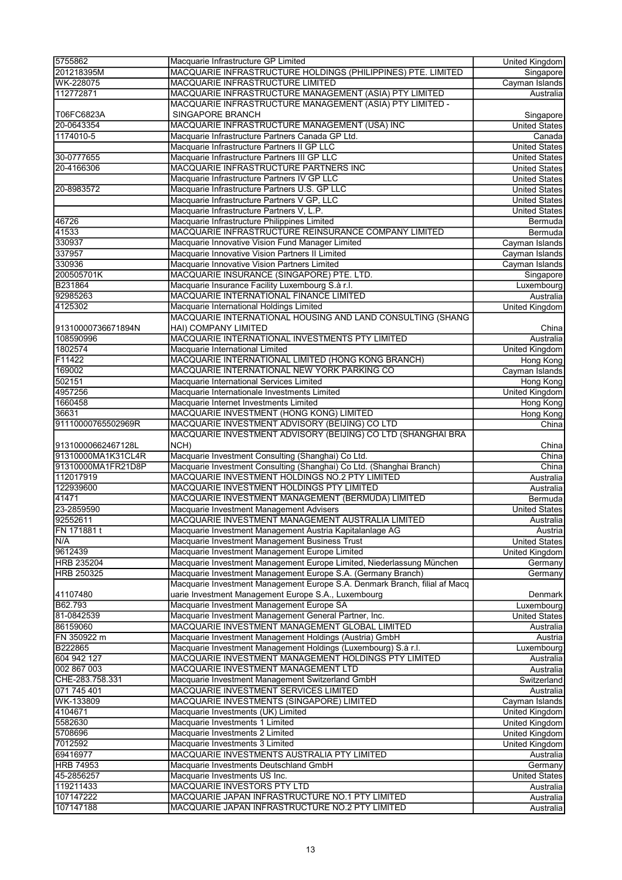| 5755862            | Macquarie Infrastructure GP Limited                                        | <b>United Kingdom</b> |
|--------------------|----------------------------------------------------------------------------|-----------------------|
| 201218395M         | MACQUARIE INFRASTRUCTURE HOLDINGS (PHILIPPINES) PTE. LIMITED               | Singapore             |
| WK-228075          | MACQUARIE INFRASTRUCTURE LIMITED                                           | Cayman Islands        |
| 112772871          | MACQUARIE INFRASTRUCTURE MANAGEMENT (ASIA) PTY LIMITED                     | Australia             |
|                    | MACQUARIE INFRASTRUCTURE MANAGEMENT (ASIA) PTY LIMITED -                   |                       |
| T06FC6823A         | SINGAPORE BRANCH                                                           | Singapore             |
| 20-0643354         | MACQUARIE INFRASTRUCTURE MANAGEMENT (USA) INC                              | <b>United States</b>  |
| 1174010-5          | Macquarie Infrastructure Partners Canada GP Ltd.                           | Canada                |
|                    | Macquarie Infrastructure Partners II GP LLC                                | <b>United States</b>  |
| 30-0777655         | Macquarie Infrastructure Partners III GP LLC                               | <b>United States</b>  |
| 20-4166306         | MACQUARIE INFRASTRUCTURE PARTNERS INC                                      | <b>United States</b>  |
|                    | Macquarie Infrastructure Partners IV GP LLC                                | <b>United States</b>  |
| 20-8983572         | Macquarie Infrastructure Partners U.S. GP LLC                              | <b>United States</b>  |
|                    | Macquarie Infrastructure Partners V GP, LLC                                | <b>United States</b>  |
|                    | Macquarie Infrastructure Partners V, L.P.                                  | <b>United States</b>  |
| 46726              | Macquarie Infrastructure Philippines Limited                               | Bermuda               |
| 41533              | MACQUARIE INFRASTRUCTURE REINSURANCE COMPANY LIMITED                       | Bermuda               |
| 330937             | Macquarie Innovative Vision Fund Manager Limited                           | Cayman Islands        |
| 337957             | Macquarie Innovative Vision Partners II Limited                            | Cayman Islands        |
| 330936             | Macquarie Innovative Vision Partners Limited                               | Cayman Islands        |
| 200505701K         | MACQUARIE INSURANCE (SINGAPORE) PTE. LTD.                                  | Singapore             |
| B231864            | Macquarie Insurance Facility Luxembourg S.à r.l.                           | Luxembourg            |
| 92985263           | MACQUARIE INTERNATIONAL FINANCE LIMITED                                    | Australia             |
| 4125302            | Macquarie International Holdings Limited                                   | United Kingdom        |
|                    | MACQUARIE INTERNATIONAL HOUSING AND LAND CONSULTING (SHANG                 |                       |
| 91310000736671894N | HAI) COMPANY LIMITED                                                       | China                 |
| 108590996          | MACQUARIE INTERNATIONAL INVESTMENTS PTY LIMITED                            | Australia             |
| 1802574            | Macquarie International Limited                                            | United Kingdom        |
| F11422             | MACQUARIE INTERNATIONAL LIMITED (HONG KONG BRANCH)                         | <b>Hong Kong</b>      |
| 169002             | MACQUARIE INTERNATIONAL NEW YORK PARKING CO                                | Cayman Islands        |
| 502151             | Macquarie International Services Limited                                   | Hong Kong             |
| 4957256            | Macquarie Internationale Investments Limited                               | <b>United Kingdom</b> |
| 1660458            | Macquarie Internet Investments Limited                                     | Hong Kong             |
| 36631              | MACQUARIE INVESTMENT (HONG KONG) LIMITED                                   | Hong Kong             |
| 91110000765502969R | MACQUARIE INVESTMENT ADVISORY (BEIJING) CO LTD                             | China                 |
|                    | MACQUARIE INVESTMENT ADVISORY (BEIJING) CO LTD (SHANGHAI BRA               |                       |
| 91310000662467128L | NCH)                                                                       | China                 |
| 91310000MA1K31CL4R | Macquarie Investment Consulting (Shanghai) Co Ltd.                         | China                 |
| 91310000MA1FR21D8P | Macquarie Investment Consulting (Shanghai) Co Ltd. (Shanghai Branch)       | China                 |
| 112017919          | MACQUARIE INVESTMENT HOLDINGS NO.2 PTY LIMITED                             | Australia             |
| 122939600          | MACQUARIE INVESTMENT HOLDINGS PTY LIMITED                                  | Australia             |
| 41471              | MACQUARIE INVESTMENT MANAGEMENT (BERMUDA) LIMITED                          | Bermuda               |
| 23-2859590         | Macquarie Investment Management Advisers                                   | <b>United States</b>  |
| 92552611           | MACQUARIE INVESTMENT MANAGEMENT AUSTRALIA LIMITED                          | Australia             |
| FN 171881 t        | Macquarie Investment Management Austria Kapitalanlage AG                   | Austria               |
| N/A                | Macquarie Investment Management Business Trust                             | <b>United States</b>  |
| 9612439            | Macquarie Investment Management Europe Limited                             | United Kingdom        |
| <b>HRB 235204</b>  | Macquarie Investment Management Europe Limited, Niederlassung München      | Germany               |
| HRB 250325         | Macquarie Investment Management Europe S.A. (Germany Branch)               | Germany               |
|                    | Macquarie Investment Management Europe S.A. Denmark Branch, filial af Macq |                       |
| 41107480           | uarie Investment Management Europe S.A., Luxembourg                        | Denmark               |
| B62.793            | Macquarie Investment Management Europe SA                                  | Luxembourg            |
| 81-0842539         | Macquarie Investment Management General Partner, Inc.                      | <b>United States</b>  |
| 86159060           | MACQUARIE INVESTMENT MANAGEMENT GLOBAL LIMITED                             | Australia             |
| FN 350922 m        | Macquarie Investment Management Holdings (Austria) GmbH                    | Austria               |
| B222865            | Macquarie Investment Management Holdings (Luxembourg) S.à r.l.             | Luxembourg            |
| 604 942 127        | MACQUARIE INVESTMENT MANAGEMENT HOLDINGS PTY LIMITED                       | Australia             |
| 002 867 003        | MACQUARIE INVESTMENT MANAGEMENT LTD                                        | Australia             |
| CHE-283.758.331    | Macquarie Investment Management Switzerland GmbH                           | Switzerland           |
| 071 745 401        | MACQUARIE INVESTMENT SERVICES LIMITED                                      | Australia             |
| WK-133809          | MACQUARIE INVESTMENTS (SINGAPORE) LIMITED                                  | Cayman Islands        |
| 4104671            | Macquarie Investments (UK) Limited                                         | United Kingdom        |
| 5582630            | Macquarie Investments 1 Limited                                            | United Kingdom        |
| 5708696            | Macquarie Investments 2 Limited                                            | United Kingdom        |
| 7012592            | Macquarie Investments 3 Limited                                            | United Kingdom        |
| 69416977           | MACQUARIE INVESTMENTS AUSTRALIA PTY LIMITED                                | Australia             |
| <b>HRB 74953</b>   | Macquarie Investments Deutschland GmbH                                     | Germany               |
| 45-2856257         | Macquarie Investments US Inc.                                              | United States         |
| 119211433          | MACQUARIE INVESTORS PTY LTD                                                | Australia             |
| 107147222          | MACQUARIE JAPAN INFRASTRUCTURE NO.1 PTY LIMITED                            | Australia             |
| 107147188          | MACQUARIE JAPAN INFRASTRUCTURE NO.2 PTY LIMITED                            | Australia             |
|                    |                                                                            |                       |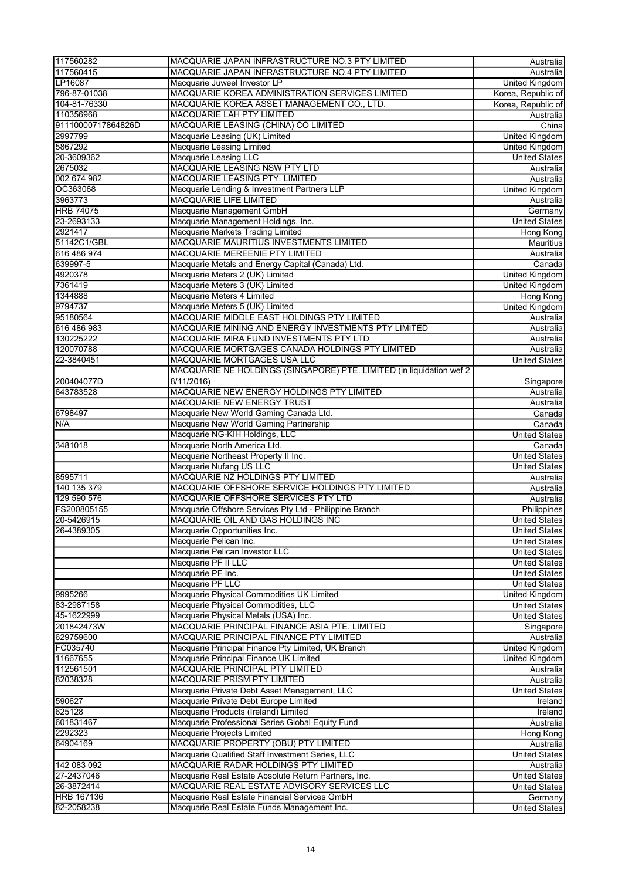| 117560282              | MACQUARIE JAPAN INFRASTRUCTURE NO.3 PTY LIMITED                       | Australia                          |
|------------------------|-----------------------------------------------------------------------|------------------------------------|
| 117560415              | MACQUARIE JAPAN INFRASTRUCTURE NO.4 PTY LIMITED                       | Australia                          |
| LP16087                | Macquarie Juweel Investor LP                                          | <b>United Kingdom</b>              |
| 796-87-01038           | MACQUARIE KOREA ADMINISTRATION SERVICES LIMITED                       | Korea, Republic of                 |
| 104-81-76330           | MACQUARIE KOREA ASSET MANAGEMENT CO., LTD.                            | Korea, Republic of                 |
| 110356968              | MACQUARIE LAH PTY LIMITED                                             | Australia                          |
| 91110000717864826D     | MACQUARIE LEASING (CHINA) CO LIMITED                                  | China                              |
| 2997799                | Macquarie Leasing (UK) Limited                                        | <b>United Kingdom</b>              |
| 5867292                | Macquarie Leasing Limited                                             | United Kingdom                     |
| 20-3609362             | <b>Macquarie Leasing LLC</b><br><b>MACQUARIE LEASING NSW PTY LTD</b>  | <b>United States</b>               |
| 2675032<br>002 674 982 | MACQUARIE LEASING PTY. LIMITED                                        | Australia                          |
| OC363068               | Macquarie Lending & Investment Partners LLP                           | Australia<br><b>United Kingdom</b> |
| 3963773                | <b>MACQUARIE LIFE LIMITED</b>                                         | Australia                          |
| <b>HRB 74075</b>       | Macquarie Management GmbH                                             | Germany                            |
| 23-2693133             | Macquarie Management Holdings, Inc.                                   | <b>United States</b>               |
| 2921417                | Macquarie Markets Trading Limited                                     | Hong Kong                          |
| 51142C1/GBL            | MACQUARIE MAURITIUS INVESTMENTS LIMITED                               | Mauritius                          |
| 616 486 974            | MACQUARIE MEREENIE PTY LIMITED                                        | Australia                          |
| 639997-5               | Macquarie Metals and Energy Capital (Canada) Ltd.                     | Canada                             |
| 4920378                | Macquarie Meters 2 (UK) Limited                                       | <b>United Kingdom</b>              |
| 7361419                | Macquarie Meters 3 (UK) Limited                                       | United Kingdom                     |
| 1344888                | Macquarie Meters 4 Limited                                            | <b>Hong Kong</b>                   |
| 9794737                | Macquarie Meters 5 (UK) Limited                                       | <b>United Kingdom</b>              |
| 95180564               | MACQUARIE MIDDLE EAST HOLDINGS PTY LIMITED                            | Australia                          |
| 616 486 983            | MACQUARIE MINING AND ENERGY INVESTMENTS PTY LIMITED                   | Australia                          |
| 130225222              | MACQUARIE MIRA FUND INVESTMENTS PTY LTD                               | Australia                          |
| 120070788              | MACQUARIE MORTGAGES CANADA HOLDINGS PTY LIMITED                       | Australia                          |
| 22-3840451             | MACQUARIE MORTGAGES USA LLC                                           | <b>United States</b>               |
|                        | MACQUARIE NE HOLDINGS (SINGAPORE) PTE. LIMITED (in liquidation wef 2  |                                    |
| 200404077D             | 8/11/2016)                                                            | Singapore                          |
| 643783528              | MACQUARIE NEW ENERGY HOLDINGS PTY LIMITED                             | Australia                          |
|                        | MACQUARIE NEW ENERGY TRUST                                            | Australia                          |
| 6798497                | Macquarie New World Gaming Canada Ltd.                                | Canada                             |
| N/A                    | Macquarie New World Gaming Partnership                                | Canada                             |
|                        | Macquarie NG-KIH Holdings, LLC                                        | <b>United States</b>               |
| 3481018                | Macquarie North America Ltd.                                          | Canada                             |
|                        | Macquarie Northeast Property II Inc.                                  | <b>United States</b>               |
|                        | Macquarie Nufang US LLC                                               | <b>United States</b>               |
| 8595711                | MACQUARIE NZ HOLDINGS PTY LIMITED                                     | Australia                          |
| 140 135 379            | MACQUARIE OFFSHORE SERVICE HOLDINGS PTY LIMITED                       | Australia                          |
| 129 590 576            | MACQUARIE OFFSHORE SERVICES PTY LTD                                   | Australia                          |
| FS200805155            | Macquarie Offshore Services Pty Ltd - Philippine Branch               | Philippines                        |
| 20-5426915             | MACQUARIE OIL AND GAS HOLDINGS INC                                    | <b>United States</b>               |
| 26-4389305             | Macquarie Opportunities Inc.                                          | <b>United States</b>               |
|                        | Macquarie Pelican Inc.                                                | <b>United States</b>               |
|                        | Macquarie Pelican Investor LLC                                        | <b>United States</b>               |
|                        | Macquarie PF II LLC                                                   | United States                      |
|                        | Macquarie PF Inc.                                                     | <b>United States</b>               |
|                        | Macquarie PF LLC                                                      | <b>United States</b>               |
| 9995266                | Macquarie Physical Commodities UK Limited                             | United Kingdom                     |
| 83-2987158             | Macquarie Physical Commodities, LLC                                   | <b>United States</b>               |
| 45-1622999             | Macquarie Physical Metals (USA) Inc.                                  | <b>United States</b>               |
| 201842473W             | MACQUARIE PRINCIPAL FINANCE ASIA PTE. LIMITED                         | Singapore                          |
| 629759600              | MACQUARIE PRINCIPAL FINANCE PTY LIMITED                               | Australia                          |
| FC035740               | Macquarie Principal Finance Pty Limited, UK Branch                    | United Kingdom                     |
| 11667655               | Macquarie Principal Finance UK Limited                                | United Kingdom                     |
| 112561501<br>82038328  | MACQUARIE PRINCIPAL PTY LIMITED<br><b>MACQUARIE PRISM PTY LIMITED</b> | Australia<br>Australia             |
|                        | Macquarie Private Debt Asset Management, LLC                          |                                    |
| 590627                 | Macquarie Private Debt Europe Limited                                 | <b>United States</b><br>Ireland    |
| 625128                 | Macquarie Products (Ireland) Limited                                  |                                    |
| 601831467              | Macquarie Professional Series Global Equity Fund                      | Ireland<br>Australia               |
| 2292323                | Macquarie Projects Limited                                            | Hong Kong                          |
| 64904169               | MACQUARIE PROPERTY (OBU) PTY LIMITED                                  | Australia                          |
|                        | Macquarie Qualified Staff Investment Series, LLC                      | <b>United States</b>               |
| 142 083 092            | MACQUARIE RADAR HOLDINGS PTY LIMITED                                  | Australia                          |
| 27-2437046             | Macquarie Real Estate Absolute Return Partners, Inc.                  | United States                      |
| 26-3872414             | MACQUARIE REAL ESTATE ADVISORY SERVICES LLC                           | <b>United States</b>               |
| <b>HRB 167136</b>      | Macquarie Real Estate Financial Services GmbH                         | Germany                            |
| 82-2058238             | Macquarie Real Estate Funds Management Inc.                           | <b>United States</b>               |
|                        |                                                                       |                                    |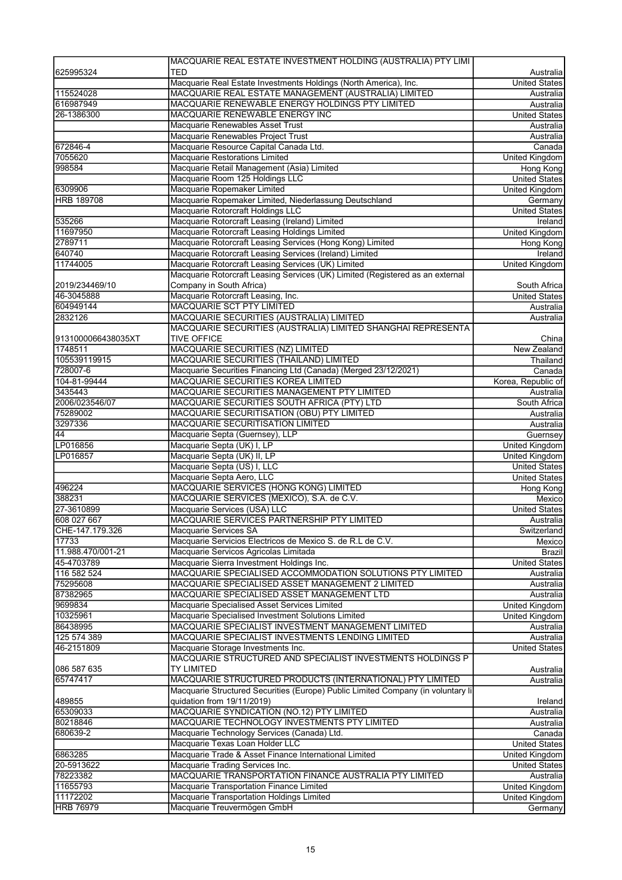|                                          | MACQUARIE REAL ESTATE INVESTMENT HOLDING (AUSTRALIA) PTY LIMI                    |                             |
|------------------------------------------|----------------------------------------------------------------------------------|-----------------------------|
| 625995324                                | <b>TED</b>                                                                       | Australia                   |
|                                          | Macquarie Real Estate Investments Holdings (North America), Inc.                 | <b>United States</b>        |
| 115524028                                | MACQUARIE REAL ESTATE MANAGEMENT (AUSTRALIA) LIMITED                             | Australia                   |
| 616987949                                | MACQUARIE RENEWABLE ENERGY HOLDINGS PTY LIMITED                                  | Australia                   |
| 26-1386300                               | MACQUARIE RENEWABLE ENERGY INC                                                   | <b>United States</b>        |
|                                          | Macquarie Renewables Asset Trust                                                 | Australia                   |
| 672846-4                                 | Macquarie Renewables Project Trust<br>Macquarie Resource Capital Canada Ltd.     | Australia                   |
| 7055620                                  | Macquarie Restorations Limited                                                   | Canada                      |
| 998584                                   | Macquarie Retail Management (Asia) Limited                                       | United Kingdom<br>Hong Kong |
|                                          | Macquarie Room 125 Holdings LLC                                                  | <b>United States</b>        |
| 6309906                                  | Macquarie Ropemaker Limited                                                      | United Kingdom              |
| <b>HRB 189708</b>                        | Macquarie Ropemaker Limited, Niederlassung Deutschland                           | Germany                     |
|                                          | Macquarie Rotorcraft Holdings LLC                                                | <b>United States</b>        |
| 535266                                   | Macquarie Rotorcraft Leasing (Ireland) Limited                                   | Ireland                     |
| 11697950                                 | Macquarie Rotorcraft Leasing Holdings Limited                                    | United Kingdom              |
| 2789711                                  | Macquarie Rotorcraft Leasing Services (Hong Kong) Limited                        | Hong Kong                   |
| 640740                                   | Macquarie Rotorcraft Leasing Services (Ireland) Limited                          | Ireland                     |
| 11744005                                 | Macquarie Rotorcraft Leasing Services (UK) Limited                               | <b>United Kingdom</b>       |
|                                          | Macquarie Rotorcraft Leasing Services (UK) Limited (Registered as an external    |                             |
| 2019/234469/10                           | Company in South Africa)                                                         | South Africa                |
| 46-3045888                               | Macquarie Rotorcraft Leasing, Inc.                                               | <b>United States</b>        |
| 604949144                                | <b>MACQUARIE SCT PTY LIMITED</b>                                                 | Australia                   |
| 2832126                                  | MACQUARIE SECURITIES (AUSTRALIA) LIMITED                                         | Australia                   |
|                                          | MACQUARIE SECURITIES (AUSTRALIA) LIMITED SHANGHAI REPRESENTA                     |                             |
| 9131000066438035XT                       | <b>TIVE OFFICE</b>                                                               | China                       |
| 1748511<br>105539119915                  | MACQUARIE SECURITIES (NZ) LIMITED<br>MACQUARIE SECURITIES (THAILAND) LIMITED     | <b>New Zealand</b>          |
| 728007-6                                 | Macquarie Securities Financing Ltd (Canada) (Merged 23/12/2021)                  | Thailand<br>Canada          |
| 104-81-99444                             | MACQUARIE SECURITIES KOREA LIMITED                                               | Korea, Republic of          |
| 3435443                                  | MACQUARIE SECURITIES MANAGEMENT PTY LIMITED                                      | Australia                   |
| 2006/023546/07                           | MACQUARIE SECURITIES SOUTH AFRICA (PTY) LTD                                      | South Africa                |
| 75289002                                 | MACQUARIE SECURITISATION (OBU) PTY LIMITED                                       | Australia                   |
| 3297336                                  | <b>MACQUARIE SECURITISATION LIMITED</b>                                          | Australia                   |
| 44                                       | Macquarie Septa (Guernsey), LLP                                                  | Guernsey                    |
| LP016856                                 | Macquarie Septa (UK) I, LP                                                       |                             |
|                                          |                                                                                  |                             |
|                                          |                                                                                  | United Kingdom              |
| LP016857                                 | Macquarie Septa (UK) II, LP                                                      | United Kingdom              |
|                                          | Macquarie Septa (US) I, LLC                                                      | <b>United States</b>        |
|                                          | Macquarie Septa Aero, LLC                                                        | <b>United States</b>        |
| 496224                                   | MACQUARIE SERVICES (HONG KONG) LIMITED                                           | Hong Kong<br>Mexico         |
| 27-3610899                               | MACQUARIE SERVICES (MEXICO), S.A. de C.V.                                        |                             |
|                                          | Macquarie Services (USA) LLC                                                     | <b>United States</b>        |
| 388231<br>608 027 667<br>CHE-147.179.326 | MACQUARIE SERVICES PARTNERSHIP PTY LIMITED<br>Macquarie Services SA              | Australia<br>Switzerland    |
| 17733                                    | Macquarie Servicios Electricos de Mexico S. de R.L de C.V.                       | Mexico                      |
| 11.988.470/001-21                        | Macquarie Servicos Agricolas Limitada                                            | Brazil                      |
| 45-4703789                               | Macquarie Sierra Investment Holdings Inc.                                        | <b>United States</b>        |
| 116 582 524                              | MACQUARIE SPECIALISED ACCOMMODATION SOLUTIONS PTY LIMITED                        | Australia                   |
| 75295608                                 | MACQUARIE SPECIALISED ASSET MANAGEMENT 2 LIMITED                                 | Australia                   |
| 87382965                                 | MACQUARIE SPECIALISED ASSET MANAGEMENT LTD                                       | Australia                   |
| 9699834                                  | Macquarie Specialised Asset Services Limited                                     | United Kingdom              |
| 10325961                                 | Macquarie Specialised Investment Solutions Limited                               | United Kingdom              |
| 86438995                                 | MACQUARIE SPECIALIST INVESTMENT MANAGEMENT LIMITED                               | Australia                   |
| 125 574 389                              | MACQUARIE SPECIALIST INVESTMENTS LENDING LIMITED                                 | Australia                   |
| 46-2151809                               | Macquarie Storage Investments Inc.                                               | <b>United States</b>        |
|                                          | MACQUARIE STRUCTURED AND SPECIALIST INVESTMENTS HOLDINGS P                       |                             |
| 086 587 635                              | TY LIMITED                                                                       | Australia                   |
| 65747417                                 | MACQUARIE STRUCTURED PRODUCTS (INTERNATIONAL) PTY LIMITED                        | Australia                   |
|                                          | Macquarie Structured Securities (Europe) Public Limited Company (in voluntary li |                             |
| 489855                                   | quidation from 19/11/2019)                                                       | Ireland                     |
| 65309033                                 | MACQUARIE SYNDICATION (NO.12) PTY LIMITED                                        | Australia                   |
| 80218846                                 | MACQUARIE TECHNOLOGY INVESTMENTS PTY LIMITED                                     | Australia                   |
| 680639-2                                 | Macquarie Technology Services (Canada) Ltd.                                      | Canada                      |
|                                          | Macquarie Texas Loan Holder LLC                                                  | <b>United States</b>        |
| 6863285                                  | Macquarie Trade & Asset Finance International Limited                            | <b>United Kingdom</b>       |
| 20-5913622                               | Macquarie Trading Services Inc.                                                  | United States               |
| 78223382                                 | MACQUARIE TRANSPORTATION FINANCE AUSTRALIA PTY LIMITED                           | Australia                   |
| 11655793                                 | Macquarie Transportation Finance Limited                                         | United Kingdom              |
| 11172202<br><b>HRB 76979</b>             | Macquarie Transportation Holdings Limited<br>Macquarie Treuvermögen GmbH         | United Kingdom<br>Germany   |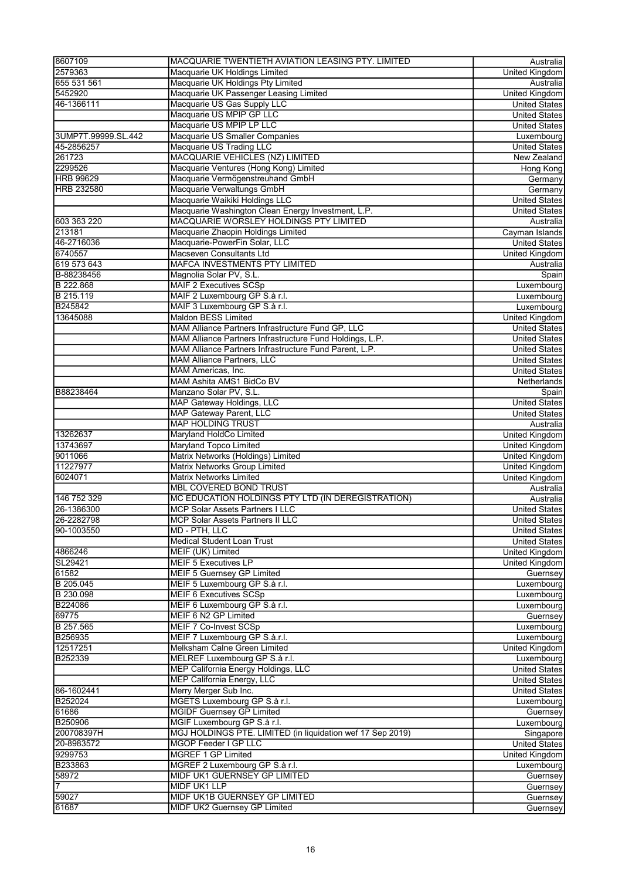| 8607109             | MACQUARIE TWENTIETH AVIATION LEASING PTY. LIMITED          | Australia             |
|---------------------|------------------------------------------------------------|-----------------------|
| 2579363             | Macquarie UK Holdings Limited                              | <b>United Kingdom</b> |
| 655 531 561         | Macquarie UK Holdings Pty Limited                          | Australia             |
| 5452920             | Macquarie UK Passenger Leasing Limited                     | United Kingdom        |
| 46-1366111          | Macquarie US Gas Supply LLC                                | <b>United States</b>  |
|                     | Macquarie US MPIP GP LLC                                   | <b>United States</b>  |
|                     | Macquarie US MPIP LP LLC                                   | <b>United States</b>  |
| 3UMP7T.99999.SL.442 | Macquarie US Smaller Companies                             | Luxembourg            |
| 45-2856257          | Macquarie US Trading LLC                                   |                       |
| 261723              | <b>MACQUARIE VEHICLES (NZ) LIMITED</b>                     | <b>United States</b>  |
|                     |                                                            | New Zealand           |
| 2299526             | Macquarie Ventures (Hong Kong) Limited                     | <b>Hong Kong</b>      |
| <b>HRB 99629</b>    | Macquarie Vermögenstreuhand GmbH                           | Germany               |
| <b>HRB 232580</b>   | Macquarie Verwaltungs GmbH                                 | Germany               |
|                     | Macquarie Waikiki Holdings LLC                             | <b>United States</b>  |
|                     | Macquarie Washington Clean Energy Investment, L.P.         | <b>United States</b>  |
| 603 363 220         | MACQUARIE WORSLEY HOLDINGS PTY LIMITED                     | Australia             |
| 213181              | Macquarie Zhaopin Holdings Limited                         | Cayman Islands        |
| 46-2716036          | Macquarie-PowerFin Solar, LLC                              | <b>United States</b>  |
| 6740557             | Macseven Consultants Ltd                                   | United Kingdom        |
| 619 573 643         | <b>MAFCA INVESTMENTS PTY LIMITED</b>                       | Australia             |
| B-88238456          | Magnolia Solar PV, S.L.                                    | Spain                 |
| B 222.868           | <b>MAIF 2 Executives SCSp</b>                              | Luxembourg            |
| B 215.119           | MAIF 2 Luxembourg GP S.à r.l.                              | Luxembourg            |
| B245842             | MAIF 3 Luxembourg GP S.à r.l.                              | Luxembourg            |
| 13645088            | <b>Maldon BESS Limited</b>                                 | <b>United Kingdom</b> |
|                     | MAM Alliance Partners Infrastructure Fund GP, LLC          | <b>United States</b>  |
|                     | MAM Alliance Partners Infrastructure Fund Holdings, L.P.   | <b>United States</b>  |
|                     | MAM Alliance Partners Infrastructure Fund Parent, L.P.     |                       |
|                     |                                                            | <b>United States</b>  |
|                     | <b>MAM Alliance Partners, LLC</b>                          | <b>United States</b>  |
|                     | MAM Americas, Inc.                                         | United States         |
|                     | MAM Ashita AMS1 BidCo BV                                   | Netherlands           |
| B88238464           | Manzano Solar PV, S.L.                                     | Spain                 |
|                     | <b>MAP Gateway Holdings, LLC</b>                           | <b>United States</b>  |
|                     | <b>MAP Gateway Parent, LLC</b>                             | <b>United States</b>  |
|                     | <b>MAP HOLDING TRUST</b>                                   | Australia             |
| 13262637            | Maryland HoldCo Limited                                    | <b>United Kingdom</b> |
| 13743697            | Maryland Topco Limited                                     | <b>United Kingdom</b> |
| 9011066             | Matrix Networks (Holdings) Limited                         | United Kingdom        |
| 11227977            | Matrix Networks Group Limited                              | United Kingdom        |
| 6024071             | Matrix Networks Limited                                    | <b>United Kingdom</b> |
|                     | <b>MBL COVERED BOND TRUST</b>                              | Australia             |
| 146 752 329         | MC EDUCATION HOLDINGS PTY LTD (IN DEREGISTRATION)          | Australia             |
| 26-1386300          | <b>MCP Solar Assets Partners I LLC</b>                     | <b>United States</b>  |
| 26-2282798          | <b>MCP Solar Assets Partners II LLC</b>                    | United States         |
| 90-1003550          | MD - PTH, LLC                                              | <b>United States</b>  |
|                     |                                                            |                       |
|                     | Medical Student Loan Trust                                 | <b>United States</b>  |
| 4866246             | MEIF (UK) Limited                                          | United Kingdom        |
| SL29421             | <b>MEIF 5 Executives LP</b>                                | <b>United Kingdom</b> |
| 61582               | <b>MEIF 5 Guernsey GP Limited</b>                          | Guernsey              |
| B 205.045           | MEIF 5 Luxembourg GP S.à r.l.                              | Luxembourg            |
| B 230.098           | <b>MEIF 6 Executives SCSp</b>                              | Luxembourg            |
| B224086             | MEIF 6 Luxembourg GP S.à r.l.                              | Luxembourg            |
| 69775               | MEIF 6 N2 GP Limited                                       | Guernsey              |
| B 257.565           | MEIF 7 Co-Invest SCSp                                      | Luxembourg            |
| B256935             | MEIF 7 Luxembourg GP S.à.r.l.                              | Luxembourg            |
| 12517251            | Melksham Calne Green Limited                               | <b>United Kingdom</b> |
| B252339             | MELREF Luxembourg GP S.à r.l.                              | Luxembourg            |
|                     | MEP California Energy Holdings, LLC                        | <b>United States</b>  |
|                     | MEP California Energy, LLC                                 | <b>United States</b>  |
| 86-1602441          | Merry Merger Sub Inc.                                      | <b>United States</b>  |
| B252024             | MGETS Luxembourg GP S.à r.l.                               | Luxembourg            |
| 61686               | <b>MGIDF Guernsey GP Limited</b>                           | Guernsey              |
| B250906             | MGIF Luxembourg GP S.à r.l.                                | Luxembourg            |
| 200708397H          | MGJ HOLDINGS PTE. LIMITED (in liquidation wef 17 Sep 2019) |                       |
|                     |                                                            | Singapore             |
| 20-8983572          | MGOP Feeder I GP LLC                                       | <b>United States</b>  |
| 9299753             | MGREF 1 GP Limited                                         | United Kingdom        |
| B233863             | MGREF 2 Luxembourg GP S.à r.l.                             | Luxembourg            |
| 58972               | MIDF UK1 GUERNSEY GP LIMITED                               | Guernsey              |
| 17                  | MIDF UK1 LLP                                               | Guernsey              |
| 59027               | MIDF UK1B GUERNSEY GP LIMITED                              | Guernsey              |
| 61687               | MIDF UK2 Guernsey GP Limited                               | Guernsey              |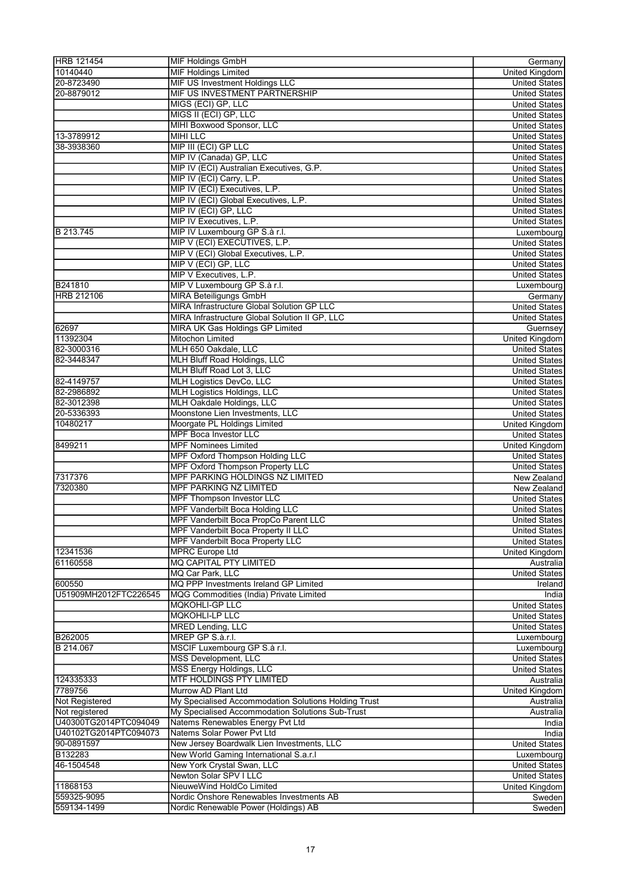| <b>HRB 121454</b>                   | <b>MIF Holdings GmbH</b>                                                    | Germany                                      |
|-------------------------------------|-----------------------------------------------------------------------------|----------------------------------------------|
| 10140440                            | <b>MIF Holdings Limited</b>                                                 | United Kingdom                               |
| 20-8723490                          | <b>MIF US Investment Holdings LLC</b>                                       | <b>United States</b>                         |
| 20-8879012                          | MIF US INVESTMENT PARTNERSHIP                                               | <b>United States</b>                         |
|                                     | MIGS (ECI) GP, LLC                                                          | <b>United States</b>                         |
|                                     | MIGS II (ECI) GP, LLC                                                       | <b>United States</b>                         |
|                                     | MIHI Boxwood Sponsor, LLC                                                   | <b>United States</b>                         |
| 13-3789912                          | <b>MIHI LLC</b>                                                             | <b>United States</b>                         |
| 38-3938360                          | MIP III (ECI) GP LLC                                                        | <b>United States</b>                         |
|                                     | MIP IV (Canada) GP, LLC                                                     | <b>United States</b>                         |
|                                     | MIP IV (ECI) Australian Executives, G.P.                                    | <b>United States</b>                         |
|                                     | MIP IV (ECI) Carry, L.P.                                                    | <b>United States</b>                         |
|                                     | MIP IV (ECI) Executives, L.P.                                               | <b>United States</b>                         |
|                                     | MIP IV (ECI) Global Executives, L.P.                                        | <b>United States</b>                         |
|                                     | MIP IV (ECI) GP, LLC                                                        | <b>United States</b>                         |
|                                     | MIP IV Executives, L.P.                                                     | <b>United States</b>                         |
| B 213.745                           | MIP IV Luxembourg GP S.à r.l.                                               | Luxembourg                                   |
|                                     | MIP V (ECI) EXECUTIVES, L.P.                                                | <b>United States</b>                         |
|                                     | MIP V (ECI) Global Executives, L.P.                                         | <b>United States</b>                         |
|                                     | MIP V (ECI) GP, LLC                                                         | <b>United States</b>                         |
|                                     | MIP V Executives, L.P.                                                      | <b>United States</b>                         |
| B241810                             | MIP V Luxembourg GP S.à r.l.                                                | Luxembourg                                   |
| <b>HRB 212106</b>                   | <b>MIRA Beteiligungs GmbH</b><br>MIRA Infrastructure Global Solution GP LLC | Germany                                      |
|                                     |                                                                             | <b>United States</b>                         |
|                                     | MIRA Infrastructure Global Solution II GP, LLC                              | <b>United States</b>                         |
| 62697<br>11392304                   | MIRA UK Gas Holdings GP Limited<br><b>Mitochon Limited</b>                  | Guernsey                                     |
| 82-3000316                          | MLH 650 Oakdale, LLC                                                        | United Kingdom                               |
| 82-3448347                          | MLH Bluff Road Holdings, LLC                                                | <b>United States</b><br><b>United States</b> |
|                                     | MLH Bluff Road Lot 3, LLC                                                   | <b>United States</b>                         |
| 82-4149757                          | <b>MLH Logistics DevCo, LLC</b>                                             | <b>United States</b>                         |
| 82-2986892                          | <b>MLH Logistics Holdings, LLC</b>                                          | <b>United States</b>                         |
| 82-3012398                          | MLH Oakdale Holdings, LLC                                                   | <b>United States</b>                         |
| 20-5336393                          | Moonstone Lien Investments, LLC                                             | <b>United States</b>                         |
| 10480217                            | Moorgate PL Holdings Limited                                                | United Kingdom                               |
|                                     | <b>MPF Boca Investor LLC</b>                                                | <b>United States</b>                         |
| 8499211                             | <b>MPF Nominees Limited</b>                                                 | United Kingdom                               |
|                                     | <b>MPF Oxford Thompson Holding LLC</b>                                      | <b>United States</b>                         |
|                                     | <b>MPF Oxford Thompson Property LLC</b>                                     | <b>United States</b>                         |
| 7317376                             | MPF PARKING HOLDINGS NZ LIMITED                                             | New Zealand                                  |
| 7320380                             | <b>MPF PARKING NZ LIMITED</b>                                               | New Zealand                                  |
|                                     | <b>MPF Thompson Investor LLC</b>                                            | <b>United States</b>                         |
|                                     | <b>MPF Vanderbilt Boca Holding LLC</b>                                      | <b>United States</b>                         |
|                                     | MPF Vanderbilt Boca PropCo Parent LLC                                       | United States                                |
|                                     | <b>MPF Vanderbilt Boca Property II LLC</b>                                  | <b>United States</b>                         |
|                                     | <b>MPF Vanderbilt Boca Property LLC</b>                                     | <b>United States</b>                         |
| 12341536                            | <b>MPRC Europe Ltd</b>                                                      | United Kingdom                               |
| 61160558                            | <b>MQ CAPITAL PTY LIMITED</b>                                               | Australia                                    |
|                                     | MQ Car Park, LLC                                                            | <b>United States</b>                         |
| 600550                              | MQ PPP Investments Ireland GP Limited                                       | Ireland                                      |
| U51909MH2012FTC226545               | MQG Commodities (India) Private Limited                                     | India                                        |
|                                     | <b>MQKOHLI-GP LLC</b>                                                       | <b>United States</b>                         |
|                                     | <b>MQKOHLI-LP LLC</b>                                                       | <b>United States</b>                         |
|                                     | <b>MRED Lending, LLC</b>                                                    | <b>United States</b>                         |
| B262005                             | MREP GP S.à.r.l.                                                            | Luxembourg                                   |
| B 214.067                           | MSCIF Luxembourg GP S.à r.l.                                                | Luxembourg                                   |
|                                     | <b>MSS Development, LLC</b>                                                 | <b>United States</b>                         |
|                                     | <b>MSS Energy Holdings, LLC</b>                                             | <b>United States</b>                         |
| 124335333                           | <b>MTF HOLDINGS PTY LIMITED</b>                                             | Australia                                    |
| 7789756                             | Murrow AD Plant Ltd                                                         | <b>United Kingdom</b>                        |
| Not Registered                      | My Specialised Accommodation Solutions Holding Trust                        | Australia                                    |
| Not registered                      | My Specialised Accommodation Solutions Sub-Trust                            | Australia                                    |
| U40300TG2014PTC094049               | Natems Renewables Energy Pvt Ltd                                            | India                                        |
| U40102TG2014PTC094073<br>90-0891597 | Natems Solar Power Pvt Ltd<br>New Jersey Boardwalk Lien Investments, LLC    | India                                        |
| B132283                             | New World Gaming International S.a.r.I                                      | <b>United States</b>                         |
| 46-1504548                          | New York Crystal Swan, LLC                                                  | Luxembourg<br><b>United States</b>           |
|                                     | Newton Solar SPV I LLC                                                      | <b>United States</b>                         |
| 11868153                            | NieuweWind HoldCo Limited                                                   | United Kingdom                               |
| 559325-9095                         | Nordic Onshore Renewables Investments AB                                    | Sweden                                       |
| 559134-1499                         | Nordic Renewable Power (Holdings) AB                                        | Sweden                                       |
|                                     |                                                                             |                                              |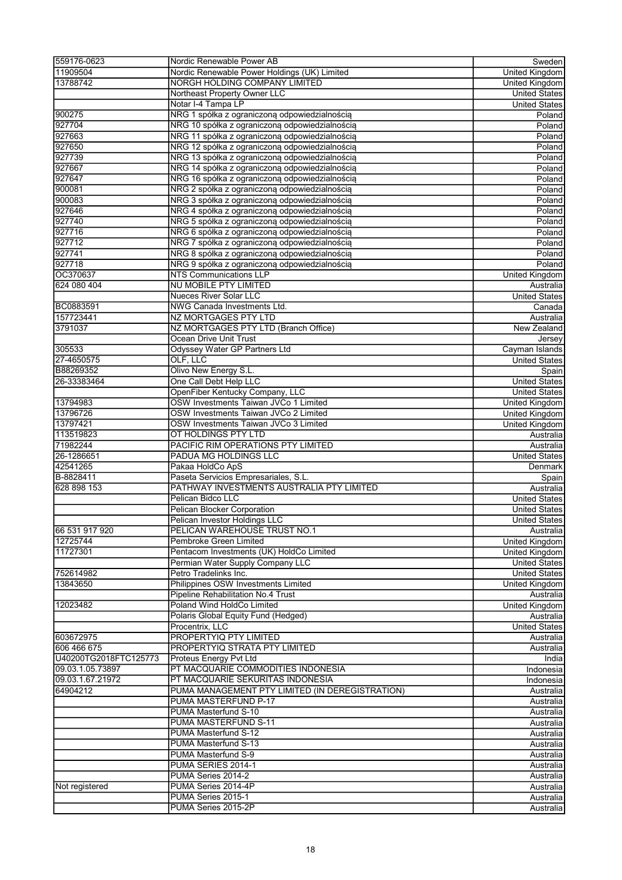| 559176-0623           | Nordic Renewable Power AB                       | Sweden                 |
|-----------------------|-------------------------------------------------|------------------------|
| 11909504              | Nordic Renewable Power Holdings (UK) Limited    | <b>United Kingdom</b>  |
| 13788742              | NORGH HOLDING COMPANY LIMITED                   | United Kingdom         |
|                       | Northeast Property Owner LLC                    | <b>United States</b>   |
|                       | Notar I-4 Tampa LP                              | <b>United States</b>   |
| 900275                | NRG 1 spółka z ograniczoną odpowiedzialnością   | Poland                 |
| 927704                | NRG 10 spółka z ograniczoną odpowiedzialnością  | Poland                 |
| 927663                | NRG 11 spółka z ograniczoną odpowiedzialnością  | Poland                 |
| 927650                | NRG 12 spółka z ograniczoną odpowiedzialnością  | Poland                 |
| 927739                | NRG 13 spółka z ograniczoną odpowiedzialnością  | Poland                 |
| 927667                | NRG 14 spółka z ograniczoną odpowiedzialnością  | Poland                 |
| 927647                | NRG 16 spółka z ograniczoną odpowiedzialnością  | Poland                 |
| 900081                | NRG 2 spółka z ograniczoną odpowiedzialnością   | Poland                 |
| 900083                | NRG 3 spółka z ograniczoną odpowiedzialnością   | Poland                 |
| 927646                | NRG 4 spółka z ograniczoną odpowiedzialnością   | Poland                 |
| 927740                | NRG 5 spółka z ograniczoną odpowiedzialnością   | Poland                 |
| 927716                | NRG 6 spółka z ograniczoną odpowiedzialnością   | Poland                 |
| 927712                | NRG 7 spółka z ograniczoną odpowiedzialnością   | Poland                 |
| 927741                | NRG 8 spółka z ograniczoną odpowiedzialnością   | Poland                 |
| 927718                | NRG 9 spółka z ograniczoną odpowiedzialnością   | Poland                 |
| OC370637              | <b>NTS Communications LLP</b>                   | United Kingdom         |
| 624 080 404           | NU MOBILE PTY LIMITED                           | Australia              |
|                       | <b>Nueces River Solar LLC</b>                   | <b>United States</b>   |
| BC0883591             | NWG Canada Investments Ltd.                     | Canada                 |
| 157723441             | <b>NZ MORTGAGES PTY LTD</b>                     | Australia              |
| 3791037               | NZ MORTGAGES PTY LTD (Branch Office)            | New Zealand            |
|                       | Ocean Drive Unit Trust                          | Jersey                 |
| 305533                | Odyssey Water GP Partners Ltd                   | Cayman Islands         |
| 27-4650575            | OLF, LLC                                        | <b>United States</b>   |
| B88269352             | Olivo New Energy S.L.                           | Spain                  |
| 26-33383464           | One Call Debt Help LLC                          | <b>United States</b>   |
|                       | OpenFiber Kentucky Company, LLC                 | <b>United States</b>   |
| 13794983              | OSW Investments Taiwan JVCo 1 Limited           | United Kingdom         |
| 13796726              | OSW Investments Taiwan JVCo 2 Limited           | United Kingdom         |
| 13797421              | OSW Investments Taiwan JVCo 3 Limited           | United Kingdom         |
| 113519823             | OT HOLDINGS PTY LTD                             | Australia              |
| 71982244              | PACIFIC RIM OPERATIONS PTY LIMITED              | Australia              |
| 26-1286651            | PADUA MG HOLDINGS LLC                           | <b>United States</b>   |
| 42541265              | Pakaa HoldCo ApS                                | Denmark                |
| B-8828411             | Paseta Servicios Empresariales, S.L.            | Spain                  |
| 628 898 153           | PATHWAY INVESTMENTS AUSTRALIA PTY LIMITED       | Australia              |
|                       | Pelican Bidco LLC                               | <b>United States</b>   |
|                       | <b>Pelican Blocker Corporation</b>              | <b>United States</b>   |
|                       | Pelican Investor Holdings LLC                   | United States          |
| 66 531 917 920        | PELICAN WAREHOUSE TRUST NO.1                    | Australia              |
| 12725744              | Pembroke Green Limited                          | <b>United Kingdom</b>  |
| 11727301              | Pentacom Investments (UK) HoldCo Limited        | United Kingdom         |
|                       | Permian Water Supply Company LLC                | <b>United States</b>   |
| 752614982             | Petro Tradelinks Inc.                           | <b>United States</b>   |
| 13843650              | Philippines OSW Investments Limited             | <b>United Kingdom</b>  |
|                       | Pipeline Rehabilitation No.4 Trust              | Australia              |
| 12023482              | Poland Wind HoldCo Limited                      | <b>United Kingdom</b>  |
|                       | Polaris Global Equity Fund (Hedged)             | Australia              |
|                       | Procentrix, LLC                                 | <b>United States</b>   |
| 603672975             | PROPERTYIQ PTY LIMITED                          | Australia              |
| 606 466 675           | PROPERTYIQ STRATA PTY LIMITED                   | Australia              |
| U40200TG2018FTC125773 | Proteus Energy Pvt Ltd                          | India                  |
| 09.03.1.05.73897      | PT MACQUARIE COMMODITIES INDONESIA              | Indonesia              |
| 09.03.1.67.21972      | PT MACQUARIE SEKURITAS INDONESIA                | Indonesia              |
| 64904212              | PUMA MANAGEMENT PTY LIMITED (IN DEREGISTRATION) | Australia              |
|                       | PUMA MASTERFUND P-17                            | Australia              |
|                       | PUMA Masterfund S-10                            | Australia              |
|                       | PUMA MASTERFUND S-11                            | Australia              |
|                       | PUMA Masterfund S-12                            | Australia              |
|                       | PUMA Masterfund S-13                            |                        |
|                       | PUMA Masterfund S-9                             | Australia<br>Australia |
|                       |                                                 |                        |
|                       | PUMA SERIES 2014-1                              | Australia              |
|                       | PUMA Series 2014-2                              | Australia              |
| Not registered        | PUMA Series 2014-4P<br>PUMA Series 2015-1       | Australia              |
|                       |                                                 | Australia              |
|                       | PUMA Series 2015-2P                             | Australia              |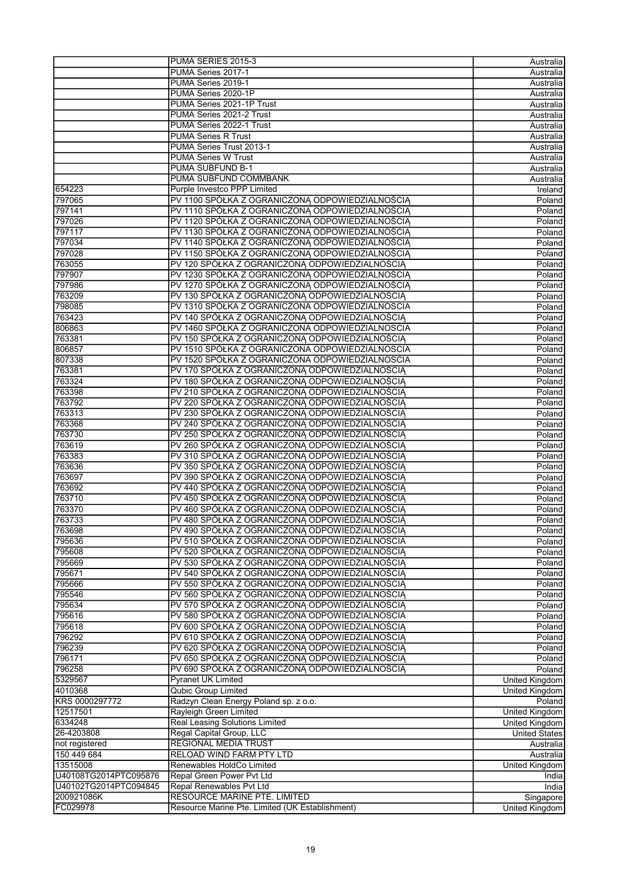|                       | PUMA SERIES 2015-3                              | Australia                        |
|-----------------------|-------------------------------------------------|----------------------------------|
|                       | PUMA Series 2017-1                              | Australia                        |
|                       | PUMA Series 2019-1                              | Australia                        |
|                       | PUMA Series 2020-1P                             | Australia                        |
|                       | PUMA Series 2021-1P Trust                       | Australia                        |
|                       | PUMA Series 2021-2 Trust                        | Australia                        |
|                       | PUMA Series 2022-1 Trust                        | Australia                        |
|                       | <b>PUMA Series R Trust</b>                      |                                  |
|                       |                                                 | Australia                        |
|                       | PUMA Series Trust 2013-1                        | Australia                        |
|                       | <b>PUMA Series W Trust</b>                      | Australia                        |
|                       | <b>PUMA SUBFUND B-1</b>                         | Australia                        |
|                       | PUMA SUBFUND COMMBANK                           | Australia                        |
| 654223                | Purple Investco PPP Limited                     | Ireland                          |
| 797065                | PV 1100 SPÓŁKA Z OGRANICZONĄ ODPOWIEDZIALNOŚCIĄ | Poland                           |
| 797141                | PV 1110 SPÓŁKA Z OGRANICZONĄ ODPOWIEDZIALNOŚCIĄ | Poland                           |
| 797026                | PV 1120 SPÓŁKA Z OGRANICZONĄ ODPOWIEDZIALNOŚCIĄ | Poland                           |
| 797117                | PV 1130 SPÓŁKA Z OGRANICZONA ODPOWIEDZIALNOŚCIA | Poland                           |
| 797034                | PV 1140 SPÓŁKA Z OGRANICZONĄ ODPOWIEDZIALNOŚCIĄ | Poland                           |
| 797028                | PV 1150 SPÓŁKA Z OGRANICZONĄ ODPOWIEDZIALNOŚCIĄ | Poland                           |
| 763055                | PV 120 SPÓŁKA Z OGRANICZONĄ ODPOWIEDZIALNOŚCIĄ  | Poland                           |
| 797907                | PV 1230 SPÓŁKA Z OGRANICZONĄ ODPOWIEDZIALNOŚCIĄ | Poland                           |
| 797986                | PV 1270 SPÓŁKA Z OGRANICZONA ODPOWIEDZIALNOŚCIA | Poland                           |
| 763209                | PV 130 SPÓŁKA Z OGRANICZONĄ ODPOWIEDZIALNOŚCIĄ  | Poland                           |
| 798085                | PV 1310 SPÓŁKA Z OGRANICZONA ODPOWIEDZIALNOSCIA | Poland                           |
| 763423                | PV 140 SPÓŁKA Z OGRANICZONĄ ODPOWIEDZIALNOŚCIĄ  | Poland                           |
| 806863                | PV 1460 SPÓŁKA Z OGRANICZONA ODPOWIEDZIALNOSCIA | Poland                           |
|                       |                                                 |                                  |
| 763381                | PV 150 SPÓŁKA Z OGRANICZONĄ ODPOWIEDZIALNOŚCIĄ  | Poland                           |
| 806857                | PV 1510 SPÓŁKA Z OGRANICZONA ODPOWIEDZIALNOSCIA | Poland                           |
| 807338                | PV 1520 SPÓŁKA Z OGRANICZONA ODPOWIEDZIALNOSCIA | Poland                           |
| 763381                | PV 170 SPÓŁKA Z OGRANICZONĄ ODPOWIEDZIALNOŚCIĄ  | Poland                           |
| 763324                | PV 180 SPÓŁKA Z OGRANICZONĄ ODPOWIEDZIALNOŚCIĄ  | Poland                           |
| 763398                | PV 210 SPÓŁKA Z OGRANICZONĄ ODPOWIEDZIALNOŚCIĄ  | Poland                           |
| 763792                | PV 220 SPÓŁKA Z OGRANICZONĄ ODPOWIEDZIALNOŚCIĄ  | Poland                           |
| 763313                | PV 230 SPÓŁKA Z OGRANICZONĄ ODPOWIEDZIALNOŚCIĄ  | Poland                           |
| 763368                | PV 240 SPÓŁKA Z OGRANICZONĄ ODPOWIEDZIALNOŚCIĄ  | Poland                           |
| 763730                | PV 250 SPÓŁKA Z OGRANICZONĄ ODPOWIEDZIALNOŚCIĄ  | Poland                           |
| 763619                | PV 260 SPÓŁKA Z OGRANICZONĄ ODPOWIEDZIALNOŚCIĄ  | Poland                           |
| 763383                | PV 310 SPÓŁKA Z OGRANICZONĄ ODPOWIEDZIALNOŚCIĄ  | Poland                           |
| 763636                | PV 350 SPÓŁKA Z OGRANICZONĄ ODPOWIEDZIALNOŚCIĄ  | Poland                           |
| 763697                | PV 390 SPÓŁKA Z OGRANICZONĄ ODPOWIEDZIALNOŚCIĄ  | Poland                           |
| 763692                | PV 440 SPÓŁKA Z OGRANICZONĄ ODPOWIEDZIALNOŚCIĄ  |                                  |
| 763710                | PV 450 SPÓŁKA Z OGRANICZONĄ ODPOWIEDZIALNOŚCIĄ  | Poland                           |
|                       |                                                 | Poland                           |
| 763370                | PV 460 SPÓŁKA Z OGRANICZONĄ ODPOWIEDZIALNOŚCIĄ  | Poland                           |
| 763733                | PV 480 SPÓŁKA Z OGRANICZONĄ ODPOWIEDZIALNOŚCIĄ  | Poland                           |
| 763698                | PV 490 SPÓŁKA Z OGRANICZONĄ ODPOWIEDZIALNOŚCIĄ  | Poland                           |
| 795636                | PV 510 SPÓŁKA Z OGRANICZONA ODPOWIEDZIALNOSCIA  | Poland                           |
| 795608                | PV 520 SPÓŁKA Z OGRANICZONĄ ODPOWIEDZIALNOŚCIĄ  | Poland                           |
| 795669                | PV 530 SPÓŁKA Z OGRANICZONĄ ODPOWIEDZIALNOŚCIĄ  | Poland                           |
| 795671                | PV 540 SPÓŁKA Z OGRANICZONĄ ODPOWIEDZIALNOŚCIĄ  | Poland                           |
| 795666                | PV 550 SPÓŁKA Z OGRANICZONĄ ODPOWIEDZIALNOŚCIĄ  | Poland                           |
| 795546                | PV 560 SPÓŁKA Z OGRANICZONĄ ODPOWIEDZIALNOŚCIĄ  | Poland                           |
| 795634                | PV 570 SPÓŁKA Z OGRANICZONĄ ODPOWIEDZIALNOŚCIĄ  | Poland                           |
| 795616                | PV 580 SPÓŁKA Z OGRANICZONA ODPOWIEDZIALNOSCIA  | Poland                           |
| 795618                | PV 600 SPÓŁKA Z OGRANICZONĄ ODPOWIEDZIALNOŚCIĄ  | Poland                           |
| 796292                | PV 610 SPÓŁKA Z OGRANICZONĄ ODPOWIEDZIALNOŚCIĄ  | Poland                           |
| 796239                | PV 620 SPÓŁKA Z OGRANICZONĄ ODPOWIEDZIALNOŚCIĄ  | Poland                           |
| 796171                | PV 650 SPÓŁKA Z OGRANICZONĄ ODPOWIEDZIALNOŚCIĄ  | Poland                           |
| 796258                | PV 690 SPÓŁKA Z OGRANICZONĄ ODPOWIEDZIALNOŚCIĄ  | Poland                           |
| 5329567               | <b>Pyranet UK Limited</b>                       |                                  |
| 4010368               | <b>Qubic Group Limited</b>                      | United Kingdom<br>United Kingdom |
| KRS 0000297772        |                                                 |                                  |
|                       | Radzyn Clean Energy Poland sp. z o.o.           | Poland                           |
| 12517501              | Rayleigh Green Limited                          | United Kingdom                   |
| 6334248               | Real Leasing Solutions Limited                  | United Kingdom                   |
| 26-4203808            | Regal Capital Group, LLC                        | <b>United States</b>             |
| not registered        | REGIONAL MEDIA TRUST                            | Australia                        |
| 150 449 684           | RELOAD WIND FARM PTY LTD                        | Australia                        |
| 13515008              | Renewables HoldCo Limited                       | United Kingdom                   |
| U40108TG2014PTC095876 | Repal Green Power Pvt Ltd                       | India                            |
| U40102TG2014PTC094845 | Repal Renewables Pvt Ltd                        | India                            |
| 200921086K            | RESOURCE MARINE PTE. LIMITED                    | Singapore                        |
| FC029978              | Resource Marine Pte. Limited (UK Establishment) | United Kingdom                   |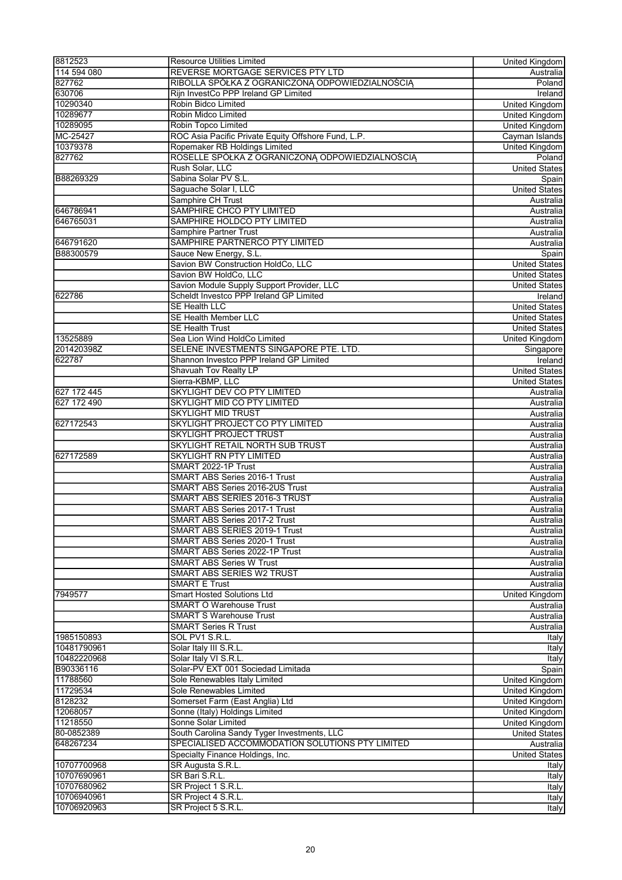| REVERSE MORTGAGE SERVICES PTY LTD<br>114 594 080<br>827762<br>RIBOLLA SPÓŁKA Z OGRANICZONĄ ODPOWIEDZIALNOŚCIĄ<br>630706<br>Rijn InvestCo PPP Ireland GP Limited<br>10290340<br>Robin Bidco Limited<br>10289677<br>Robin Midco Limited<br><b>United Kingdom</b><br>10289095<br>Robin Topco Limited<br>ROC Asia Pacific Private Equity Offshore Fund, L.P.<br>MC-25427<br>Cayman Islands<br>10379378<br>Ropemaker RB Holdings Limited<br>ROSELLE SPÓŁKA Z OGRANICZONĄ ODPOWIEDZIALNOŚCIĄ<br>827762<br>Rush Solar, LLC<br><b>United States</b><br>Sabina Solar PV S.L.<br>B88269329<br>Saguache Solar I, LLC<br>Samphire CH Trust<br>Australia<br>SAMPHIRE CHCO PTY LIMITED<br>646786941<br>Australia<br>SAMPHIRE HOLDCO PTY LIMITED<br>646765031<br>Australia<br><b>Samphire Partner Trust</b><br>SAMPHIRE PARTNERCO PTY LIMITED<br>646791620<br>Australia<br>B88300579<br>Sauce New Energy, S.L.<br>Spain<br>Savion BW Construction HoldCo, LLC<br><b>United States</b><br>Savion BW HoldCo, LLC<br><b>United States</b><br>Savion Module Supply Support Provider, LLC<br><b>United States</b><br>Scheldt Investco PPP Ireland GP Limited<br>622786<br><b>Ireland</b><br><b>SE Health LLC</b><br><b>United States</b><br><b>SE Health Member LLC</b><br><b>United States</b><br><b>SE Health Trust</b><br><b>United States</b><br>13525889<br>Sea Lion Wind HoldCo Limited<br>United Kingdom<br>SELENE INVESTMENTS SINGAPORE PTE. LTD.<br>201420398Z<br>Singapore<br>622787<br>Shannon Investco PPP Ireland GP Limited<br>Ireland<br>Shavuah Tov Realty LP<br><b>United States</b><br>Sierra-KBMP, LLC<br><b>United States</b><br>627 172 445<br><b>SKYLIGHT DEV CO PTY LIMITED</b><br>Australia<br>627 172 490<br><b>SKYLIGHT MID CO PTY LIMITED</b><br>Australia<br><b>SKYLIGHT MID TRUST</b><br>Australia<br>SKYLIGHT PROJECT CO PTY LIMITED<br>627172543<br>Australia<br><b>SKYLIGHT PROJECT TRUST</b><br>Australia<br>SKYLIGHT RETAIL NORTH SUB TRUST<br>Australia<br>627172589<br><b>SKYLIGHT RN PTY LIMITED</b><br>Australia<br>SMART 2022-1P Trust<br>Australia<br><b>SMART ABS Series 2016-1 Trust</b><br>Australia<br><b>SMART ABS Series 2016-2US Trust</b><br>Australia<br>SMART ABS SERIES 2016-3 TRUST<br>Australia<br><b>SMART ABS Series 2017-1 Trust</b><br>Australia<br>SMART ABS Series 2017-2 Trust<br>Australia<br>SMART ABS SERIES 2019-1 Trust<br>Australia<br><b>SMART ABS Series 2020-1 Trust</b><br>Australia<br>SMART ABS Series 2022-1P Trust<br>Australia<br><b>SMART ABS Series W Trust</b><br>Australia<br><b>SMART ABS SERIES W2 TRUST</b><br>Australia<br><b>SMART E Trust</b><br>Australia<br><b>Smart Hosted Solutions Ltd</b><br>7949577<br>United Kingdom<br><b>SMART O Warehouse Trust</b><br>Australia<br><b>SMART S Warehouse Trust</b><br>Australia<br><b>SMART Series R Trust</b><br>Australia<br>1985150893<br>SOL PV1 S.R.L.<br>Italy<br>10481790961<br>Solar Italy III S.R.L.<br><b>Italy</b><br>10482220968<br>Solar Italy VI S.R.L.<br>Italy<br>Solar-PV EXT 001 Sociedad Limitada<br>B90336116<br>Spain<br><b>United Kingdom</b><br>11788560<br>Sole Renewables Italy Limited<br>Sole Renewables Limited<br>11729534<br>United Kingdom<br>8128232<br>Somerset Farm (East Anglia) Ltd<br>United Kingdom<br>Sonne (Italy) Holdings Limited<br>12068057<br>United Kingdom<br>Sonne Solar Limited<br>11218550<br>80-0852389<br>South Carolina Sandy Tyger Investments, LLC<br>SPECIALISED ACCOMMODATION SOLUTIONS PTY LIMITED<br>648267234<br>Specialty Finance Holdings, Inc.<br>10707700968<br>SR Augusta S.R.L.<br>SR Bari S.R.L.<br>10707690961<br>10707680962<br>SR Project 1 S.R.L.<br>SR Project 4 S.R.L.<br>10706940961<br>10706920963<br>SR Project 5 S.R.L. | 8812523 | <b>Resource Utilities Limited</b> | United Kingdom        |
|------------------------------------------------------------------------------------------------------------------------------------------------------------------------------------------------------------------------------------------------------------------------------------------------------------------------------------------------------------------------------------------------------------------------------------------------------------------------------------------------------------------------------------------------------------------------------------------------------------------------------------------------------------------------------------------------------------------------------------------------------------------------------------------------------------------------------------------------------------------------------------------------------------------------------------------------------------------------------------------------------------------------------------------------------------------------------------------------------------------------------------------------------------------------------------------------------------------------------------------------------------------------------------------------------------------------------------------------------------------------------------------------------------------------------------------------------------------------------------------------------------------------------------------------------------------------------------------------------------------------------------------------------------------------------------------------------------------------------------------------------------------------------------------------------------------------------------------------------------------------------------------------------------------------------------------------------------------------------------------------------------------------------------------------------------------------------------------------------------------------------------------------------------------------------------------------------------------------------------------------------------------------------------------------------------------------------------------------------------------------------------------------------------------------------------------------------------------------------------------------------------------------------------------------------------------------------------------------------------------------------------------------------------------------------------------------------------------------------------------------------------------------------------------------------------------------------------------------------------------------------------------------------------------------------------------------------------------------------------------------------------------------------------------------------------------------------------------------------------------------------------------------------------------------------------------------------------------------------------------------------------------------------------------------------------------------------------------------------------------------------------------------------------------------------------------------------------------------------------------------------------------------------------------------------------------------------------------------------------------------------------------------------------------------------------------------------------------|---------|-----------------------------------|-----------------------|
|                                                                                                                                                                                                                                                                                                                                                                                                                                                                                                                                                                                                                                                                                                                                                                                                                                                                                                                                                                                                                                                                                                                                                                                                                                                                                                                                                                                                                                                                                                                                                                                                                                                                                                                                                                                                                                                                                                                                                                                                                                                                                                                                                                                                                                                                                                                                                                                                                                                                                                                                                                                                                                                                                                                                                                                                                                                                                                                                                                                                                                                                                                                                                                                                                                                                                                                                                                                                                                                                                                                                                                                                                                                                                                                  |         |                                   | Australia             |
|                                                                                                                                                                                                                                                                                                                                                                                                                                                                                                                                                                                                                                                                                                                                                                                                                                                                                                                                                                                                                                                                                                                                                                                                                                                                                                                                                                                                                                                                                                                                                                                                                                                                                                                                                                                                                                                                                                                                                                                                                                                                                                                                                                                                                                                                                                                                                                                                                                                                                                                                                                                                                                                                                                                                                                                                                                                                                                                                                                                                                                                                                                                                                                                                                                                                                                                                                                                                                                                                                                                                                                                                                                                                                                                  |         |                                   | Poland                |
|                                                                                                                                                                                                                                                                                                                                                                                                                                                                                                                                                                                                                                                                                                                                                                                                                                                                                                                                                                                                                                                                                                                                                                                                                                                                                                                                                                                                                                                                                                                                                                                                                                                                                                                                                                                                                                                                                                                                                                                                                                                                                                                                                                                                                                                                                                                                                                                                                                                                                                                                                                                                                                                                                                                                                                                                                                                                                                                                                                                                                                                                                                                                                                                                                                                                                                                                                                                                                                                                                                                                                                                                                                                                                                                  |         |                                   | Ireland               |
|                                                                                                                                                                                                                                                                                                                                                                                                                                                                                                                                                                                                                                                                                                                                                                                                                                                                                                                                                                                                                                                                                                                                                                                                                                                                                                                                                                                                                                                                                                                                                                                                                                                                                                                                                                                                                                                                                                                                                                                                                                                                                                                                                                                                                                                                                                                                                                                                                                                                                                                                                                                                                                                                                                                                                                                                                                                                                                                                                                                                                                                                                                                                                                                                                                                                                                                                                                                                                                                                                                                                                                                                                                                                                                                  |         |                                   | <b>United Kingdom</b> |
|                                                                                                                                                                                                                                                                                                                                                                                                                                                                                                                                                                                                                                                                                                                                                                                                                                                                                                                                                                                                                                                                                                                                                                                                                                                                                                                                                                                                                                                                                                                                                                                                                                                                                                                                                                                                                                                                                                                                                                                                                                                                                                                                                                                                                                                                                                                                                                                                                                                                                                                                                                                                                                                                                                                                                                                                                                                                                                                                                                                                                                                                                                                                                                                                                                                                                                                                                                                                                                                                                                                                                                                                                                                                                                                  |         |                                   |                       |
|                                                                                                                                                                                                                                                                                                                                                                                                                                                                                                                                                                                                                                                                                                                                                                                                                                                                                                                                                                                                                                                                                                                                                                                                                                                                                                                                                                                                                                                                                                                                                                                                                                                                                                                                                                                                                                                                                                                                                                                                                                                                                                                                                                                                                                                                                                                                                                                                                                                                                                                                                                                                                                                                                                                                                                                                                                                                                                                                                                                                                                                                                                                                                                                                                                                                                                                                                                                                                                                                                                                                                                                                                                                                                                                  |         |                                   | United Kingdom        |
|                                                                                                                                                                                                                                                                                                                                                                                                                                                                                                                                                                                                                                                                                                                                                                                                                                                                                                                                                                                                                                                                                                                                                                                                                                                                                                                                                                                                                                                                                                                                                                                                                                                                                                                                                                                                                                                                                                                                                                                                                                                                                                                                                                                                                                                                                                                                                                                                                                                                                                                                                                                                                                                                                                                                                                                                                                                                                                                                                                                                                                                                                                                                                                                                                                                                                                                                                                                                                                                                                                                                                                                                                                                                                                                  |         |                                   |                       |
|                                                                                                                                                                                                                                                                                                                                                                                                                                                                                                                                                                                                                                                                                                                                                                                                                                                                                                                                                                                                                                                                                                                                                                                                                                                                                                                                                                                                                                                                                                                                                                                                                                                                                                                                                                                                                                                                                                                                                                                                                                                                                                                                                                                                                                                                                                                                                                                                                                                                                                                                                                                                                                                                                                                                                                                                                                                                                                                                                                                                                                                                                                                                                                                                                                                                                                                                                                                                                                                                                                                                                                                                                                                                                                                  |         |                                   | <b>United Kingdom</b> |
|                                                                                                                                                                                                                                                                                                                                                                                                                                                                                                                                                                                                                                                                                                                                                                                                                                                                                                                                                                                                                                                                                                                                                                                                                                                                                                                                                                                                                                                                                                                                                                                                                                                                                                                                                                                                                                                                                                                                                                                                                                                                                                                                                                                                                                                                                                                                                                                                                                                                                                                                                                                                                                                                                                                                                                                                                                                                                                                                                                                                                                                                                                                                                                                                                                                                                                                                                                                                                                                                                                                                                                                                                                                                                                                  |         |                                   | Poland                |
|                                                                                                                                                                                                                                                                                                                                                                                                                                                                                                                                                                                                                                                                                                                                                                                                                                                                                                                                                                                                                                                                                                                                                                                                                                                                                                                                                                                                                                                                                                                                                                                                                                                                                                                                                                                                                                                                                                                                                                                                                                                                                                                                                                                                                                                                                                                                                                                                                                                                                                                                                                                                                                                                                                                                                                                                                                                                                                                                                                                                                                                                                                                                                                                                                                                                                                                                                                                                                                                                                                                                                                                                                                                                                                                  |         |                                   |                       |
|                                                                                                                                                                                                                                                                                                                                                                                                                                                                                                                                                                                                                                                                                                                                                                                                                                                                                                                                                                                                                                                                                                                                                                                                                                                                                                                                                                                                                                                                                                                                                                                                                                                                                                                                                                                                                                                                                                                                                                                                                                                                                                                                                                                                                                                                                                                                                                                                                                                                                                                                                                                                                                                                                                                                                                                                                                                                                                                                                                                                                                                                                                                                                                                                                                                                                                                                                                                                                                                                                                                                                                                                                                                                                                                  |         |                                   | Spain                 |
|                                                                                                                                                                                                                                                                                                                                                                                                                                                                                                                                                                                                                                                                                                                                                                                                                                                                                                                                                                                                                                                                                                                                                                                                                                                                                                                                                                                                                                                                                                                                                                                                                                                                                                                                                                                                                                                                                                                                                                                                                                                                                                                                                                                                                                                                                                                                                                                                                                                                                                                                                                                                                                                                                                                                                                                                                                                                                                                                                                                                                                                                                                                                                                                                                                                                                                                                                                                                                                                                                                                                                                                                                                                                                                                  |         |                                   | <b>United States</b>  |
|                                                                                                                                                                                                                                                                                                                                                                                                                                                                                                                                                                                                                                                                                                                                                                                                                                                                                                                                                                                                                                                                                                                                                                                                                                                                                                                                                                                                                                                                                                                                                                                                                                                                                                                                                                                                                                                                                                                                                                                                                                                                                                                                                                                                                                                                                                                                                                                                                                                                                                                                                                                                                                                                                                                                                                                                                                                                                                                                                                                                                                                                                                                                                                                                                                                                                                                                                                                                                                                                                                                                                                                                                                                                                                                  |         |                                   |                       |
|                                                                                                                                                                                                                                                                                                                                                                                                                                                                                                                                                                                                                                                                                                                                                                                                                                                                                                                                                                                                                                                                                                                                                                                                                                                                                                                                                                                                                                                                                                                                                                                                                                                                                                                                                                                                                                                                                                                                                                                                                                                                                                                                                                                                                                                                                                                                                                                                                                                                                                                                                                                                                                                                                                                                                                                                                                                                                                                                                                                                                                                                                                                                                                                                                                                                                                                                                                                                                                                                                                                                                                                                                                                                                                                  |         |                                   |                       |
|                                                                                                                                                                                                                                                                                                                                                                                                                                                                                                                                                                                                                                                                                                                                                                                                                                                                                                                                                                                                                                                                                                                                                                                                                                                                                                                                                                                                                                                                                                                                                                                                                                                                                                                                                                                                                                                                                                                                                                                                                                                                                                                                                                                                                                                                                                                                                                                                                                                                                                                                                                                                                                                                                                                                                                                                                                                                                                                                                                                                                                                                                                                                                                                                                                                                                                                                                                                                                                                                                                                                                                                                                                                                                                                  |         |                                   |                       |
|                                                                                                                                                                                                                                                                                                                                                                                                                                                                                                                                                                                                                                                                                                                                                                                                                                                                                                                                                                                                                                                                                                                                                                                                                                                                                                                                                                                                                                                                                                                                                                                                                                                                                                                                                                                                                                                                                                                                                                                                                                                                                                                                                                                                                                                                                                                                                                                                                                                                                                                                                                                                                                                                                                                                                                                                                                                                                                                                                                                                                                                                                                                                                                                                                                                                                                                                                                                                                                                                                                                                                                                                                                                                                                                  |         |                                   | Australia             |
|                                                                                                                                                                                                                                                                                                                                                                                                                                                                                                                                                                                                                                                                                                                                                                                                                                                                                                                                                                                                                                                                                                                                                                                                                                                                                                                                                                                                                                                                                                                                                                                                                                                                                                                                                                                                                                                                                                                                                                                                                                                                                                                                                                                                                                                                                                                                                                                                                                                                                                                                                                                                                                                                                                                                                                                                                                                                                                                                                                                                                                                                                                                                                                                                                                                                                                                                                                                                                                                                                                                                                                                                                                                                                                                  |         |                                   |                       |
|                                                                                                                                                                                                                                                                                                                                                                                                                                                                                                                                                                                                                                                                                                                                                                                                                                                                                                                                                                                                                                                                                                                                                                                                                                                                                                                                                                                                                                                                                                                                                                                                                                                                                                                                                                                                                                                                                                                                                                                                                                                                                                                                                                                                                                                                                                                                                                                                                                                                                                                                                                                                                                                                                                                                                                                                                                                                                                                                                                                                                                                                                                                                                                                                                                                                                                                                                                                                                                                                                                                                                                                                                                                                                                                  |         |                                   |                       |
|                                                                                                                                                                                                                                                                                                                                                                                                                                                                                                                                                                                                                                                                                                                                                                                                                                                                                                                                                                                                                                                                                                                                                                                                                                                                                                                                                                                                                                                                                                                                                                                                                                                                                                                                                                                                                                                                                                                                                                                                                                                                                                                                                                                                                                                                                                                                                                                                                                                                                                                                                                                                                                                                                                                                                                                                                                                                                                                                                                                                                                                                                                                                                                                                                                                                                                                                                                                                                                                                                                                                                                                                                                                                                                                  |         |                                   |                       |
|                                                                                                                                                                                                                                                                                                                                                                                                                                                                                                                                                                                                                                                                                                                                                                                                                                                                                                                                                                                                                                                                                                                                                                                                                                                                                                                                                                                                                                                                                                                                                                                                                                                                                                                                                                                                                                                                                                                                                                                                                                                                                                                                                                                                                                                                                                                                                                                                                                                                                                                                                                                                                                                                                                                                                                                                                                                                                                                                                                                                                                                                                                                                                                                                                                                                                                                                                                                                                                                                                                                                                                                                                                                                                                                  |         |                                   |                       |
|                                                                                                                                                                                                                                                                                                                                                                                                                                                                                                                                                                                                                                                                                                                                                                                                                                                                                                                                                                                                                                                                                                                                                                                                                                                                                                                                                                                                                                                                                                                                                                                                                                                                                                                                                                                                                                                                                                                                                                                                                                                                                                                                                                                                                                                                                                                                                                                                                                                                                                                                                                                                                                                                                                                                                                                                                                                                                                                                                                                                                                                                                                                                                                                                                                                                                                                                                                                                                                                                                                                                                                                                                                                                                                                  |         |                                   |                       |
|                                                                                                                                                                                                                                                                                                                                                                                                                                                                                                                                                                                                                                                                                                                                                                                                                                                                                                                                                                                                                                                                                                                                                                                                                                                                                                                                                                                                                                                                                                                                                                                                                                                                                                                                                                                                                                                                                                                                                                                                                                                                                                                                                                                                                                                                                                                                                                                                                                                                                                                                                                                                                                                                                                                                                                                                                                                                                                                                                                                                                                                                                                                                                                                                                                                                                                                                                                                                                                                                                                                                                                                                                                                                                                                  |         |                                   |                       |
|                                                                                                                                                                                                                                                                                                                                                                                                                                                                                                                                                                                                                                                                                                                                                                                                                                                                                                                                                                                                                                                                                                                                                                                                                                                                                                                                                                                                                                                                                                                                                                                                                                                                                                                                                                                                                                                                                                                                                                                                                                                                                                                                                                                                                                                                                                                                                                                                                                                                                                                                                                                                                                                                                                                                                                                                                                                                                                                                                                                                                                                                                                                                                                                                                                                                                                                                                                                                                                                                                                                                                                                                                                                                                                                  |         |                                   |                       |
|                                                                                                                                                                                                                                                                                                                                                                                                                                                                                                                                                                                                                                                                                                                                                                                                                                                                                                                                                                                                                                                                                                                                                                                                                                                                                                                                                                                                                                                                                                                                                                                                                                                                                                                                                                                                                                                                                                                                                                                                                                                                                                                                                                                                                                                                                                                                                                                                                                                                                                                                                                                                                                                                                                                                                                                                                                                                                                                                                                                                                                                                                                                                                                                                                                                                                                                                                                                                                                                                                                                                                                                                                                                                                                                  |         |                                   |                       |
|                                                                                                                                                                                                                                                                                                                                                                                                                                                                                                                                                                                                                                                                                                                                                                                                                                                                                                                                                                                                                                                                                                                                                                                                                                                                                                                                                                                                                                                                                                                                                                                                                                                                                                                                                                                                                                                                                                                                                                                                                                                                                                                                                                                                                                                                                                                                                                                                                                                                                                                                                                                                                                                                                                                                                                                                                                                                                                                                                                                                                                                                                                                                                                                                                                                                                                                                                                                                                                                                                                                                                                                                                                                                                                                  |         |                                   |                       |
|                                                                                                                                                                                                                                                                                                                                                                                                                                                                                                                                                                                                                                                                                                                                                                                                                                                                                                                                                                                                                                                                                                                                                                                                                                                                                                                                                                                                                                                                                                                                                                                                                                                                                                                                                                                                                                                                                                                                                                                                                                                                                                                                                                                                                                                                                                                                                                                                                                                                                                                                                                                                                                                                                                                                                                                                                                                                                                                                                                                                                                                                                                                                                                                                                                                                                                                                                                                                                                                                                                                                                                                                                                                                                                                  |         |                                   |                       |
|                                                                                                                                                                                                                                                                                                                                                                                                                                                                                                                                                                                                                                                                                                                                                                                                                                                                                                                                                                                                                                                                                                                                                                                                                                                                                                                                                                                                                                                                                                                                                                                                                                                                                                                                                                                                                                                                                                                                                                                                                                                                                                                                                                                                                                                                                                                                                                                                                                                                                                                                                                                                                                                                                                                                                                                                                                                                                                                                                                                                                                                                                                                                                                                                                                                                                                                                                                                                                                                                                                                                                                                                                                                                                                                  |         |                                   |                       |
|                                                                                                                                                                                                                                                                                                                                                                                                                                                                                                                                                                                                                                                                                                                                                                                                                                                                                                                                                                                                                                                                                                                                                                                                                                                                                                                                                                                                                                                                                                                                                                                                                                                                                                                                                                                                                                                                                                                                                                                                                                                                                                                                                                                                                                                                                                                                                                                                                                                                                                                                                                                                                                                                                                                                                                                                                                                                                                                                                                                                                                                                                                                                                                                                                                                                                                                                                                                                                                                                                                                                                                                                                                                                                                                  |         |                                   |                       |
|                                                                                                                                                                                                                                                                                                                                                                                                                                                                                                                                                                                                                                                                                                                                                                                                                                                                                                                                                                                                                                                                                                                                                                                                                                                                                                                                                                                                                                                                                                                                                                                                                                                                                                                                                                                                                                                                                                                                                                                                                                                                                                                                                                                                                                                                                                                                                                                                                                                                                                                                                                                                                                                                                                                                                                                                                                                                                                                                                                                                                                                                                                                                                                                                                                                                                                                                                                                                                                                                                                                                                                                                                                                                                                                  |         |                                   |                       |
|                                                                                                                                                                                                                                                                                                                                                                                                                                                                                                                                                                                                                                                                                                                                                                                                                                                                                                                                                                                                                                                                                                                                                                                                                                                                                                                                                                                                                                                                                                                                                                                                                                                                                                                                                                                                                                                                                                                                                                                                                                                                                                                                                                                                                                                                                                                                                                                                                                                                                                                                                                                                                                                                                                                                                                                                                                                                                                                                                                                                                                                                                                                                                                                                                                                                                                                                                                                                                                                                                                                                                                                                                                                                                                                  |         |                                   |                       |
|                                                                                                                                                                                                                                                                                                                                                                                                                                                                                                                                                                                                                                                                                                                                                                                                                                                                                                                                                                                                                                                                                                                                                                                                                                                                                                                                                                                                                                                                                                                                                                                                                                                                                                                                                                                                                                                                                                                                                                                                                                                                                                                                                                                                                                                                                                                                                                                                                                                                                                                                                                                                                                                                                                                                                                                                                                                                                                                                                                                                                                                                                                                                                                                                                                                                                                                                                                                                                                                                                                                                                                                                                                                                                                                  |         |                                   |                       |
|                                                                                                                                                                                                                                                                                                                                                                                                                                                                                                                                                                                                                                                                                                                                                                                                                                                                                                                                                                                                                                                                                                                                                                                                                                                                                                                                                                                                                                                                                                                                                                                                                                                                                                                                                                                                                                                                                                                                                                                                                                                                                                                                                                                                                                                                                                                                                                                                                                                                                                                                                                                                                                                                                                                                                                                                                                                                                                                                                                                                                                                                                                                                                                                                                                                                                                                                                                                                                                                                                                                                                                                                                                                                                                                  |         |                                   |                       |
|                                                                                                                                                                                                                                                                                                                                                                                                                                                                                                                                                                                                                                                                                                                                                                                                                                                                                                                                                                                                                                                                                                                                                                                                                                                                                                                                                                                                                                                                                                                                                                                                                                                                                                                                                                                                                                                                                                                                                                                                                                                                                                                                                                                                                                                                                                                                                                                                                                                                                                                                                                                                                                                                                                                                                                                                                                                                                                                                                                                                                                                                                                                                                                                                                                                                                                                                                                                                                                                                                                                                                                                                                                                                                                                  |         |                                   |                       |
|                                                                                                                                                                                                                                                                                                                                                                                                                                                                                                                                                                                                                                                                                                                                                                                                                                                                                                                                                                                                                                                                                                                                                                                                                                                                                                                                                                                                                                                                                                                                                                                                                                                                                                                                                                                                                                                                                                                                                                                                                                                                                                                                                                                                                                                                                                                                                                                                                                                                                                                                                                                                                                                                                                                                                                                                                                                                                                                                                                                                                                                                                                                                                                                                                                                                                                                                                                                                                                                                                                                                                                                                                                                                                                                  |         |                                   |                       |
|                                                                                                                                                                                                                                                                                                                                                                                                                                                                                                                                                                                                                                                                                                                                                                                                                                                                                                                                                                                                                                                                                                                                                                                                                                                                                                                                                                                                                                                                                                                                                                                                                                                                                                                                                                                                                                                                                                                                                                                                                                                                                                                                                                                                                                                                                                                                                                                                                                                                                                                                                                                                                                                                                                                                                                                                                                                                                                                                                                                                                                                                                                                                                                                                                                                                                                                                                                                                                                                                                                                                                                                                                                                                                                                  |         |                                   |                       |
|                                                                                                                                                                                                                                                                                                                                                                                                                                                                                                                                                                                                                                                                                                                                                                                                                                                                                                                                                                                                                                                                                                                                                                                                                                                                                                                                                                                                                                                                                                                                                                                                                                                                                                                                                                                                                                                                                                                                                                                                                                                                                                                                                                                                                                                                                                                                                                                                                                                                                                                                                                                                                                                                                                                                                                                                                                                                                                                                                                                                                                                                                                                                                                                                                                                                                                                                                                                                                                                                                                                                                                                                                                                                                                                  |         |                                   |                       |
|                                                                                                                                                                                                                                                                                                                                                                                                                                                                                                                                                                                                                                                                                                                                                                                                                                                                                                                                                                                                                                                                                                                                                                                                                                                                                                                                                                                                                                                                                                                                                                                                                                                                                                                                                                                                                                                                                                                                                                                                                                                                                                                                                                                                                                                                                                                                                                                                                                                                                                                                                                                                                                                                                                                                                                                                                                                                                                                                                                                                                                                                                                                                                                                                                                                                                                                                                                                                                                                                                                                                                                                                                                                                                                                  |         |                                   |                       |
|                                                                                                                                                                                                                                                                                                                                                                                                                                                                                                                                                                                                                                                                                                                                                                                                                                                                                                                                                                                                                                                                                                                                                                                                                                                                                                                                                                                                                                                                                                                                                                                                                                                                                                                                                                                                                                                                                                                                                                                                                                                                                                                                                                                                                                                                                                                                                                                                                                                                                                                                                                                                                                                                                                                                                                                                                                                                                                                                                                                                                                                                                                                                                                                                                                                                                                                                                                                                                                                                                                                                                                                                                                                                                                                  |         |                                   |                       |
|                                                                                                                                                                                                                                                                                                                                                                                                                                                                                                                                                                                                                                                                                                                                                                                                                                                                                                                                                                                                                                                                                                                                                                                                                                                                                                                                                                                                                                                                                                                                                                                                                                                                                                                                                                                                                                                                                                                                                                                                                                                                                                                                                                                                                                                                                                                                                                                                                                                                                                                                                                                                                                                                                                                                                                                                                                                                                                                                                                                                                                                                                                                                                                                                                                                                                                                                                                                                                                                                                                                                                                                                                                                                                                                  |         |                                   |                       |
|                                                                                                                                                                                                                                                                                                                                                                                                                                                                                                                                                                                                                                                                                                                                                                                                                                                                                                                                                                                                                                                                                                                                                                                                                                                                                                                                                                                                                                                                                                                                                                                                                                                                                                                                                                                                                                                                                                                                                                                                                                                                                                                                                                                                                                                                                                                                                                                                                                                                                                                                                                                                                                                                                                                                                                                                                                                                                                                                                                                                                                                                                                                                                                                                                                                                                                                                                                                                                                                                                                                                                                                                                                                                                                                  |         |                                   |                       |
|                                                                                                                                                                                                                                                                                                                                                                                                                                                                                                                                                                                                                                                                                                                                                                                                                                                                                                                                                                                                                                                                                                                                                                                                                                                                                                                                                                                                                                                                                                                                                                                                                                                                                                                                                                                                                                                                                                                                                                                                                                                                                                                                                                                                                                                                                                                                                                                                                                                                                                                                                                                                                                                                                                                                                                                                                                                                                                                                                                                                                                                                                                                                                                                                                                                                                                                                                                                                                                                                                                                                                                                                                                                                                                                  |         |                                   |                       |
|                                                                                                                                                                                                                                                                                                                                                                                                                                                                                                                                                                                                                                                                                                                                                                                                                                                                                                                                                                                                                                                                                                                                                                                                                                                                                                                                                                                                                                                                                                                                                                                                                                                                                                                                                                                                                                                                                                                                                                                                                                                                                                                                                                                                                                                                                                                                                                                                                                                                                                                                                                                                                                                                                                                                                                                                                                                                                                                                                                                                                                                                                                                                                                                                                                                                                                                                                                                                                                                                                                                                                                                                                                                                                                                  |         |                                   |                       |
|                                                                                                                                                                                                                                                                                                                                                                                                                                                                                                                                                                                                                                                                                                                                                                                                                                                                                                                                                                                                                                                                                                                                                                                                                                                                                                                                                                                                                                                                                                                                                                                                                                                                                                                                                                                                                                                                                                                                                                                                                                                                                                                                                                                                                                                                                                                                                                                                                                                                                                                                                                                                                                                                                                                                                                                                                                                                                                                                                                                                                                                                                                                                                                                                                                                                                                                                                                                                                                                                                                                                                                                                                                                                                                                  |         |                                   |                       |
|                                                                                                                                                                                                                                                                                                                                                                                                                                                                                                                                                                                                                                                                                                                                                                                                                                                                                                                                                                                                                                                                                                                                                                                                                                                                                                                                                                                                                                                                                                                                                                                                                                                                                                                                                                                                                                                                                                                                                                                                                                                                                                                                                                                                                                                                                                                                                                                                                                                                                                                                                                                                                                                                                                                                                                                                                                                                                                                                                                                                                                                                                                                                                                                                                                                                                                                                                                                                                                                                                                                                                                                                                                                                                                                  |         |                                   |                       |
|                                                                                                                                                                                                                                                                                                                                                                                                                                                                                                                                                                                                                                                                                                                                                                                                                                                                                                                                                                                                                                                                                                                                                                                                                                                                                                                                                                                                                                                                                                                                                                                                                                                                                                                                                                                                                                                                                                                                                                                                                                                                                                                                                                                                                                                                                                                                                                                                                                                                                                                                                                                                                                                                                                                                                                                                                                                                                                                                                                                                                                                                                                                                                                                                                                                                                                                                                                                                                                                                                                                                                                                                                                                                                                                  |         |                                   |                       |
|                                                                                                                                                                                                                                                                                                                                                                                                                                                                                                                                                                                                                                                                                                                                                                                                                                                                                                                                                                                                                                                                                                                                                                                                                                                                                                                                                                                                                                                                                                                                                                                                                                                                                                                                                                                                                                                                                                                                                                                                                                                                                                                                                                                                                                                                                                                                                                                                                                                                                                                                                                                                                                                                                                                                                                                                                                                                                                                                                                                                                                                                                                                                                                                                                                                                                                                                                                                                                                                                                                                                                                                                                                                                                                                  |         |                                   |                       |
|                                                                                                                                                                                                                                                                                                                                                                                                                                                                                                                                                                                                                                                                                                                                                                                                                                                                                                                                                                                                                                                                                                                                                                                                                                                                                                                                                                                                                                                                                                                                                                                                                                                                                                                                                                                                                                                                                                                                                                                                                                                                                                                                                                                                                                                                                                                                                                                                                                                                                                                                                                                                                                                                                                                                                                                                                                                                                                                                                                                                                                                                                                                                                                                                                                                                                                                                                                                                                                                                                                                                                                                                                                                                                                                  |         |                                   |                       |
|                                                                                                                                                                                                                                                                                                                                                                                                                                                                                                                                                                                                                                                                                                                                                                                                                                                                                                                                                                                                                                                                                                                                                                                                                                                                                                                                                                                                                                                                                                                                                                                                                                                                                                                                                                                                                                                                                                                                                                                                                                                                                                                                                                                                                                                                                                                                                                                                                                                                                                                                                                                                                                                                                                                                                                                                                                                                                                                                                                                                                                                                                                                                                                                                                                                                                                                                                                                                                                                                                                                                                                                                                                                                                                                  |         |                                   |                       |
|                                                                                                                                                                                                                                                                                                                                                                                                                                                                                                                                                                                                                                                                                                                                                                                                                                                                                                                                                                                                                                                                                                                                                                                                                                                                                                                                                                                                                                                                                                                                                                                                                                                                                                                                                                                                                                                                                                                                                                                                                                                                                                                                                                                                                                                                                                                                                                                                                                                                                                                                                                                                                                                                                                                                                                                                                                                                                                                                                                                                                                                                                                                                                                                                                                                                                                                                                                                                                                                                                                                                                                                                                                                                                                                  |         |                                   |                       |
|                                                                                                                                                                                                                                                                                                                                                                                                                                                                                                                                                                                                                                                                                                                                                                                                                                                                                                                                                                                                                                                                                                                                                                                                                                                                                                                                                                                                                                                                                                                                                                                                                                                                                                                                                                                                                                                                                                                                                                                                                                                                                                                                                                                                                                                                                                                                                                                                                                                                                                                                                                                                                                                                                                                                                                                                                                                                                                                                                                                                                                                                                                                                                                                                                                                                                                                                                                                                                                                                                                                                                                                                                                                                                                                  |         |                                   |                       |
|                                                                                                                                                                                                                                                                                                                                                                                                                                                                                                                                                                                                                                                                                                                                                                                                                                                                                                                                                                                                                                                                                                                                                                                                                                                                                                                                                                                                                                                                                                                                                                                                                                                                                                                                                                                                                                                                                                                                                                                                                                                                                                                                                                                                                                                                                                                                                                                                                                                                                                                                                                                                                                                                                                                                                                                                                                                                                                                                                                                                                                                                                                                                                                                                                                                                                                                                                                                                                                                                                                                                                                                                                                                                                                                  |         |                                   |                       |
|                                                                                                                                                                                                                                                                                                                                                                                                                                                                                                                                                                                                                                                                                                                                                                                                                                                                                                                                                                                                                                                                                                                                                                                                                                                                                                                                                                                                                                                                                                                                                                                                                                                                                                                                                                                                                                                                                                                                                                                                                                                                                                                                                                                                                                                                                                                                                                                                                                                                                                                                                                                                                                                                                                                                                                                                                                                                                                                                                                                                                                                                                                                                                                                                                                                                                                                                                                                                                                                                                                                                                                                                                                                                                                                  |         |                                   |                       |
|                                                                                                                                                                                                                                                                                                                                                                                                                                                                                                                                                                                                                                                                                                                                                                                                                                                                                                                                                                                                                                                                                                                                                                                                                                                                                                                                                                                                                                                                                                                                                                                                                                                                                                                                                                                                                                                                                                                                                                                                                                                                                                                                                                                                                                                                                                                                                                                                                                                                                                                                                                                                                                                                                                                                                                                                                                                                                                                                                                                                                                                                                                                                                                                                                                                                                                                                                                                                                                                                                                                                                                                                                                                                                                                  |         |                                   |                       |
|                                                                                                                                                                                                                                                                                                                                                                                                                                                                                                                                                                                                                                                                                                                                                                                                                                                                                                                                                                                                                                                                                                                                                                                                                                                                                                                                                                                                                                                                                                                                                                                                                                                                                                                                                                                                                                                                                                                                                                                                                                                                                                                                                                                                                                                                                                                                                                                                                                                                                                                                                                                                                                                                                                                                                                                                                                                                                                                                                                                                                                                                                                                                                                                                                                                                                                                                                                                                                                                                                                                                                                                                                                                                                                                  |         |                                   |                       |
|                                                                                                                                                                                                                                                                                                                                                                                                                                                                                                                                                                                                                                                                                                                                                                                                                                                                                                                                                                                                                                                                                                                                                                                                                                                                                                                                                                                                                                                                                                                                                                                                                                                                                                                                                                                                                                                                                                                                                                                                                                                                                                                                                                                                                                                                                                                                                                                                                                                                                                                                                                                                                                                                                                                                                                                                                                                                                                                                                                                                                                                                                                                                                                                                                                                                                                                                                                                                                                                                                                                                                                                                                                                                                                                  |         |                                   |                       |
|                                                                                                                                                                                                                                                                                                                                                                                                                                                                                                                                                                                                                                                                                                                                                                                                                                                                                                                                                                                                                                                                                                                                                                                                                                                                                                                                                                                                                                                                                                                                                                                                                                                                                                                                                                                                                                                                                                                                                                                                                                                                                                                                                                                                                                                                                                                                                                                                                                                                                                                                                                                                                                                                                                                                                                                                                                                                                                                                                                                                                                                                                                                                                                                                                                                                                                                                                                                                                                                                                                                                                                                                                                                                                                                  |         |                                   |                       |
|                                                                                                                                                                                                                                                                                                                                                                                                                                                                                                                                                                                                                                                                                                                                                                                                                                                                                                                                                                                                                                                                                                                                                                                                                                                                                                                                                                                                                                                                                                                                                                                                                                                                                                                                                                                                                                                                                                                                                                                                                                                                                                                                                                                                                                                                                                                                                                                                                                                                                                                                                                                                                                                                                                                                                                                                                                                                                                                                                                                                                                                                                                                                                                                                                                                                                                                                                                                                                                                                                                                                                                                                                                                                                                                  |         |                                   |                       |
|                                                                                                                                                                                                                                                                                                                                                                                                                                                                                                                                                                                                                                                                                                                                                                                                                                                                                                                                                                                                                                                                                                                                                                                                                                                                                                                                                                                                                                                                                                                                                                                                                                                                                                                                                                                                                                                                                                                                                                                                                                                                                                                                                                                                                                                                                                                                                                                                                                                                                                                                                                                                                                                                                                                                                                                                                                                                                                                                                                                                                                                                                                                                                                                                                                                                                                                                                                                                                                                                                                                                                                                                                                                                                                                  |         |                                   |                       |
|                                                                                                                                                                                                                                                                                                                                                                                                                                                                                                                                                                                                                                                                                                                                                                                                                                                                                                                                                                                                                                                                                                                                                                                                                                                                                                                                                                                                                                                                                                                                                                                                                                                                                                                                                                                                                                                                                                                                                                                                                                                                                                                                                                                                                                                                                                                                                                                                                                                                                                                                                                                                                                                                                                                                                                                                                                                                                                                                                                                                                                                                                                                                                                                                                                                                                                                                                                                                                                                                                                                                                                                                                                                                                                                  |         |                                   |                       |
|                                                                                                                                                                                                                                                                                                                                                                                                                                                                                                                                                                                                                                                                                                                                                                                                                                                                                                                                                                                                                                                                                                                                                                                                                                                                                                                                                                                                                                                                                                                                                                                                                                                                                                                                                                                                                                                                                                                                                                                                                                                                                                                                                                                                                                                                                                                                                                                                                                                                                                                                                                                                                                                                                                                                                                                                                                                                                                                                                                                                                                                                                                                                                                                                                                                                                                                                                                                                                                                                                                                                                                                                                                                                                                                  |         |                                   |                       |
|                                                                                                                                                                                                                                                                                                                                                                                                                                                                                                                                                                                                                                                                                                                                                                                                                                                                                                                                                                                                                                                                                                                                                                                                                                                                                                                                                                                                                                                                                                                                                                                                                                                                                                                                                                                                                                                                                                                                                                                                                                                                                                                                                                                                                                                                                                                                                                                                                                                                                                                                                                                                                                                                                                                                                                                                                                                                                                                                                                                                                                                                                                                                                                                                                                                                                                                                                                                                                                                                                                                                                                                                                                                                                                                  |         |                                   | United Kingdom        |
|                                                                                                                                                                                                                                                                                                                                                                                                                                                                                                                                                                                                                                                                                                                                                                                                                                                                                                                                                                                                                                                                                                                                                                                                                                                                                                                                                                                                                                                                                                                                                                                                                                                                                                                                                                                                                                                                                                                                                                                                                                                                                                                                                                                                                                                                                                                                                                                                                                                                                                                                                                                                                                                                                                                                                                                                                                                                                                                                                                                                                                                                                                                                                                                                                                                                                                                                                                                                                                                                                                                                                                                                                                                                                                                  |         |                                   | <b>United States</b>  |
|                                                                                                                                                                                                                                                                                                                                                                                                                                                                                                                                                                                                                                                                                                                                                                                                                                                                                                                                                                                                                                                                                                                                                                                                                                                                                                                                                                                                                                                                                                                                                                                                                                                                                                                                                                                                                                                                                                                                                                                                                                                                                                                                                                                                                                                                                                                                                                                                                                                                                                                                                                                                                                                                                                                                                                                                                                                                                                                                                                                                                                                                                                                                                                                                                                                                                                                                                                                                                                                                                                                                                                                                                                                                                                                  |         |                                   | Australia             |
|                                                                                                                                                                                                                                                                                                                                                                                                                                                                                                                                                                                                                                                                                                                                                                                                                                                                                                                                                                                                                                                                                                                                                                                                                                                                                                                                                                                                                                                                                                                                                                                                                                                                                                                                                                                                                                                                                                                                                                                                                                                                                                                                                                                                                                                                                                                                                                                                                                                                                                                                                                                                                                                                                                                                                                                                                                                                                                                                                                                                                                                                                                                                                                                                                                                                                                                                                                                                                                                                                                                                                                                                                                                                                                                  |         |                                   | <b>United States</b>  |
|                                                                                                                                                                                                                                                                                                                                                                                                                                                                                                                                                                                                                                                                                                                                                                                                                                                                                                                                                                                                                                                                                                                                                                                                                                                                                                                                                                                                                                                                                                                                                                                                                                                                                                                                                                                                                                                                                                                                                                                                                                                                                                                                                                                                                                                                                                                                                                                                                                                                                                                                                                                                                                                                                                                                                                                                                                                                                                                                                                                                                                                                                                                                                                                                                                                                                                                                                                                                                                                                                                                                                                                                                                                                                                                  |         |                                   | Italy                 |
|                                                                                                                                                                                                                                                                                                                                                                                                                                                                                                                                                                                                                                                                                                                                                                                                                                                                                                                                                                                                                                                                                                                                                                                                                                                                                                                                                                                                                                                                                                                                                                                                                                                                                                                                                                                                                                                                                                                                                                                                                                                                                                                                                                                                                                                                                                                                                                                                                                                                                                                                                                                                                                                                                                                                                                                                                                                                                                                                                                                                                                                                                                                                                                                                                                                                                                                                                                                                                                                                                                                                                                                                                                                                                                                  |         |                                   | <b>Italy</b>          |
|                                                                                                                                                                                                                                                                                                                                                                                                                                                                                                                                                                                                                                                                                                                                                                                                                                                                                                                                                                                                                                                                                                                                                                                                                                                                                                                                                                                                                                                                                                                                                                                                                                                                                                                                                                                                                                                                                                                                                                                                                                                                                                                                                                                                                                                                                                                                                                                                                                                                                                                                                                                                                                                                                                                                                                                                                                                                                                                                                                                                                                                                                                                                                                                                                                                                                                                                                                                                                                                                                                                                                                                                                                                                                                                  |         |                                   | Italy                 |
|                                                                                                                                                                                                                                                                                                                                                                                                                                                                                                                                                                                                                                                                                                                                                                                                                                                                                                                                                                                                                                                                                                                                                                                                                                                                                                                                                                                                                                                                                                                                                                                                                                                                                                                                                                                                                                                                                                                                                                                                                                                                                                                                                                                                                                                                                                                                                                                                                                                                                                                                                                                                                                                                                                                                                                                                                                                                                                                                                                                                                                                                                                                                                                                                                                                                                                                                                                                                                                                                                                                                                                                                                                                                                                                  |         |                                   | <b>Italy</b>          |
|                                                                                                                                                                                                                                                                                                                                                                                                                                                                                                                                                                                                                                                                                                                                                                                                                                                                                                                                                                                                                                                                                                                                                                                                                                                                                                                                                                                                                                                                                                                                                                                                                                                                                                                                                                                                                                                                                                                                                                                                                                                                                                                                                                                                                                                                                                                                                                                                                                                                                                                                                                                                                                                                                                                                                                                                                                                                                                                                                                                                                                                                                                                                                                                                                                                                                                                                                                                                                                                                                                                                                                                                                                                                                                                  |         |                                   | <b>Italy</b>          |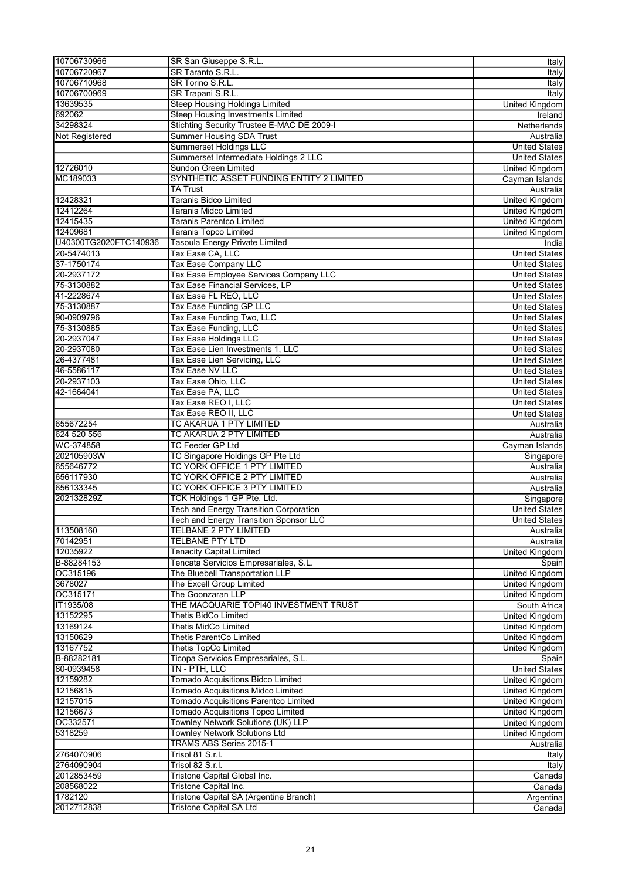| 10706730966                                                            | SR San Giuseppe S.R.L.                                                   | Italy                 |
|------------------------------------------------------------------------|--------------------------------------------------------------------------|-----------------------|
| 10706720967                                                            | SR Taranto S.R.L.                                                        | Italy                 |
| 10706710968                                                            | SR Torino S.R.L.                                                         |                       |
|                                                                        |                                                                          | Italy                 |
| 10706700969                                                            | SR Trapani S.R.L.                                                        | Italy                 |
| 13639535                                                               | <b>Steep Housing Holdings Limited</b>                                    | <b>United Kingdom</b> |
| 692062                                                                 | <b>Steep Housing Investments Limited</b>                                 | Ireland               |
| 34298324                                                               | Stichting Security Trustee E-MAC DE 2009-I                               | Netherlands           |
| Not Registered                                                         | <b>Summer Housing SDA Trust</b>                                          | Australia             |
|                                                                        | <b>Summerset Holdings LLC</b>                                            | <b>United States</b>  |
|                                                                        | Summerset Intermediate Holdings 2 LLC                                    | <b>United States</b>  |
|                                                                        |                                                                          |                       |
| 12726010                                                               | Sundon Green Limited                                                     | <b>United Kingdom</b> |
| MC189033                                                               | SYNTHETIC ASSET FUNDING ENTITY 2 LIMITED                                 | Cayman Islands        |
|                                                                        | TA Trust                                                                 | Australia             |
| 12428321                                                               | <b>Taranis Bidco Limited</b>                                             | <b>United Kingdom</b> |
| 12412264                                                               | Taranis Midco Limited                                                    | <b>United Kingdom</b> |
| 12415435                                                               | Taranis Parentco Limited                                                 | <b>United Kingdom</b> |
| 12409681                                                               | <b>Taranis Topco Limited</b>                                             | United Kingdom        |
| U40300TG2020FTC140936                                                  | <b>Tasoula Energy Private Limited</b>                                    |                       |
|                                                                        |                                                                          | India                 |
| 20-5474013                                                             | Tax Ease CA, LLC                                                         | <b>United States</b>  |
| 37-1750174                                                             | Tax Ease Company LLC                                                     | <b>United States</b>  |
| 20-2937172                                                             | Tax Ease Employee Services Company LLC                                   | <b>United States</b>  |
| 75-3130882                                                             | Tax Ease Financial Services, LP                                          | <b>United States</b>  |
| 41-2228674                                                             | Tax Ease FL REO, LLC                                                     | <b>United States</b>  |
| 75-3130887                                                             | Tax Ease Funding GP LLC                                                  | <b>United States</b>  |
| 90-0909796                                                             |                                                                          | <b>United States</b>  |
|                                                                        | Tax Ease Funding Two, LLC                                                |                       |
| 75-3130885                                                             | Tax Ease Funding, LLC                                                    | <b>United States</b>  |
| 20-2937047                                                             | <b>Tax Ease Holdings LLC</b>                                             | <b>United States</b>  |
| 20-2937080                                                             | Tax Ease Lien Investments 1, LLC                                         | <b>United States</b>  |
| 26-4377481                                                             | Tax Ease Lien Servicing, LLC                                             | <b>United States</b>  |
| 46-5586117                                                             | <b>Tax Ease NV LLC</b>                                                   | <b>United States</b>  |
| 20-2937103                                                             | Tax Ease Ohio, LLC                                                       | <b>United States</b>  |
| 42-1664041                                                             | Tax Ease PA, LLC                                                         | <b>United States</b>  |
|                                                                        |                                                                          |                       |
|                                                                        | Tax Ease REO I, LLC                                                      | <b>United States</b>  |
|                                                                        | Tax Ease REO II, LLC                                                     | <b>United States</b>  |
| 655672254                                                              | TC AKARUA 1 PTY LIMITED                                                  | Australia             |
| 624 520 556                                                            | TC AKARUA 2 PTY LIMITED                                                  | Australia             |
| WC-374858                                                              | <b>TC Feeder GP Ltd</b>                                                  | Cayman Islands        |
| 202105903W                                                             | TC Singapore Holdings GP Pte Ltd                                         | Singapore             |
| 655646772                                                              | TC YORK OFFICE 1 PTY LIMITED                                             | Australia             |
| 656117930                                                              |                                                                          |                       |
|                                                                        | TC YORK OFFICE 2 PTY LIMITED                                             | Australia             |
| 656133345                                                              | TC YORK OFFICE 3 PTY LIMITED                                             | Australia             |
| 202132829Z                                                             | TCK Holdings 1 GP Pte. Ltd.                                              | Singapore             |
|                                                                        | <b>Tech and Energy Transition Corporation</b>                            | <b>United States</b>  |
|                                                                        | <b>Tech and Energy Transition Sponsor LLC</b>                            | United States         |
| 113508160                                                              | TELBANE 2 PTY LIMITED                                                    | Australia             |
| 70142951                                                               | <b>TELBANE PTY LTD</b>                                                   | Australia             |
| 12035922                                                               | <b>Tenacity Capital Limited</b>                                          | United Kingdom        |
|                                                                        |                                                                          |                       |
| B-88284153                                                             | Tencata Servicios Empresariales, S.L.                                    | Spain                 |
| OC315196                                                               | The Bluebell Transportation LLP                                          | <b>United Kingdom</b> |
| 3678027                                                                |                                                                          |                       |
|                                                                        | The Excell Group Limited                                                 | United Kingdom        |
| OC315171                                                               | The Goonzaran LLP                                                        | <b>United Kingdom</b> |
| IT1935/08                                                              | THE MACQUARIE TOPI40 INVESTMENT TRUST                                    | South Africa          |
| 13152295                                                               |                                                                          |                       |
|                                                                        | <b>Thetis BidCo Limited</b>                                              | <b>United Kingdom</b> |
| 13169124                                                               | Thetis MidCo Limited                                                     | <b>United Kingdom</b> |
| 13150629                                                               | <b>Thetis ParentCo Limited</b>                                           | <b>United Kingdom</b> |
|                                                                        | <b>Thetis TopCo Limited</b>                                              | <b>United Kingdom</b> |
| B-88282181                                                             | Ticopa Servicios Empresariales, S.L.                                     | Spain                 |
| 80-0939458                                                             | TN - PTH, LLC                                                            | <b>United States</b>  |
|                                                                        | <b>Tornado Acquisitions Bidco Limited</b>                                | <b>United Kingdom</b> |
| 12156815                                                               | Tornado Acquisitions Midco Limited                                       | United Kingdom        |
|                                                                        |                                                                          |                       |
| 12157015                                                               | Tornado Acquisitions Parentco Limited                                    | <b>United Kingdom</b> |
|                                                                        | <b>Tornado Acquisitions Topco Limited</b>                                | United Kingdom        |
| OC332571                                                               | Townley Network Solutions (UK) LLP                                       | United Kingdom        |
| 5318259                                                                | <b>Townley Network Solutions Ltd</b>                                     | <b>United Kingdom</b> |
|                                                                        | TRAMS ABS Series 2015-1                                                  | Australia             |
| 2764070906                                                             | Trisol 81 S.r.l.                                                         | Italy                 |
| 2764090904                                                             | Trisol 82 S.r.l.                                                         | Italy                 |
| 2012853459                                                             | Tristone Capital Global Inc.                                             | Canada                |
|                                                                        |                                                                          |                       |
|                                                                        | Tristone Capital Inc.                                                    | Canada                |
| 13167752<br>12159282<br>12156673<br>208568022<br>1782120<br>2012712838 | Tristone Capital SA (Argentine Branch)<br><b>Tristone Capital SA Ltd</b> | Argentina<br>Canada   |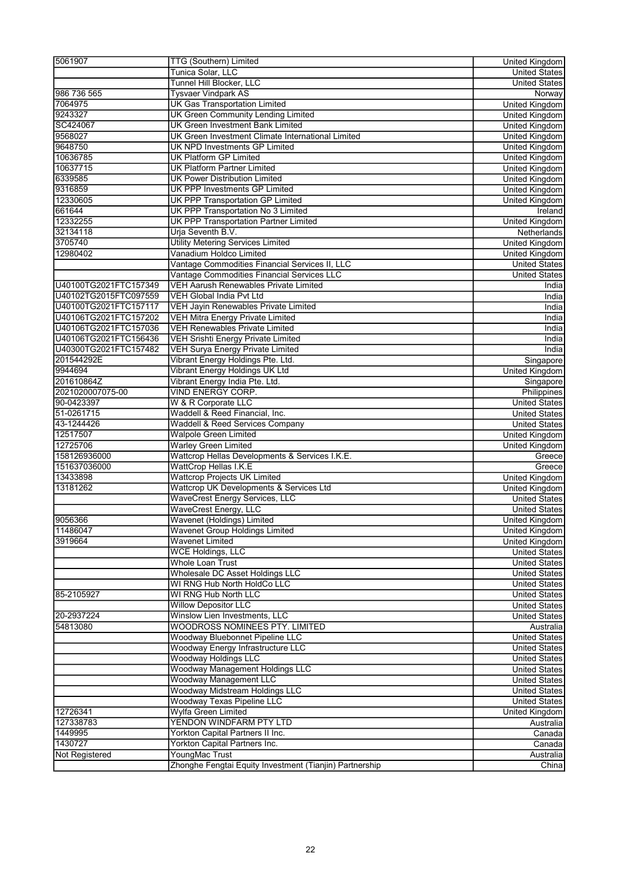| 5061907                                        | TTG (Southern) Limited                                                                     | <b>United Kingdom</b>                        |
|------------------------------------------------|--------------------------------------------------------------------------------------------|----------------------------------------------|
|                                                | Tunica Solar, LLC                                                                          | <b>United States</b>                         |
|                                                | Tunnel Hill Blocker, LLC                                                                   | <b>United States</b>                         |
| 986 736 565                                    | <b>Tysvaer Vindpark AS</b>                                                                 | Norway                                       |
| 7064975                                        | <b>UK Gas Transportation Limited</b>                                                       | <b>United Kingdom</b>                        |
| 9243327                                        | <b>UK Green Community Lending Limited</b>                                                  | <b>United Kingdom</b>                        |
| SC424067                                       | <b>UK Green Investment Bank Limited</b>                                                    | <b>United Kingdom</b>                        |
| 9568027                                        | UK Green Investment Climate International Limited                                          | <b>United Kingdom</b>                        |
| 9648750                                        | <b>UK NPD Investments GP Limited</b>                                                       | United Kingdom                               |
| 10636785                                       | <b>UK Platform GP Limited</b>                                                              | <b>United Kingdom</b>                        |
| 10637715                                       | <b>UK Platform Partner Limited</b>                                                         | United Kingdom                               |
| 6339585                                        | <b>UK Power Distribution Limited</b>                                                       | <b>United Kingdom</b>                        |
| 9316859                                        | UK PPP Investments GP Limited                                                              | <b>United Kingdom</b>                        |
| 12330605                                       | <b>UK PPP Transportation GP Limited</b>                                                    | United Kingdom                               |
| 661644                                         | UK PPP Transportation No 3 Limited                                                         | Ireland                                      |
| 12332255                                       | <b>UK PPP Transportation Partner Limited</b>                                               | <b>United Kingdom</b>                        |
| 32134118                                       | Urja Seventh B.V.                                                                          | Netherlands                                  |
| 3705740                                        | <b>Utility Metering Services Limited</b>                                                   | United Kingdom                               |
| 12980402                                       | Vanadium Holdco Limited                                                                    | United Kingdom                               |
|                                                | Vantage Commodities Financial Services II, LLC                                             | <b>United States</b>                         |
| U40100TG2021FTC157349                          | Vantage Commodities Financial Services LLC<br><b>VEH Aarush Renewables Private Limited</b> | <b>United States</b>                         |
|                                                |                                                                                            | India                                        |
| U40102TG2015FTC097559<br>U40100TG2021FTC157117 | <b>VEH Global India Pvt Ltd</b><br>VEH Jayin Renewables Private Limited                    | India<br>India                               |
| U40106TG2021FTC157202                          |                                                                                            |                                              |
| U40106TG2021FTC157036                          | VEH Mitra Energy Private Limited<br><b>VEH Renewables Private Limited</b>                  | India<br>India                               |
| U40106TG2021FTC156436                          | <b>VEH Srishti Energy Private Limited</b>                                                  | India                                        |
| U40300TG2021FTC157482                          | <b>VEH Surya Energy Private Limited</b>                                                    | India                                        |
| 201544292E                                     | Vibrant Energy Holdings Pte. Ltd.                                                          | Singapore                                    |
| 9944694                                        | Vibrant Energy Holdings UK Ltd                                                             | <b>United Kingdom</b>                        |
| 201610864Z                                     | Vibrant Energy India Pte. Ltd.                                                             | Singapore                                    |
| 2021020007075-00                               | VIND ENERGY CORP.                                                                          | Philippines                                  |
| 90-0423397                                     | W & R Corporate LLC                                                                        | <b>United States</b>                         |
| 51-0261715                                     | Waddell & Reed Financial, Inc.                                                             | <b>United States</b>                         |
| 43-1244426                                     | <b>Waddell &amp; Reed Services Company</b>                                                 | <b>United States</b>                         |
| 12517507                                       | <b>Walpole Green Limited</b>                                                               | <b>United Kingdom</b>                        |
| 12725706                                       | <b>Warley Green Limited</b>                                                                | <b>United Kingdom</b>                        |
| 158126936000                                   | Wattcrop Hellas Developments & Services I.K.E.                                             | Greece                                       |
| 151637036000                                   | WattCrop Hellas I.K.E                                                                      | Greece                                       |
| 13433898                                       | <b>Wattcrop Projects UK Limited</b>                                                        | United Kingdom                               |
| 13181262                                       | Wattcrop UK Developments & Services Ltd                                                    | United Kingdom                               |
|                                                | WaveCrest Energy Services, LLC                                                             | <b>United States</b>                         |
|                                                | <b>WaveCrest Energy, LLC</b>                                                               | <b>United States</b>                         |
| 9056366                                        | Wavenet (Holdings) Limited                                                                 | United Kingdom                               |
| 11486047                                       | Wavenet Group Holdings Limited                                                             | <b>United Kingdom</b>                        |
| 3919664                                        | <b>Wavenet Limited</b>                                                                     | United Kingdom                               |
|                                                | <b>WCE Holdings, LLC</b>                                                                   | <b>United States</b>                         |
|                                                | <b>Whole Loan Trust</b>                                                                    | <b>United States</b>                         |
|                                                | Wholesale DC Asset Holdings LLC                                                            | <b>United States</b>                         |
|                                                | WI RNG Hub North HoldCo LLC                                                                | <b>United States</b>                         |
| 85-2105927                                     | WI RNG Hub North LLC                                                                       | <b>United States</b>                         |
|                                                | <b>Willow Depositor LLC</b>                                                                | <b>United States</b>                         |
| 20-2937224                                     | Winslow Lien Investments, LLC                                                              | <b>United States</b>                         |
| 54813080                                       | WOODROSS NOMINEES PTY. LIMITED                                                             | Australia                                    |
|                                                | Woodway Bluebonnet Pipeline LLC                                                            | <b>United States</b>                         |
|                                                | Woodway Energy Infrastructure LLC                                                          | <b>United States</b>                         |
|                                                | <b>Woodway Holdings LLC</b><br>Woodway Management Holdings LLC                             | <b>United States</b>                         |
|                                                | <b>Woodway Management LLC</b>                                                              | <b>United States</b><br><b>United States</b> |
|                                                | Woodway Midstream Holdings LLC                                                             | <b>United States</b>                         |
|                                                | <b>Woodway Texas Pipeline LLC</b>                                                          | <b>United States</b>                         |
| 12726341                                       | Wylfa Green Limited                                                                        | United Kingdom                               |
| 127338783                                      | YENDON WINDFARM PTY LTD                                                                    | Australia                                    |
| 1449995                                        | Yorkton Capital Partners II Inc.                                                           | Canada                                       |
| 1430727                                        | Yorkton Capital Partners Inc.                                                              | Canada                                       |
| <b>Not Registered</b>                          | YoungMac Trust                                                                             | Australia                                    |
|                                                | Zhonghe Fengtai Equity Investment (Tianjin) Partnership                                    | China                                        |
|                                                |                                                                                            |                                              |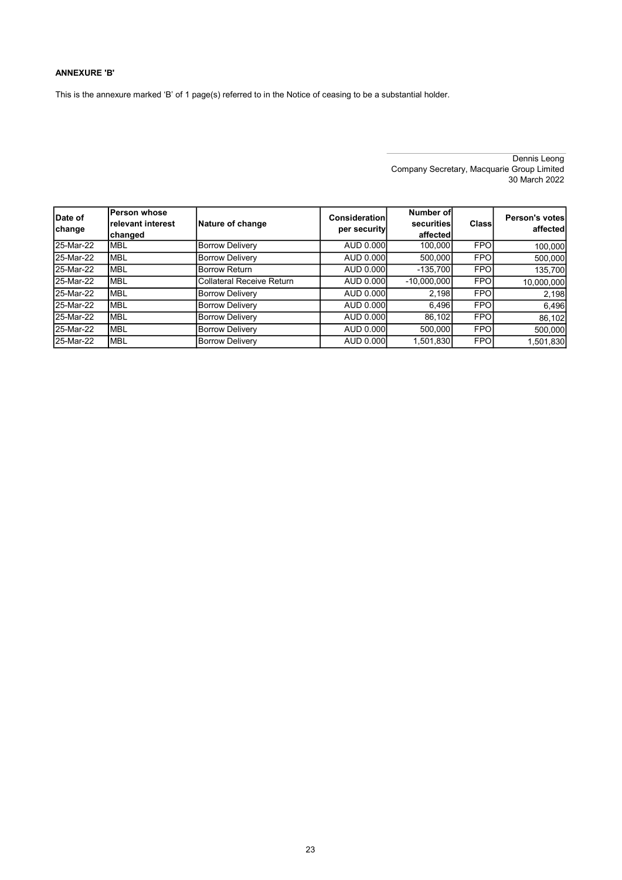#### ANNEXURE 'B'

This is the annexure marked 'B' of 1 page(s) referred to in the Notice of ceasing to be a substantial holder.

Dennis Leong Company Secretary, Macquarie Group Limited 30 March 2022

| Date of<br>change | <b>Person whose</b><br>relevant interest<br>changed | Nature of change          | Consideration<br>per security | Number of<br>securities<br>affected | Class      | Person's votes<br>affected |
|-------------------|-----------------------------------------------------|---------------------------|-------------------------------|-------------------------------------|------------|----------------------------|
| 25-Mar-22         | <b>MBL</b>                                          | <b>Borrow Delivery</b>    | AUD 0.000                     | 100.000                             | <b>FPO</b> | 100,000                    |
| 25-Mar-22         | <b>MBL</b>                                          | <b>Borrow Delivery</b>    | AUD 0.000                     | 500.000                             | <b>FPO</b> | 500,000                    |
| 25-Mar-22         | <b>MBL</b>                                          | <b>Borrow Return</b>      | AUD 0.000                     | $-135,700$                          | <b>FPO</b> | 135,700                    |
| 25-Mar-22         | <b>MBL</b>                                          | Collateral Receive Return | AUD 0.000                     | $-10,000,000$                       | <b>FPO</b> | 10,000,000                 |
| 25-Mar-22         | <b>MBL</b>                                          | <b>Borrow Delivery</b>    | AUD 0.000                     | 2.198                               | <b>FPO</b> | 2,198                      |
| 25-Mar-22         | <b>MBL</b>                                          | <b>Borrow Delivery</b>    | AUD 0.000                     | 6,496                               | <b>FPO</b> | 6,496                      |
| 25-Mar-22         | <b>MBL</b>                                          | <b>Borrow Delivery</b>    | AUD 0.000                     | 86.102                              | <b>FPO</b> | 86,102                     |
| 25-Mar-22         | <b>MBL</b>                                          | <b>Borrow Delivery</b>    | AUD 0.000                     | 500.000                             | <b>FPO</b> | 500,000                    |
| 25-Mar-22         | <b>MBL</b>                                          | <b>Borrow Delivery</b>    | AUD 0.000                     | 1,501,830                           | <b>FPO</b> | 1,501,830                  |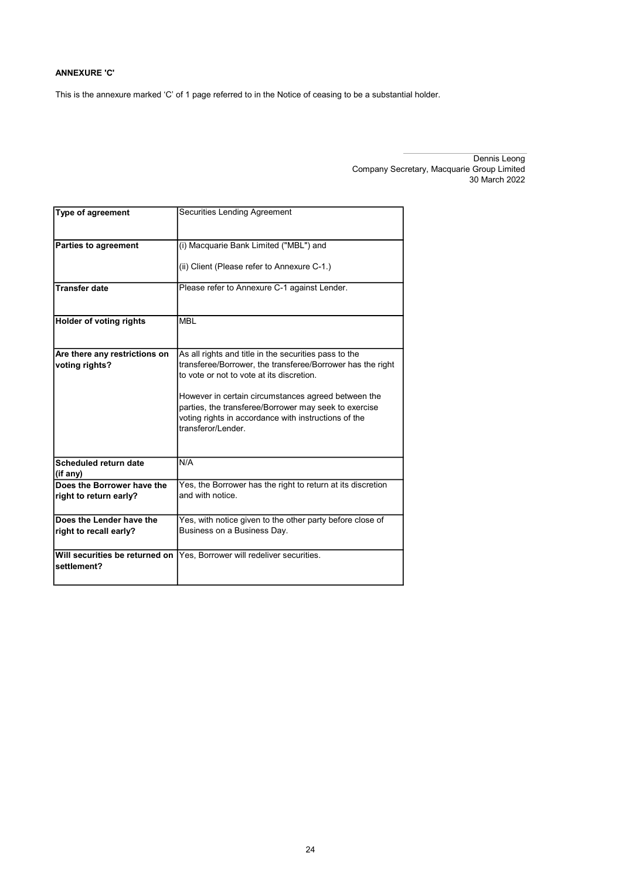#### ANNEXURE 'C'

This is the annexure marked 'C' of 1 page referred to in the Notice of ceasing to be a substantial holder.

| <b>Type of agreement</b>                             | Securities Lending Agreement                                                                                                                                                               |
|------------------------------------------------------|--------------------------------------------------------------------------------------------------------------------------------------------------------------------------------------------|
| <b>Parties to agreement</b>                          | (i) Macquarie Bank Limited ("MBL") and                                                                                                                                                     |
|                                                      | (ii) Client (Please refer to Annexure C-1.)                                                                                                                                                |
| <b>Transfer date</b>                                 | Please refer to Annexure C-1 against Lender.                                                                                                                                               |
| <b>Holder of voting rights</b>                       | <b>MBL</b>                                                                                                                                                                                 |
| Are there any restrictions on<br>voting rights?      | As all rights and title in the securities pass to the<br>transferee/Borrower, the transferee/Borrower has the right<br>to vote or not to vote at its discretion.                           |
|                                                      | However in certain circumstances agreed between the<br>parties, the transferee/Borrower may seek to exercise<br>voting rights in accordance with instructions of the<br>transferor/Lender. |
| Scheduled return date<br>(if any)                    | N/A                                                                                                                                                                                        |
| Does the Borrower have the<br>right to return early? | Yes, the Borrower has the right to return at its discretion<br>and with notice.                                                                                                            |
| Does the Lender have the                             | Yes, with notice given to the other party before close of                                                                                                                                  |
| right to recall early?                               | Business on a Business Day.                                                                                                                                                                |
| Will securities be returned on<br>settlement?        | Yes, Borrower will redeliver securities.                                                                                                                                                   |

Dennis Leong Company Secretary, Macquarie Group Limited 30 March 2022